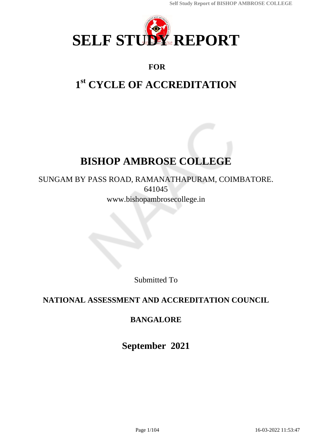

## **FOR**

# **1 st CYCLE OF ACCREDITATION**

# **BISHOP AMBROSE COLLEGE**

SUNGAM BY PASS ROAD, RAMANATHAPURAM, COIMBATORE. 641045 www.bishopambrosecollege.in

Submitted To

## **NATIONAL ASSESSMENT AND ACCREDITATION COUNCIL**

## **BANGALORE**

**September 2021**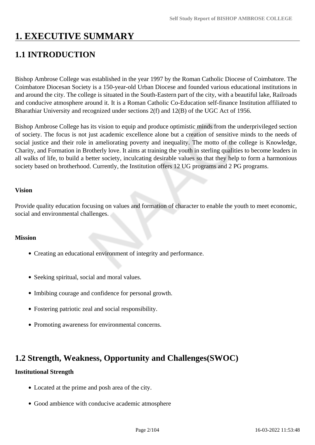# **1. EXECUTIVE SUMMARY**

## **1.1 INTRODUCTION**

Bishop Ambrose College was established in the year 1997 by the Roman Catholic Diocese of Coimbatore. The Coimbatore Diocesan Society is a 150-year-old Urban Diocese and founded various educational institutions in and around the city. The college is situated in the South-Eastern part of the city, with a beautiful lake, Railroads and conducive atmosphere around it. It is a Roman Catholic Co-Education self-finance Institution affiliated to Bharathiar University and recognized under sections 2(f) and 12(B) of the UGC Act of 1956.

Bishop Ambrose College has its vision to equip and produce optimistic minds from the underprivileged section of society. The focus is not just academic excellence alone but a creation of sensitive minds to the needs of social justice and their role in ameliorating poverty and inequality. The motto of the college is Knowledge, Charity, and Formation in Brotherly love. It aims at training the youth in sterling qualities to become leaders in all walks of life, to build a better society, inculcating desirable values so that they help to form a harmonious society based on brotherhood. Currently, the Institution offers 12 UG programs and 2 PG programs.

#### **Vision**

Provide quality education focusing on values and formation of character to enable the youth to meet economic, social and environmental challenges.

#### **Mission**

- Creating an educational environment of integrity and performance.
- Seeking spiritual, social and moral values.
- Imbibing courage and confidence for personal growth.
- Fostering patriotic zeal and social responsibility.
- Promoting awareness for environmental concerns.

### **1.2 Strength, Weakness, Opportunity and Challenges(SWOC)**

#### **Institutional Strength**

- Located at the prime and posh area of the city.
- Good ambience with conducive academic atmosphere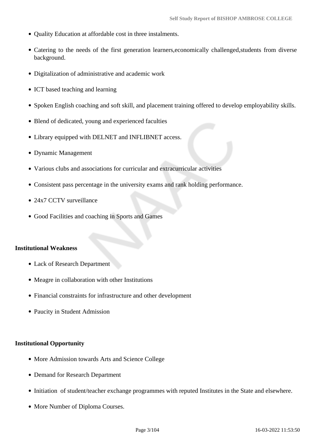- Ouality Education at affordable cost in three instalments.
- Catering to the needs of the first generation learners, economically challenged, students from diverse background.
- Digitalization of administrative and academic work
- ICT based teaching and learning
- Spoken English coaching and soft skill, and placement training offered to develop employability skills.
- Blend of dedicated, young and experienced faculties
- Library equipped with DELNET and INFLIBNET access.
- Dynamic Management
- Various clubs and associations for curricular and extracurricular activities
- Consistent pass percentage in the university exams and rank holding performance.
- 24x7 CCTV surveillance
- Good Facilities and coaching in Sports and Games

#### **Institutional Weakness**

- Lack of Research Department
- Meagre in collaboration with other Institutions
- Financial constraints for infrastructure and other development
- Paucity in Student Admission

#### **Institutional Opportunity**

- More Admission towards Arts and Science College
- Demand for Research Department
- Initiation of student/teacher exchange programmes with reputed Institutes in the State and elsewhere.
- More Number of Diploma Courses.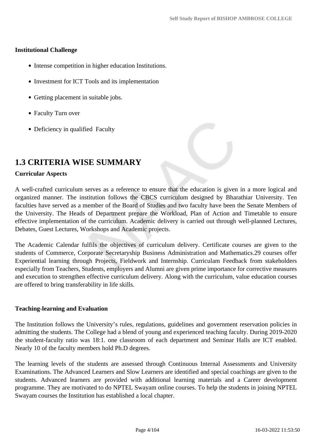#### **Institutional Challenge**

- Intense competition in higher education Institutions.
- Investment for ICT Tools and its implementation
- Getting placement in suitable jobs.
- Faculty Turn over
- Deficiency in qualified Faculty

### **1.3 CRITERIA WISE SUMMARY**

#### **Curricular Aspects**

A well-crafted curriculum serves as a reference to ensure that the education is given in a more logical and organized manner. The institution follows the CBCS curriculum designed by Bharathiar University. Ten faculties have served as a member of the Board of Studies and two faculty have been the Senate Members of the University. The Heads of Department prepare the Workload, Plan of Action and Timetable to ensure effective implementation of the curriculum. Academic delivery is carried out through well-planned Lectures, Debates, Guest Lectures, Workshops and Academic projects.

The Academic Calendar fulfils the objectives of curriculum delivery. Certificate courses are given to the students of Commerce, Corporate Secretaryship Business Administration and Mathematics.29 courses offer Experiential learning through Projects, Fieldwork and Internship. Curriculam Feedback from stakeholders especially from Teachers, Students, employers and Alumni are given prime importance for corrective measures and execution to strengthen effective curriculum delivery. Along with the curriculum, value education courses are offered to bring transferability in life skills.

#### **Teaching-learning and Evaluation**

The Institution follows the University's rules, regulations, guidelines and government reservation policies in admitting the students. The College had a blend of young and experienced teaching faculty. During 2019-2020 the student-faculty ratio was 18:1. one classroom of each department and Seminar Halls are ICT enabled. Nearly 10 of the faculty members hold Ph.D degrees.

The learning levels of the students are assessed through Continuous Internal Assessments and University Examinations. The Advanced Learners and Slow Learners are identified and special coachings are given to the students. Advanced learners are provided with additional learning materials and a Career development programme. They are motivated to do NPTEL Swayam online courses. To help the students in joining NPTEL Swayam courses the Institution has established a local chapter.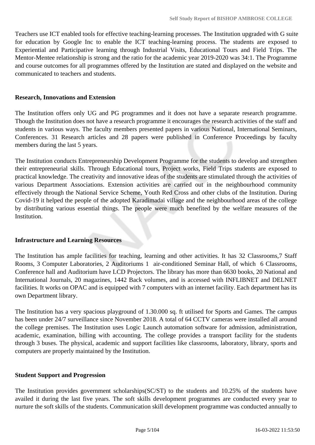Teachers use ICT enabled tools for effective teaching-learning processes. The Institution upgraded with G suite for education by Google Inc to enable the ICT teaching-learning process. The students are exposed to Experiential and Participative learning through Industrial Visits, Educational Tours and Field Trips. The Mentor-Mentee relationship is strong and the ratio for the academic year 2019-2020 was 34:1. The Programme and course outcomes for all programmes offered by the Institution are stated and displayed on the website and communicated to teachers and students.

#### **Research, Innovations and Extension**

The Institution offers only UG and PG programmes and it does not have a separate research programme. Though the Institution does not have a research programme it encourages the research activities of the staff and students in various ways. The faculty members presented papers in various National, International Seminars, Conferences. 31 Research articles and 28 papers were published in Conference Proceedings by faculty members during the last 5 years.

The Institution conducts Entrepreneurship Development Programme for the students to develop and strengthen their entrepreneurial skills. Through Educational tours, Project works, Field Trips students are exposed to practical knowledge. The creativity and innovative ideas of the students are stimulated through the activities of various Department Associations. Extension activities are carried out in the neighbourhood community effectively through the National Service Scheme, Youth Red Cross and other clubs of the Institution. During Covid-19 it helped the people of the adopted Karadimadai village and the neighbourhood areas of the college by distributing various essential things. The people were much benefited by the welfare measures of the Institution.

#### **Infrastructure and Learning Resources**

The Institution has ample facilities for teaching, learning and other activities. It has 32 Classrooms,7 Staff Rooms, 3 Computer Laboratories, 2 Auditoriums 1 air-conditioned Seminar Hall, of which 6 Classrooms, Conference hall and Auditorium have LCD Projectors. The library has more than 6630 books, 20 National and International Journals, 20 magazines, 1442 Back volumes, and is accessed with INFLIBNET and DELNET facilities. It works on OPAC and is equipped with 7 computers with an internet facility. Each department has its own Department library.

The Institution has a very spacious playground of 1.30.000 sq. ft utilised for Sports and Games. The campus has been under 24/7 surveillance since November 2018. A total of 64 CCTV cameras were installed all around the college premises. The Institution uses Logic Launch automation software for admission, administration, academic, examination, billing with accounting. The college provides a transport facility for the students through 3 buses. The physical, academic and support facilities like classrooms, laboratory, library, sports and computers are properly maintained by the Institution.

#### **Student Support and Progression**

The Institution provides government scholarships(SC/ST) to the students and 10.25% of the students have availed it during the last five years. The soft skills development programmes are conducted every year to nurture the soft skills of the students. Communication skill development programme was conducted annually to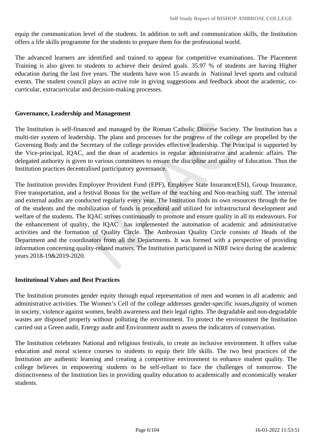equip the communication level of the students. In addition to soft and communication skills, the Institution offers a life skills programme for the students to prepare them for the professional world.

The advanced learners are identified and trained to appear for competitive examinations. The Placement Training is also given to students to achieve their desired goals. 35.97 % of students are having Higher education during the last five years. The students have won 15 awards in National level sports and cultural events. The student council plays an active role in giving suggestions and feedback about the academic, cocurricular, extracurricular and decision-making processes.

#### **Governance, Leadership and Management**

The Institution is self-financed and managed by the Roman Catholic Diocese Society. The Institution has a multi-tier system of leadership. The plans and processes for the progress of the college are propelled by the Governing Body and the Secretary of the college provides effective leadership. The Principal is supported by the Vice-principal, IQAC, and the dean of academics in regular administrative and academic affairs. The delegated authority is given to various committees to ensure the discipline and quality of Education. Thus the Institution practices decentralised participatory governance.

The Institution provides Employee Provident Fund (EPF), Employee State Insurance(ESI), Group Insurance, Free transportation, and a festival Bonus for the welfare of the teaching and Non-teaching staff. The internal and external audits are conducted regularly every year. The Institution finds its own resources through the fee of the students and the mobilization of funds is procedural and utilized for infrastructural development and welfare of the students. The IQAC strives continuously to promote and ensure quality in all its endeavours. For the enhancement of quality, the IQAC has implemented the automation of academic and administrative activities and the formation of Quality Circle. The Ambrosian Quality Circle consists of Heads of the Department and the coordinators from all the Departments. It was formed with a perspective of providing information concerning quality-related matters. The Institution participated in NIRF twice during the academic years 2018-19&2019-2020.

#### **Institutional Values and Best Practices**

The Institution promotes gender equity through equal representation of men and women in all academic and administrative activities. The Women's Cell of the college addresses gender-specific issues,dignity of women in society, violence against women, health awareness and their legal rights. The degradable and non-degradable wastes are disposed properly without polluting the environment. To protect the environment the Institution carried out a Green audit, Energy audit and Environment audit to assess the indicators of conservation.

The Institution celebrates National and religious festivals, to create an inclusive environment. It offers value education and moral science courses to students to equip their life skills. The two best practices of the Institution are authentic learning and creating a competitive environment to enhance student quality. The college believes in empowering students to be self-reliant to face the challenges of tomorrow. The distinctiveness of the Institution lies in providing quality education to academically and economically weaker students.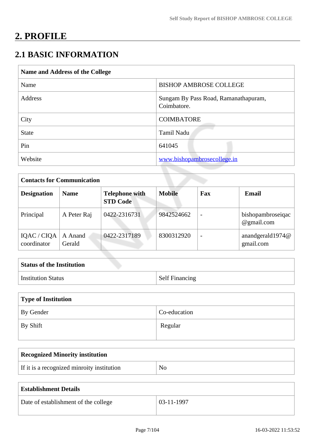# **2. PROFILE**

## **2.1 BASIC INFORMATION**

| Name and Address of the College |                                                     |  |
|---------------------------------|-----------------------------------------------------|--|
| Name                            | <b>BISHOP AMBROSE COLLEGE</b>                       |  |
| Address                         | Sungam By Pass Road, Ramanathapuram,<br>Coimbatore. |  |
| City                            | <b>COIMBATORE</b>                                   |  |
| <b>State</b>                    | Tamil Nadu                                          |  |
| Pin                             | 641045                                              |  |
| Website                         | www.bishopambrosecollege.in                         |  |

| <b>Contacts for Communication</b> |                   |                                          |               |                          |                                 |
|-----------------------------------|-------------------|------------------------------------------|---------------|--------------------------|---------------------------------|
| <b>Designation</b>                | <b>Name</b>       | <b>Telephone with</b><br><b>STD Code</b> | <b>Mobile</b> | Fax                      | <b>Email</b>                    |
| Principal                         | A Peter Raj       | 0422-2316731                             | 9842524662    | $\overline{\phantom{a}}$ | bishopambroseiqac<br>@gmail.com |
| IQAC / CIQA<br>coordinator        | A Anand<br>Gerald | 0422-2317189                             | 8300312920    | $\overline{\phantom{0}}$ | anandgerald1974@<br>gmail.com   |

| <b>Status of the Institution</b> |                       |
|----------------------------------|-----------------------|
| <b>Institution Status</b>        | <b>Self Financing</b> |

| Type of Institution   |              |  |
|-----------------------|--------------|--|
| By Gender             | Co-education |  |
| $\mathsf{I}$ By Shift | Regular      |  |

| <b>Recognized Minority institution</b>     |                |
|--------------------------------------------|----------------|
| If it is a recognized minroity institution | N <sub>O</sub> |

| <b>Establishment Details</b>         |              |
|--------------------------------------|--------------|
| Date of establishment of the college | $03-11-1997$ |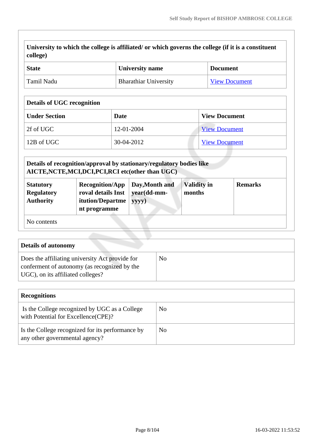**University to which the college is affiliated/ or which governs the college (if it is a constituent college)**

| <b>State</b> | University name              | <b>Document</b>      |
|--------------|------------------------------|----------------------|
| ' Tamil Nadu | <b>Bharathiar University</b> | <b>View Document</b> |

#### **Details of UGC recognition**

| <b>Under Section</b> | Date       | <b>View Document</b> |
|----------------------|------------|----------------------|
| 2f of UGC            | 12-01-2004 | <b>View Document</b> |
| 12B of UGC           | 30-04-2012 | <b>View Document</b> |

|                                                           | Details of recognition/approval by stationary/regulatory bodies like<br>AICTE, NCTE, MCI, DCI, PCI, RCI etc (other than UGC) |                                        |                              |                |
|-----------------------------------------------------------|------------------------------------------------------------------------------------------------------------------------------|----------------------------------------|------------------------------|----------------|
| <b>Statutory</b><br><b>Regulatory</b><br><b>Authority</b> | <b>Recognition/App</b><br>roval details Inst<br>itution/Departme<br>nt programme                                             | Day, Month and<br>year(dd-mm-<br>yyyy) | <b>Validity in</b><br>months | <b>Remarks</b> |
| No contents                                               |                                                                                                                              |                                        |                              |                |

| <b>Details of autonomy</b>                                                                                                           |    |
|--------------------------------------------------------------------------------------------------------------------------------------|----|
| Does the affiliating university Act provide for<br>conferment of autonomy (as recognized by the<br>UGC), on its affiliated colleges? | No |

| <b>Recognitions</b>                                                                  |    |
|--------------------------------------------------------------------------------------|----|
| Is the College recognized by UGC as a College<br>with Potential for Excellence(CPE)? | No |
| Is the College recognized for its performance by<br>any other governmental agency?   | No |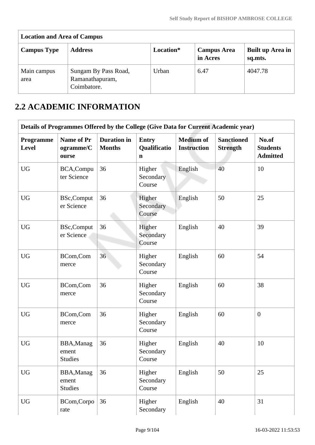| <b>Location and Area of Campus</b> |                                                        |           |                                |                             |
|------------------------------------|--------------------------------------------------------|-----------|--------------------------------|-----------------------------|
| <b>Campus Type</b>                 | <b>Address</b>                                         | Location* | <b>Campus Area</b><br>in Acres | Built up Area in<br>sq.mts. |
| Main campus<br>area                | Sungam By Pass Road,<br>Ramanathapuram,<br>Coimbatore. | Urban     | 6.47                           | 4047.78                     |

## **2.2 ACADEMIC INFORMATION**

|                    | Details of Programmes Offered by the College (Give Data for Current Academic year) |                                     |                                             |                                        |                                      |                                             |
|--------------------|------------------------------------------------------------------------------------|-------------------------------------|---------------------------------------------|----------------------------------------|--------------------------------------|---------------------------------------------|
| Programme<br>Level | <b>Name of Pr</b><br>ogramme/C<br>ourse                                            | <b>Duration</b> in<br><b>Months</b> | <b>Entry</b><br>Qualificatio<br>$\mathbf n$ | <b>Medium of</b><br><b>Instruction</b> | <b>Sanctioned</b><br><b>Strength</b> | No.of<br><b>Students</b><br><b>Admitted</b> |
| <b>UG</b>          | BCA, Compu<br>ter Science                                                          | 36                                  | Higher<br>Secondary<br>Course               | English                                | 40                                   | 10                                          |
| <b>UG</b>          | <b>BSc,Comput</b><br>er Science                                                    | 36                                  | Higher<br>Secondary<br>Course               | English                                | 50                                   | 25                                          |
| <b>UG</b>          | <b>BSc,Comput</b><br>er Science                                                    | 36                                  | Higher<br>Secondary<br>Course               | English                                | 40                                   | 39                                          |
| <b>UG</b>          | BCom,Com<br>merce                                                                  | 36                                  | Higher<br>Secondary<br>Course               | English                                | 60                                   | 54                                          |
| <b>UG</b>          | BCom,Com<br>merce                                                                  | 36                                  | Higher<br>Secondary<br>Course               | English                                | 60                                   | 38                                          |
| <b>UG</b>          | BCom,Com<br>merce                                                                  | 36                                  | Higher<br>Secondary<br>Course               | English                                | 60                                   | $\boldsymbol{0}$                            |
| <b>UG</b>          | BBA, Manag<br>ement<br><b>Studies</b>                                              | 36                                  | Higher<br>Secondary<br>Course               | English                                | 40                                   | 10                                          |
| <b>UG</b>          | BBA, Manag<br>ement<br><b>Studies</b>                                              | 36                                  | Higher<br>Secondary<br>Course               | English                                | 50                                   | 25                                          |
| <b>UG</b>          | BCom, Corpo<br>rate                                                                | 36                                  | Higher<br>Secondary                         | English                                | 40                                   | 31                                          |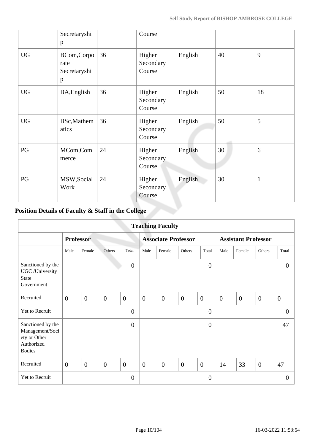|           | Secretaryshi<br>p                        |    | Course                        |         |    |              |
|-----------|------------------------------------------|----|-------------------------------|---------|----|--------------|
| <b>UG</b> | BCom, Corpo<br>rate<br>Secretaryshi<br>p | 36 | Higher<br>Secondary<br>Course | English | 40 | 9            |
| <b>UG</b> | BA, English                              | 36 | Higher<br>Secondary<br>Course | English | 50 | 18           |
| <b>UG</b> | BSc, Mathem<br>atics                     | 36 | Higher<br>Secondary<br>Course | English | 50 | 5            |
| PG        | MCom, Com<br>merce                       | 24 | Higher<br>Secondary<br>Course | English | 30 | 6            |
| PG        | MSW, Social<br>Work                      | 24 | Higher<br>Secondary<br>Course | English | 30 | $\mathbf{1}$ |

### **Position Details of Faculty & Staff in the College**

|                                                                                     | <b>Teaching Faculty</b> |                  |                  |                |                |                            |                  |                  |                            |                |                |                |
|-------------------------------------------------------------------------------------|-------------------------|------------------|------------------|----------------|----------------|----------------------------|------------------|------------------|----------------------------|----------------|----------------|----------------|
|                                                                                     |                         | <b>Professor</b> |                  |                |                | <b>Associate Professor</b> |                  |                  | <b>Assistant Professor</b> |                |                |                |
|                                                                                     | Male                    | Female           | Others           | Total          | Male           | Female                     | Others           | Total            | Male                       | Female         | Others         | Total          |
| Sanctioned by the<br>UGC /University<br><b>State</b><br>Government                  |                         |                  |                  | $\overline{0}$ |                |                            |                  | $\overline{0}$   |                            |                |                | $\theta$       |
| Recruited                                                                           | $\overline{0}$          | $\overline{0}$   | $\overline{0}$   | $\overline{0}$ | $\overline{0}$ | $\overline{0}$             | $\overline{0}$   | $\boldsymbol{0}$ | $\boldsymbol{0}$           | $\overline{0}$ | $\overline{0}$ | $\overline{0}$ |
| Yet to Recruit                                                                      |                         |                  |                  | $\overline{0}$ |                |                            |                  | $\overline{0}$   |                            |                |                | $\Omega$       |
| Sanctioned by the<br>Management/Soci<br>ety or Other<br>Authorized<br><b>Bodies</b> |                         |                  |                  | $\overline{0}$ |                |                            |                  | $\overline{0}$   |                            |                |                | 47             |
| Recruited                                                                           | $\overline{0}$          | $\overline{0}$   | $\boldsymbol{0}$ | $\overline{0}$ | $\overline{0}$ | $\overline{0}$             | $\boldsymbol{0}$ | $\overline{0}$   | 14                         | 33             | $\overline{0}$ | 47             |
| Yet to Recruit                                                                      |                         |                  |                  | $\overline{0}$ |                |                            |                  | $\overline{0}$   |                            |                |                | $\Omega$       |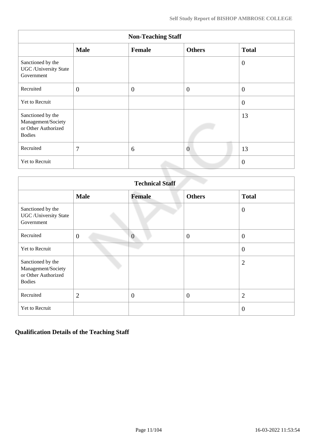|                                                                                 |                  | <b>Non-Teaching Staff</b> |                |                |
|---------------------------------------------------------------------------------|------------------|---------------------------|----------------|----------------|
|                                                                                 | <b>Male</b>      | Female                    | <b>Others</b>  | <b>Total</b>   |
| Sanctioned by the<br><b>UGC</b> / University State<br>Government                |                  |                           |                | $\overline{0}$ |
| Recruited                                                                       | $\boldsymbol{0}$ | $\overline{0}$            | $\overline{0}$ | $\overline{0}$ |
| Yet to Recruit                                                                  |                  |                           |                | $\overline{0}$ |
| Sanctioned by the<br>Management/Society<br>or Other Authorized<br><b>Bodies</b> |                  |                           |                | 13             |
| Recruited                                                                       | 7                | 6                         | $\overline{0}$ | 13             |
| Yet to Recruit                                                                  |                  |                           |                | $\mathbf{0}$   |

|                                                                                 |                | <b>Technical Staff</b> |                  |                |
|---------------------------------------------------------------------------------|----------------|------------------------|------------------|----------------|
|                                                                                 | <b>Male</b>    | <b>Female</b>          | <b>Others</b>    | <b>Total</b>   |
| Sanctioned by the<br><b>UGC</b> / University State<br>Government                |                |                        |                  | $\overline{0}$ |
| Recruited                                                                       | $\overline{0}$ | $\overline{0}$         | $\overline{0}$   | $\overline{0}$ |
| Yet to Recruit                                                                  |                |                        |                  | $\overline{0}$ |
| Sanctioned by the<br>Management/Society<br>or Other Authorized<br><b>Bodies</b> |                |                        |                  | $\overline{2}$ |
| Recruited                                                                       | $\overline{2}$ | $\overline{0}$         | $\boldsymbol{0}$ | $\overline{2}$ |
| Yet to Recruit                                                                  |                |                        |                  | $\overline{0}$ |

### **Qualification Details of the Teaching Staff**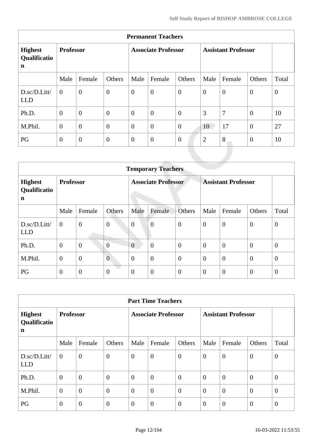| <b>Permanent Teachers</b>                     |                  |                  |                  |                            |                   |                  |                            |                |                |          |  |  |
|-----------------------------------------------|------------------|------------------|------------------|----------------------------|-------------------|------------------|----------------------------|----------------|----------------|----------|--|--|
| <b>Highest</b><br>Qualificatio<br>$\mathbf n$ | <b>Professor</b> |                  |                  | <b>Associate Professor</b> |                   |                  | <b>Assistant Professor</b> |                |                |          |  |  |
|                                               | Male             | Female           | Others           | Male                       | Female            | Others           | Male                       | Female         | Others         | Total    |  |  |
| D.sc/D.Litt/<br><b>LLD</b>                    | $\theta$         | $\boldsymbol{0}$ | $\overline{0}$   | $\boldsymbol{0}$           | $\boldsymbol{0}$  | $\boldsymbol{0}$ | $\theta$                   | $\theta$       | $\mathbf{0}$   | $\theta$ |  |  |
| Ph.D.                                         | $\overline{0}$   | $\overline{0}$   | $\overline{0}$   | $\overline{0}$             | $\boldsymbol{0}$  | $\overline{0}$   | 3                          | $\overline{7}$ | $\theta$       | 10       |  |  |
| M.Phil.                                       | $\overline{0}$   | $\overline{0}$   | $\overline{0}$   | $\boldsymbol{0}$           | $\overline{0}$    | $\mathbf{0}$     | 10                         | 17             | $\mathbf{0}$   | 27       |  |  |
| PG                                            | $\overline{0}$   | $\boldsymbol{0}$ | $\boldsymbol{0}$ | $\boldsymbol{0}$           | $\boldsymbol{0}$  | $\boldsymbol{0}$ | $\overline{2}$             | 8              | $\overline{0}$ | 10       |  |  |
|                                               |                  |                  |                  |                            | <b>COMMERCIAL</b> |                  |                            |                |                |          |  |  |

|                                     | <b>Temporary Teachers</b> |                  |                  |                            |                  |                |                            |                  |                  |                |  |  |  |
|-------------------------------------|---------------------------|------------------|------------------|----------------------------|------------------|----------------|----------------------------|------------------|------------------|----------------|--|--|--|
| <b>Highest</b><br>Qualificatio<br>n | <b>Professor</b>          |                  |                  | <b>Associate Professor</b> |                  |                | <b>Assistant Professor</b> |                  |                  |                |  |  |  |
|                                     | Male                      | Female           | Others           | Male                       | Female           | <b>Others</b>  | Male                       | Female           | Others           | Total          |  |  |  |
| D.sc/D.Litt/<br><b>LLD</b>          | $\overline{0}$            | $\boldsymbol{0}$ | $\boldsymbol{0}$ | $\overline{0}$             | $\overline{0}$   | $\overline{0}$ | $\overline{0}$             | $\overline{0}$   | $\overline{0}$   | $\overline{0}$ |  |  |  |
| Ph.D.                               | $\mathbf{0}$              | $\mathbf{0}$     | $\overline{0}$   | $\overline{0}$             | $\overline{0}$   | $\overline{0}$ | $\theta$                   | $\boldsymbol{0}$ | $\overline{0}$   | $\overline{0}$ |  |  |  |
| M.Phil.                             | $\mathbf{0}$              | $\overline{0}$   | $\overline{0}$   | $\overline{0}$             | $\overline{0}$   | $\overline{0}$ | $\overline{0}$             | $\overline{0}$   | $\overline{0}$   | $\theta$       |  |  |  |
| PG                                  | $\mathbf{0}$              | $\overline{0}$   | $\boldsymbol{0}$ | $\overline{0}$             | $\boldsymbol{0}$ | $\overline{0}$ | $\overline{0}$             | $\overline{0}$   | $\boldsymbol{0}$ | $\theta$       |  |  |  |

| <b>Part Time Teachers</b>           |                  |                |                  |                            |                  |                |                            |                |                  |                |  |
|-------------------------------------|------------------|----------------|------------------|----------------------------|------------------|----------------|----------------------------|----------------|------------------|----------------|--|
| <b>Highest</b><br>Qualificatio<br>n | <b>Professor</b> |                |                  | <b>Associate Professor</b> |                  |                | <b>Assistant Professor</b> |                |                  |                |  |
|                                     | Male             | Female         | Others           | Male                       | Female           | Others         | Male                       | Female         | Others           | Total          |  |
| D.sc/D.Litt/<br><b>LLD</b>          | $\theta$         | $\overline{0}$ | $\boldsymbol{0}$ | $\overline{0}$             | $\boldsymbol{0}$ | $\overline{0}$ | $\overline{0}$             | $\overline{0}$ | $\overline{0}$   | $\overline{0}$ |  |
| Ph.D.                               | $\mathbf{0}$     | $\overline{0}$ | $\overline{0}$   | $\overline{0}$             | $\overline{0}$   | $\theta$       | $\overline{0}$             | $\overline{0}$ | $\theta$         | $\overline{0}$ |  |
| M.Phil.                             | $\theta$         | $\overline{0}$ | $\boldsymbol{0}$ | $\overline{0}$             | $\overline{0}$   | $\overline{0}$ | $\overline{0}$             | $\overline{0}$ | $\boldsymbol{0}$ | $\overline{0}$ |  |
| PG                                  | $\overline{0}$   | $\overline{0}$ | $\overline{0}$   | $\overline{0}$             | $\boldsymbol{0}$ | $\theta$       | $\overline{0}$             | $\overline{0}$ | $\theta$         | $\overline{0}$ |  |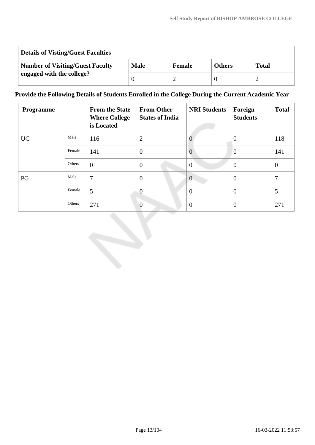| <b>Details of Visting/Guest Faculties</b> |             |        |               |              |  |  |  |  |
|-------------------------------------------|-------------|--------|---------------|--------------|--|--|--|--|
| <b>Number of Visiting/Guest Faculty</b>   | <b>Male</b> | Female | <b>Others</b> | <b>Total</b> |  |  |  |  |
| engaged with the college?                 |             |        |               |              |  |  |  |  |

#### **Provide the Following Details of Students Enrolled in the College During the Current Academic Year**

| <b>Programme</b> |        | <b>From the State</b><br><b>Where College</b><br>is Located | <b>From Other</b><br><b>States of India</b> | <b>NRI Students</b> | Foreign<br><b>Students</b> | <b>Total</b>   |
|------------------|--------|-------------------------------------------------------------|---------------------------------------------|---------------------|----------------------------|----------------|
| <b>UG</b>        | Male   | 116                                                         | $\overline{2}$                              |                     | $\theta$                   | 118            |
|                  | Female | 141                                                         | $\overline{0}$                              | $\theta$            | $\overline{0}$             | 141            |
|                  | Others | $\overline{0}$                                              | $\overline{0}$                              | $\overline{0}$      | $\overline{0}$             | $\overline{0}$ |
| PG               | Male   | 7                                                           | $\overline{0}$                              | $\overline{0}$      | $\theta$                   | 7              |
|                  | Female | 5                                                           | $\overline{0}$                              | $\Omega$            | $\overline{0}$             | 5              |
|                  | Others | 271                                                         | $\overline{0}$                              | $\theta$            | $\theta$                   | 271            |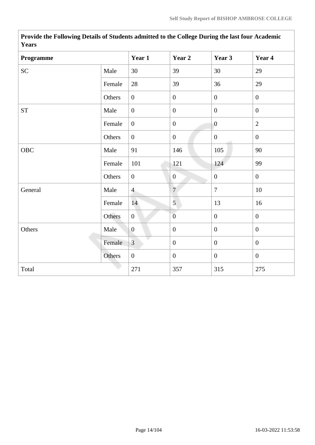| <b>Years</b>        |        |                  |                  |                  |                  |
|---------------------|--------|------------------|------------------|------------------|------------------|
| Programme           |        | Year 1           | Year 2           | Year 3           | Year 4           |
| <b>SC</b>           | Male   | 30               | 39               | 30               | 29               |
|                     | Female | 28               | 39               | 36               | 29               |
|                     | Others | $\overline{0}$   | $\boldsymbol{0}$ | $\overline{0}$   | $\overline{0}$   |
| $\operatorname{ST}$ | Male   | $\overline{0}$   | $\boldsymbol{0}$ | $\boldsymbol{0}$ | $\boldsymbol{0}$ |
|                     | Female | $\overline{0}$   | $\boldsymbol{0}$ | $\overline{0}$   | $\overline{2}$   |
|                     | Others | $\overline{0}$   | $\boldsymbol{0}$ | $\boldsymbol{0}$ | $\overline{0}$   |
| OBC                 | Male   | 91               | 146              | 105              | 90               |
|                     | Female | 101              | 121              | 124              | 99               |
|                     | Others | $\boldsymbol{0}$ | $\boldsymbol{0}$ | $\overline{0}$   | $\overline{0}$   |
| General             | Male   | $\overline{4}$   | $\overline{7}$   | $\overline{7}$   | $10\,$           |
|                     | Female | 14               | 5                | 13               | 16               |
|                     | Others | $\mathbf{0}$     | $\boldsymbol{0}$ | $\overline{0}$   | $\overline{0}$   |
| Others              | Male   | $\overline{0}$   | $\overline{0}$   | $\overline{0}$   | $\overline{0}$   |
|                     | Female | $\overline{3}$   | $\boldsymbol{0}$ | $\boldsymbol{0}$ | $\overline{0}$   |
|                     | Others | $\overline{0}$   | $\boldsymbol{0}$ | $\overline{0}$   | $\overline{0}$   |
| Total               |        | 271              | 357              | 315              | 275              |

**Provide the Following Details of Students admitted to the College During the last four Academic Years**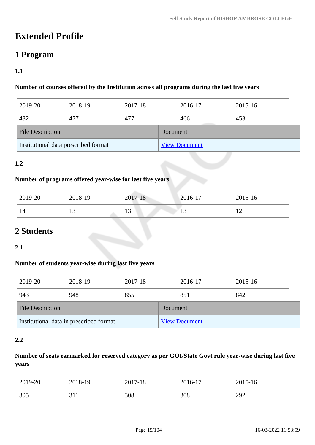## **Extended Profile**

### **1 Program**

#### **1.1**

#### **Number of courses offered by the Institution across all programs during the last five years**

| 2019-20                              | 2018-19 | 2017-18 |          | 2016-17              | 2015-16 |  |
|--------------------------------------|---------|---------|----------|----------------------|---------|--|
| 482                                  | 477     | 477     |          | 466                  | 453     |  |
| <b>File Description</b>              |         |         | Document |                      |         |  |
| Institutional data prescribed format |         |         |          | <b>View Document</b> |         |  |

#### **1.2**

#### **Number of programs offered year-wise for last five years**

| 2019-20 | 2018-19 | 2017-18  | $2016-17$      | 2015-16     |
|---------|---------|----------|----------------|-------------|
| 14      | ⊥ J     | 12<br>10 | 1 <sub>2</sub> | $\sim$<br>┸ |

## **2 Students**

#### **2.1**

#### **Number of students year-wise during last five years**

| 2019-20                                 | 2018-19 | 2017-18 |                      | 2016-17 | 2015-16 |  |
|-----------------------------------------|---------|---------|----------------------|---------|---------|--|
| 943                                     | 948     | 855     |                      | 851     | 842     |  |
| <b>File Description</b>                 |         |         | Document             |         |         |  |
| Institutional data in prescribed format |         |         | <b>View Document</b> |         |         |  |

#### **2.2**

#### **Number of seats earmarked for reserved category as per GOI/State Govt rule year-wise during last five years**

| 2019-20 | 2018-19    | 2017-18 | 2016-17 | 2015-16 |
|---------|------------|---------|---------|---------|
| 305     | 011<br>JII | 308     | 308     | 292     |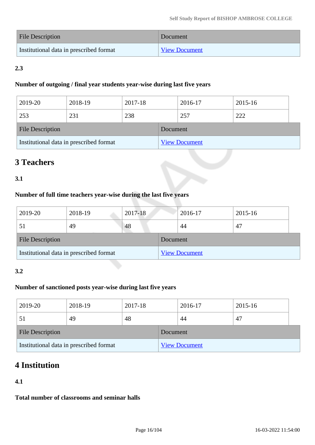| File Description                        | Document             |
|-----------------------------------------|----------------------|
| Institutional data in prescribed format | <b>View Document</b> |

### **2.3**

#### **Number of outgoing / final year students year-wise during last five years**

| 2019-20                 | 2018-19                                 | 2017-18 |          | 2016-17              | 2015-16 |  |
|-------------------------|-----------------------------------------|---------|----------|----------------------|---------|--|
| 253                     | 231                                     | 238     |          | 257                  | 222     |  |
| <b>File Description</b> |                                         |         | Document |                      |         |  |
|                         | Institutional data in prescribed format |         |          | <b>View Document</b> |         |  |

## **3 Teachers**

#### **3.1**

#### **Number of full time teachers year-wise during the last five years**

| 2019-20                                 | 2018-19 | 2017-18  |                      | 2016-17 | 2015-16 |
|-----------------------------------------|---------|----------|----------------------|---------|---------|
|                                         | 49      | 48       |                      | 44      | 47      |
| <b>File Description</b>                 |         | Document |                      |         |         |
| Institutional data in prescribed format |         |          | <b>View Document</b> |         |         |

#### **3.2**

#### **Number of sanctioned posts year-wise during last five years**

| 2019-20                                 | 2018-19 | 2017-18  |                      | 2016-17 | 2015-16 |  |
|-----------------------------------------|---------|----------|----------------------|---------|---------|--|
|                                         | 49      | 48       |                      | 44      | 47      |  |
| <b>File Description</b>                 |         | Document |                      |         |         |  |
| Institutional data in prescribed format |         |          | <b>View Document</b> |         |         |  |

## **4 Institution**

#### **4.1**

**Total number of classrooms and seminar halls**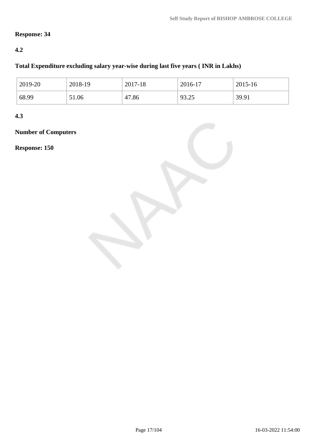#### **Response: 34**

#### **4.2**

#### **Total Expenditure excluding salary year-wise during last five years ( INR in Lakhs)**

| 2019-20 | 2018-19 | 2017-18 | 2016-17 | 2015-16 |
|---------|---------|---------|---------|---------|
| 68.99   | 51.06   | 47.86   | 93.25   | 39.91   |

**4.3**

**Number of Computers**

**Response: 150**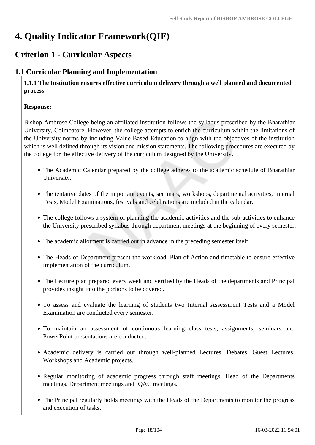## **4. Quality Indicator Framework(QIF)**

## **Criterion 1 - Curricular Aspects**

### **1.1 Curricular Planning and Implementation**

 **1.1.1 The Institution ensures effective curriculum delivery through a well planned and documented process**

#### **Response:**

Bishop Ambrose College being an affiliated institution follows the syllabus prescribed by the Bharathiar University, Coimbatore. However, the college attempts to enrich the curriculum within the limitations of the University norms by including Value-Based Education to align with the objectives of the institution which is well defined through its vision and mission statements. The following procedures are executed by the college for the effective delivery of the curriculum designed by the University.

- The Academic Calendar prepared by the college adheres to the academic schedule of Bharathiar University.
- The tentative dates of the important events, seminars, workshops, departmental activities, Internal Tests, Model Examinations, festivals and celebrations are included in the calendar.
- The college follows a system of planning the academic activities and the sub-activities to enhance the University prescribed syllabus through department meetings at the beginning of every semester.
- The academic allotment is carried out in advance in the preceding semester itself.
- The Heads of Department present the workload, Plan of Action and timetable to ensure effective implementation of the curriculum.
- The Lecture plan prepared every week and verified by the Heads of the departments and Principal provides insight into the portions to be covered.
- To assess and evaluate the learning of students two Internal Assessment Tests and a Model Examination are conducted every semester.
- To maintain an assessment of continuous learning class tests, assignments, seminars and PowerPoint presentations are conducted.
- Academic delivery is carried out through well-planned Lectures, Debates, Guest Lectures, Workshops and Academic projects.
- Regular monitoring of academic progress through staff meetings, Head of the Departments meetings, Department meetings and IQAC meetings.
- The Principal regularly holds meetings with the Heads of the Departments to monitor the progress and execution of tasks.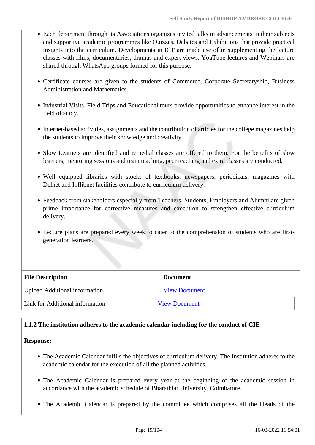- Each department through its Associations organizes invited talks in advancements in their subjects and supportive academic programmes like Quizzes, Debates and Exhibitions that provide practical insights into the curriculum. Developments in ICT are made use of in supplementing the lecture classes with films, documentaries, dramas and expert views. YouTube lectures and Webinars are shared through WhatsApp groups formed for this purpose.
- Certificate courses are given to the students of Commerce, Corporate Secretaryship, Business Administration and Mathematics.
- Industrial Visits, Field Trips and Educational tours provide opportunities to enhance interest in the field of study.
- Internet-based activities, assignments and the contribution of articles for the college magazines help the students to improve their knowledge and creativity.
- Slow Learners are identified and remedial classes are offered to them. For the benefits of slow learners, mentoring sessions and team teaching, peer teaching and extra classes are conducted.
- Well equipped libraries with stocks of textbooks, newspapers, periodicals, magazines with Delnet and Inflibnet facilities contribute to curriculum delivery.
- Feedback from stakeholders especially from Teachers, Students, Employers and Alumni are given prime importance for corrective measures and execution to strengthen effective curriculum delivery.
- Lecture plans are prepared every week to cater to the comprehension of students who are firstgeneration learners.

| <b>File Description</b>              | <b>Document</b>      |
|--------------------------------------|----------------------|
| <b>Upload Additional information</b> | <b>View Document</b> |
| Link for Additional information      | <b>View Document</b> |

#### **1.1.2 The institution adheres to the academic calendar including for the conduct of CIE**

#### **Response:**

- The Academic Calendar fulfils the objectives of curriculum delivery. The Institution adheres to the academic calendar for the execution of all the planned activities.
- The Academic Calendar is prepared every year at the beginning of the academic session in accordance with the academic schedule of Bharathiar University, Coimbatore.
- The Academic Calendar is prepared by the committee which comprises all the Heads of the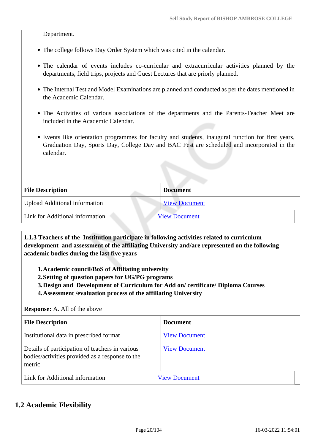Department.

- The college follows Day Order System which was cited in the calendar.
- The calendar of events includes co-curricular and extracurricular activities planned by the departments, field trips, projects and Guest Lectures that are priorly planned.
- The Internal Test and Model Examinations are planned and conducted as per the dates mentioned in the Academic Calendar.
- The Activities of various associations of the departments and the Parents-Teacher Meet are included in the Academic Calendar.
- Events like orientation programmes for faculty and students, inaugural function for first years, Graduation Day, Sports Day, College Day and BAC Fest are scheduled and incorporated in the calendar.

| <b>File Description</b>              | <b>Document</b>      |
|--------------------------------------|----------------------|
| <b>Upload Additional information</b> | <b>View Document</b> |
| Link for Additional information      | <b>View Document</b> |

 **1.1.3 Teachers of the Institution participate in following activities related to curriculum development and assessment of the affiliating University and/are represented on the following academic bodies during the last five years** 

**1.Academic council/BoS of Affiliating university**

- **2.Setting of question papers for UG/PG programs**
- **3.Design and Development of Curriculum for Add on/ certificate/ Diploma Courses**

**4.Assessment /evaluation process of the affiliating University**

**Response:** A. All of the above

| <b>File Description</b>                                                                                      | <b>Document</b>      |
|--------------------------------------------------------------------------------------------------------------|----------------------|
| Institutional data in prescribed format                                                                      | <b>View Document</b> |
| Details of participation of teachers in various<br>bodies/activities provided as a response to the<br>metric | <b>View Document</b> |
| Link for Additional information                                                                              | <b>View Document</b> |

#### **1.2 Academic Flexibility**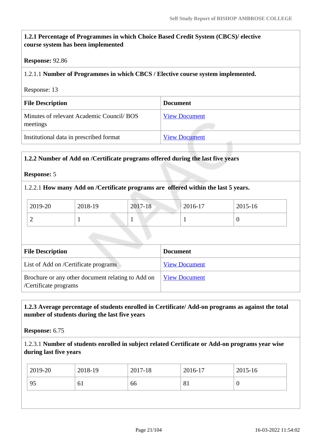#### **1.2.1 Percentage of Programmes in which Choice Based Credit System (CBCS)/ elective course system has been implemented**

#### **Response:** 92.86

#### 1.2.1.1 **Number of Programmes in which CBCS / Elective course system implemented.**

Response: 13

| <b>File Description</b>                               | <b>Document</b>      |
|-------------------------------------------------------|----------------------|
| Minutes of relevant Academic Council/ BOS<br>meetings | <b>View Document</b> |
| Institutional data in prescribed format               | <b>View Document</b> |

#### **1.2.2 Number of Add on /Certificate programs offered during the last five years**

#### **Response:** 5

#### 1.2.2.1 **How many Add on /Certificate programs are offered within the last 5 years.**

| 2019-20 | 2018-19 | 2017-18 | $2016 - 17$ | 2015-16 |
|---------|---------|---------|-------------|---------|
| ∼       |         |         |             |         |

| <b>File Description</b>                                                    | <b>Document</b>      |
|----------------------------------------------------------------------------|----------------------|
| List of Add on /Certificate programs                                       | <b>View Document</b> |
| Brochure or any other document relating to Add on<br>/Certificate programs | <b>View Document</b> |

#### **1.2.3 Average percentage of students enrolled in Certificate/ Add-on programs as against the total number of students during the last five years**

**Response:** 6.75

#### 1.2.3.1 **Number of students enrolled in subject related Certificate or Add-on programs year wise during last five years**

| $12019 - 20$ | 2018-19 | 2017-18 | 2016-17 | 2015-16 |
|--------------|---------|---------|---------|---------|
| 95           | 61      | 66      | 81      | v       |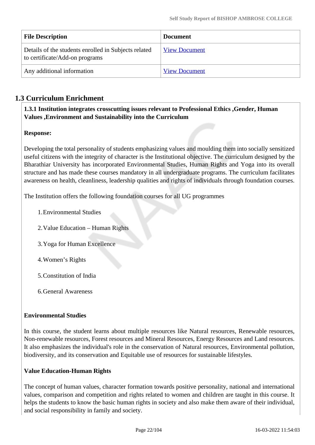| <b>File Description</b>                                                                | <b>Document</b>      |
|----------------------------------------------------------------------------------------|----------------------|
| Details of the students enrolled in Subjects related<br>to certificate/Add-on programs | <b>View Document</b> |
| Any additional information                                                             | <b>View Document</b> |

### **1.3 Curriculum Enrichment**

 **1.3.1 Institution integrates crosscutting issues relevant to Professional Ethics ,Gender, Human Values ,Environment and Sustainability into the Curriculum**

#### **Response:**

Developing the total personality of students emphasizing values and moulding them into socially sensitized useful citizens with the integrity of character is the Institutional objective. The curriculum designed by the Bharathiar University has incorporated Environmental Studies, Human Rights and Yoga into its overall structure and has made these courses mandatory in all undergraduate programs. The curriculum facilitates awareness on health, cleanliness, leadership qualities and rights of individuals through foundation courses.

The Institution offers the following foundation courses for all UG programmes

- 1.Environmental Studies
- 2.Value Education Human Rights
- 3.Yoga for Human Excellence
- 4.Women's Rights
- 5.Constitution of India
- 6.General Awareness

#### **Environmental Studies**

In this course, the student learns about multiple resources like Natural resources, Renewable resources, Non-renewable resources, Forest resources and Mineral Resources, Energy Resources and Land resources. It also emphasizes the individual's role in the conservation of Natural resources, Environmental pollution, biodiversity, and its conservation and Equitable use of resources for sustainable lifestyles.

#### **Value Education-Human Rights**

The concept of human values, character formation towards positive personality, national and international values, comparison and competition and rights related to women and children are taught in this course. It helps the students to know the basic human rights in society and also make them aware of their individual, and social responsibility in family and society.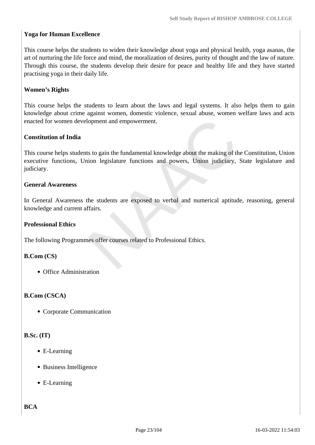#### **Yoga for Human Excellence**

This course helps the students to widen their knowledge about yoga and physical health, yoga asanas, the art of nurturing the life force and mind, the moralization of desires, purity of thought and the law of nature. Through this course, the students develop their desire for peace and healthy life and they have started practising yoga in their daily life.

#### **Women's Rights**

This course helps the students to learn about the laws and legal systems. It also helps them to gain knowledge about crime against women, domestic violence, sexual abuse, women welfare laws and acts enacted for women development and empowerment.

#### **Constitution of India**

This course helps students to gain the fundamental knowledge about the making of the Constitution, Union executive functions, Union legislature functions and powers, Union judiciary, State legislature and judiciary.

#### **General Awareness**

In General Awareness the students are exposed to verbal and numerical aptitude, reasoning, general knowledge and current affairs.

#### **Professional Ethics**

The following Programmes offer courses related to Professional Ethics.

#### **B.Com (CS)**

Office Administration

#### **B.Com (CSCA)**

Corporate Communication

#### **B.Sc. (IT)**

- E-Learning
- Business Intelligence
- E-Learning

**BCA**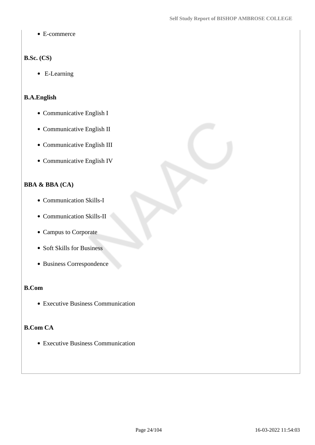• E-commerce

#### **B.Sc. (CS)**

• E-Learning

#### **B.A.English**

- Communicative English I
- Communicative English II
- Communicative English III
- Communicative English IV

#### **BBA & BBA (CA)**

- Communication Skills-I
- Communication Skills-II
- Campus to Corporate
- Soft Skills for Business
- Business Correspondence

#### **B.Com**

Executive Business Communication

#### **B.Com CA**

Executive Business Communication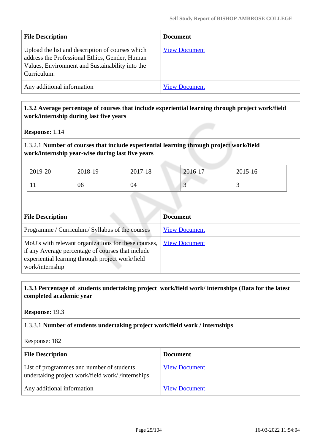| <b>File Description</b>                                                                                                                                              | <b>Document</b>      |
|----------------------------------------------------------------------------------------------------------------------------------------------------------------------|----------------------|
| Upload the list and description of courses which<br>address the Professional Ethics, Gender, Human<br>Values, Environment and Sustainability into the<br>Curriculum. | <b>View Document</b> |
| Any additional information                                                                                                                                           | <b>View Document</b> |

#### **1.3.2 Average percentage of courses that include experiential learning through project work/field work/internship during last five years**

**Response:** 1.14

#### 1.3.2.1 **Number of courses that include experiential learning through project work/field work/internship year-wise during last five years**

| 2019-20 | 2018-19 | 2017-18 | 2016-17 | 2015-16 |
|---------|---------|---------|---------|---------|
| T T     | 06      | 04      | ◡       | ້       |

| <b>File Description</b>                                                                                                                                                          | <b>Document</b>      |
|----------------------------------------------------------------------------------------------------------------------------------------------------------------------------------|----------------------|
| Programme / Curriculum/ Syllabus of the courses                                                                                                                                  | <b>View Document</b> |
| MoU's with relevant organizations for these courses,<br>if any Average percentage of courses that include<br>experiential learning through project work/field<br>work/internship | <b>View Document</b> |

#### **1.3.3 Percentage of students undertaking project work/field work/ internships (Data for the latest completed academic year**

**Response:** 19.3

#### 1.3.3.1 **Number of students undertaking project work/field work / internships**

Response: 182

| <b>File Description</b>                                                                       | <b>Document</b>      |
|-----------------------------------------------------------------------------------------------|----------------------|
| List of programmes and number of students<br>undertaking project work/field work//internships | <b>View Document</b> |
| Any additional information                                                                    | <b>View Document</b> |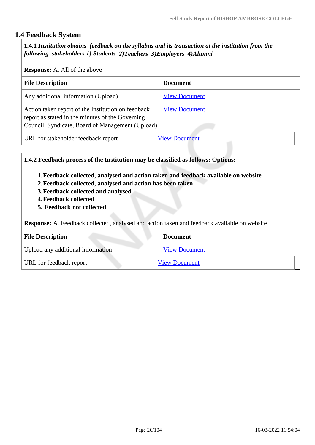#### **1.4 Feedback System**

 **1.4.1** *Institution obtains feedback on the syllabus and its transaction at the institution from the following stakeholders 1) Students 2)Teachers 3)Employers 4)Alumni* 

#### **Response:** A. All of the above

| <b>File Description</b>                                                                                                                                    | <b>Document</b>      |  |  |
|------------------------------------------------------------------------------------------------------------------------------------------------------------|----------------------|--|--|
| Any additional information (Upload)                                                                                                                        | <b>View Document</b> |  |  |
| Action taken report of the Institution on feedback<br>report as stated in the minutes of the Governing<br>Council, Syndicate, Board of Management (Upload) | <b>View Document</b> |  |  |
| URL for stakeholder feedback report                                                                                                                        | <b>View Document</b> |  |  |

**1.4.2 Feedback process of the Institution may be classified as follows: Options:**

- **1.Feedback collected, analysed and action taken and feedback available on website**
- **2.Feedback collected, analysed and action has been taken**
- **3.Feedback collected and analysed**
- **4.Feedback collected**
- **5. Feedback not collected**

**Response:** A. Feedback collected, analysed and action taken and feedback available on website

| <b>File Description</b>           | <b>Document</b>      |
|-----------------------------------|----------------------|
| Upload any additional information | <b>View Document</b> |
| URL for feedback report           | <b>View Document</b> |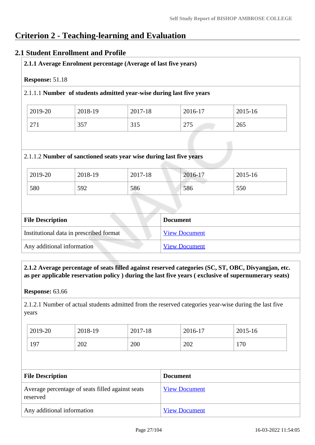## **Criterion 2 - Teaching-learning and Evaluation**

#### **2.1 Student Enrollment and Profile**

| Response: 51.18<br>2.1.1.1 Number of students admitted year-wise during last five years |         |                                                                     |                 |         |  |
|-----------------------------------------------------------------------------------------|---------|---------------------------------------------------------------------|-----------------|---------|--|
|                                                                                         |         |                                                                     |                 |         |  |
| 2019-20                                                                                 | 2018-19 | 2017-18                                                             | 2016-17         | 2015-16 |  |
| 271                                                                                     | 357     | 315                                                                 | 275             | 265     |  |
|                                                                                         |         | 2.1.1.2 Number of sanctioned seats year wise during last five years |                 |         |  |
| 2019-20                                                                                 | 2018-19 | 2017-18                                                             | 2016-17         | 2015-16 |  |
| 580                                                                                     | 592     | 586                                                                 | 586             | 550     |  |
|                                                                                         |         |                                                                     |                 |         |  |
| <b>File Description</b>                                                                 |         |                                                                     | <b>Document</b> |         |  |

| Institutional data in prescribed format | view Document        |
|-----------------------------------------|----------------------|
| Any additional information              | <b>View Document</b> |
|                                         |                      |

 **2.1.2 Average percentage of seats filled against reserved categories (SC, ST, OBC, Divyangjan, etc. as per applicable reservation policy ) during the last five years ( exclusive of supernumerary seats)**

**Response:** 63.66

2.1.2.1 Number of actual students admitted from the reserved categories year-wise during the last five years

| 2019-20 | 2018-19 | 2017-18 | 2016-17 | 2015-16 |
|---------|---------|---------|---------|---------|
| 197     | 202     | 200     | 202     | 170     |

| <b>File Description</b>                                      | <b>Document</b>      |  |
|--------------------------------------------------------------|----------------------|--|
| Average percentage of seats filled against seats<br>reserved | <b>View Document</b> |  |
| Any additional information                                   | <b>View Document</b> |  |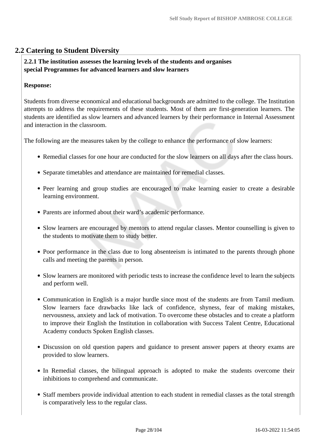#### **2.2 Catering to Student Diversity**

#### **2.2.1 The institution assesses the learning levels of the students and organises special Programmes for advanced learners and slow learners**

#### **Response:**

Students from diverse economical and educational backgrounds are admitted to the college. The Institution attempts to address the requirements of these students. Most of them are first-generation learners. The students are identified as slow learners and advanced learners by their performance in Internal Assessment and interaction in the classroom.

The following are the measures taken by the college to enhance the performance of slow learners:

- Remedial classes for one hour are conducted for the slow learners on all days after the class hours.
- Separate timetables and attendance are maintained for remedial classes.
- Peer learning and group studies are encouraged to make learning easier to create a desirable learning environment.
- Parents are informed about their ward's academic performance.
- Slow learners are encouraged by mentors to attend regular classes. Mentor counselling is given to the students to motivate them to study better.
- Poor performance in the class due to long absenteeism is intimated to the parents through phone calls and meeting the parents in person.
- Slow learners are monitored with periodic tests to increase the confidence level to learn the subjects and perform well.
- Communication in English is a major hurdle since most of the students are from Tamil medium. Slow learners face drawbacks like lack of confidence, shyness, fear of making mistakes, nervousness, anxiety and lack of motivation. To overcome these obstacles and to create a platform to improve their English the Institution in collaboration with Success Talent Centre, Educational Academy conducts Spoken English classes.
- Discussion on old question papers and guidance to present answer papers at theory exams are provided to slow learners.
- In Remedial classes, the bilingual approach is adopted to make the students overcome their inhibitions to comprehend and communicate.
- Staff members provide individual attention to each student in remedial classes as the total strength is comparatively less to the regular class.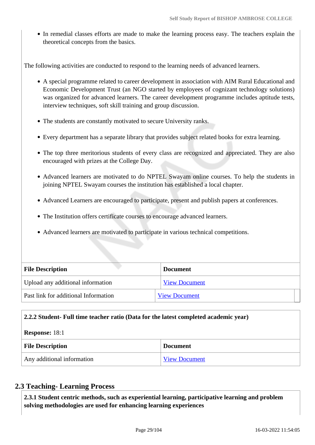In remedial classes efforts are made to make the learning process easy. The teachers explain the theoretical concepts from the basics.

The following activities are conducted to respond to the learning needs of advanced learners.

- A special programme related to career development in association with AIM Rural Educational and Economic Development Trust (an NGO started by employees of cognizant technology solutions) was organized for advanced learners. The career development programme includes aptitude tests, interview techniques, soft skill training and group discussion.
- The students are constantly motivated to secure University ranks.
- Every department has a separate library that provides subject related books for extra learning.
- The top three meritorious students of every class are recognized and appreciated. They are also encouraged with prizes at the College Day.
- Advanced learners are motivated to do NPTEL Swayam online courses. To help the students in joining NPTEL Swayam courses the institution has established a local chapter.
- Advanced Learners are encouraged to participate, present and publish papers at conferences.
- The Institution offers certificate courses to encourage advanced learners.
- Advanced learners are motivated to participate in various technical competitions.

| <b>File Description</b>              | <b>Document</b>      |
|--------------------------------------|----------------------|
| Upload any additional information    | <b>View Document</b> |
| Past link for additional Information | <b>View Document</b> |

#### **2.2.2 Student- Full time teacher ratio (Data for the latest completed academic year)**

#### **Response:** 18:1

| <b>File Description</b>    | <b>Document</b>      |
|----------------------------|----------------------|
| Any additional information | <b>View Document</b> |

#### **2.3 Teaching- Learning Process**

 **2.3.1 Student centric methods, such as experiential learning, participative learning and problem solving methodologies are used for enhancing learning experiences**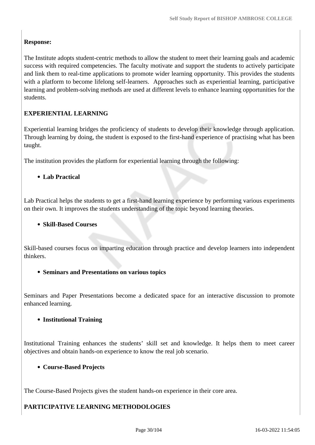#### **Response:**

The Institute adopts student-centric methods to allow the student to meet their learning goals and academic success with required competencies. The faculty motivate and support the students to actively participate and link them to real-time applications to promote wider learning opportunity. This provides the students with a platform to become lifelong self-learners. Approaches such as experiential learning, participative learning and problem-solving methods are used at different levels to enhance learning opportunities for the students.

#### **EXPERIENTIAL LEARNING**

Experiential learning bridges the proficiency of students to develop their knowledge through application. Through learning by doing, the student is exposed to the first-hand experience of practising what has been taught.

The institution provides the platform for experiential learning through the following:

#### **Lab Practical**

Lab Practical helps the students to get a first-hand learning experience by performing various experiments on their own. It improves the students understanding of the topic beyond learning theories.

#### **Skill-Based Courses**

Skill-based courses focus on imparting education through practice and develop learners into independent thinkers.

#### **Seminars and Presentations on various topics**

Seminars and Paper Presentations become a dedicated space for an interactive discussion to promote enhanced learning.

#### **Institutional Training**

Institutional Training enhances the students' skill set and knowledge. It helps them to meet career objectives and obtain hands-on experience to know the real job scenario.

#### **Course-Based Projects**

The Course-Based Projects gives the student hands-on experience in their core area.

#### **PARTICIPATIVE LEARNING METHODOLOGIES**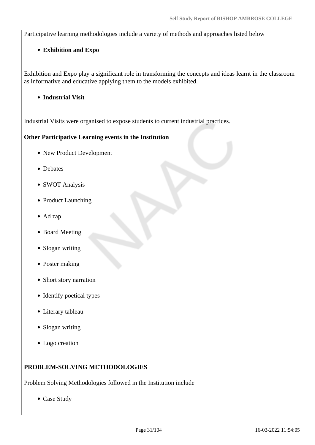Participative learning methodologies include a variety of methods and approaches listed below

#### **Exhibition and Expo**

Exhibition and Expo play a significant role in transforming the concepts and ideas learnt in the classroom as informative and educative applying them to the models exhibited.

**Industrial Visit**

Industrial Visits were organised to expose students to current industrial practices.

#### **Other Participative Learning events in the Institution**

- New Product Development
- Debates
- SWOT Analysis
- Product Launching
- Ad zap
- Board Meeting
- Slogan writing
- Poster making
- Short story narration
- Identify poetical types
- Literary tableau
- Slogan writing
- Logo creation

#### **PROBLEM-SOLVING METHODOLOGIES**

Problem Solving Methodologies followed in the Institution include

• Case Study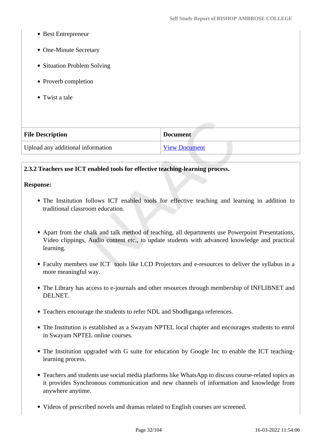- Best Entrepreneur
- One-Minute Secretary
- Situation Problem Solving
- Proverb completion
- Twist a tale

| <b>File Description</b>           | <b>Document</b>      |
|-----------------------------------|----------------------|
| Upload any additional information | <b>View Document</b> |

#### **2.3.2 Teachers use ICT enabled tools for effective teaching-learning process.**

#### **Response:**

- The Institution follows ICT enabled tools for effective teaching and learning in addition to traditional classroom education.
- Apart from the chalk and talk method of teaching, all departments use Powerpoint Presentations, Video clippings, Audio content etc., to update students with advanced knowledge and practical learning.
- Faculty members use ICT tools like LCD Projectors and e-resources to deliver the syllabus in a more meaningful way.
- The Library has access to e-journals and other resources through membership of INFLIBNET and DELNET.
- Teachers encourage the students to refer NDL and Shodhganga references.
- The Institution is established as a Swayam NPTEL local chapter and encourages students to enrol in Swayam NPTEL online courses.
- The Institution upgraded with G suite for education by Google Inc to enable the ICT teachinglearning process.
- Teachers and students use social media platforms like WhatsApp to discuss course-related topics as it provides Synchronous communication and new channels of information and knowledge from anywhere anytime.
- Videos of prescribed novels and dramas related to English courses are screened.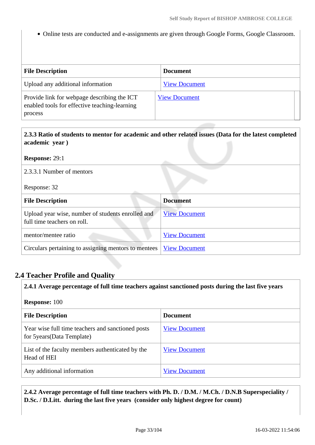• Online tests are conducted and e-assignments are given through Google Forms, Google Classroom.

| <b>File Description</b>                                                                                 | <b>Document</b>      |
|---------------------------------------------------------------------------------------------------------|----------------------|
| Upload any additional information                                                                       | <b>View Document</b> |
| Provide link for webpage describing the ICT<br>enabled tools for effective teaching-learning<br>process | <b>View Document</b> |

| 2.3.3 Ratio of students to mentor for academic and other related issues (Data for the latest completed |
|--------------------------------------------------------------------------------------------------------|
| academic year)                                                                                         |

**Response:** 29:1

2.3.3.1 Number of mentors

Response: 32

| <b>File Description</b>                                                          | <b>Document</b>      |
|----------------------------------------------------------------------------------|----------------------|
| Upload year wise, number of students enrolled and<br>full time teachers on roll. | <b>View Document</b> |
| mentor/mentee ratio                                                              | <b>View Document</b> |
| Circulars pertaining to assigning mentors to mentees                             | <b>View Document</b> |

#### **2.4 Teacher Profile and Quality**

 **2.4.1 Average percentage of full time teachers against sanctioned posts during the last five years Response:** 100 **File Description Document** Year wise full time teachers and sanctioned posts for 5years(Data Template) [View Document](https://assessmentonline.naac.gov.in/storage/app/hei/SSR/110347/2.4.1_1631596082_6460.xlsx) List of the faculty members authenticated by the Head of HEI [View Document](https://assessmentonline.naac.gov.in/storage/app/hei/SSR/110347/2.4.1_1631597117_6460.pdf) Any additional information [View Document](https://assessmentonline.naac.gov.in/storage/app/hei/SSR/110347/2.4.1_1631682793_6460.pdf)

 **2.4.2 Average percentage of full time teachers with Ph. D. / D.M. / M.Ch. / D.N.B Superspeciality / D.Sc. / D.Litt. during the last five years (consider only highest degree for count)**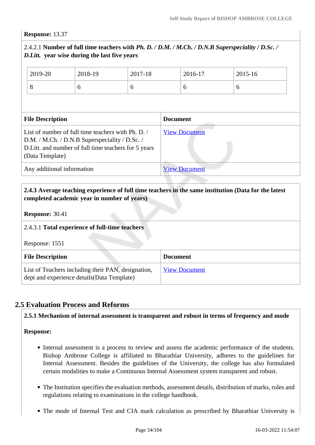#### **Response:** 13.37

#### 2.4.2.1 **Number of full time teachers with** *Ph. D. / D.M. / M.Ch. / D.N.B Superspeciality / D.Sc. / D.Litt.* **year wise during the last five years**

|                                                                                                                                                                                  | 2019-20 | 2018-19 | 2017-18         |                      | 2016-17 | 2015-16 |
|----------------------------------------------------------------------------------------------------------------------------------------------------------------------------------|---------|---------|-----------------|----------------------|---------|---------|
|                                                                                                                                                                                  | 8       | 6       | 6               |                      | 6       | 6       |
|                                                                                                                                                                                  |         |         |                 |                      |         |         |
| <b>File Description</b>                                                                                                                                                          |         |         | <b>Document</b> |                      |         |         |
| List of number of full time teachers with Ph. D. /<br>D.M. / M.Ch. / D.N.B Superspeciality / D.Sc. /<br>D. Litt. and number of full time teachers for 5 years<br>(Data Template) |         |         |                 | <b>View Document</b> |         |         |
| Any additional information                                                                                                                                                       |         |         |                 | <b>View Document</b> |         |         |

#### **2.4.3 Average teaching experience of full time teachers in the same institution (Data for the latest completed academic year in number of years)**

**Response:** 30.41

## 2.4.3.1 **Total experience of full-time teachers** Response: 1551 **File Description Document** List of Teachers including their PAN, designation, dept and experience details(Data Template) [View Document](https://assessmentonline.naac.gov.in/storage/app/hei/SSR/110347/2.4.3_1631596121_6460.xlsx)

#### **2.5 Evaluation Process and Reforms**

**2.5.1 Mechanism of internal assessment is transparent and robust in terms of frequency and mode**

#### **Response:**

- Internal assessment is a process to review and assess the academic performance of the students. Bishop Ambrose College is affiliated to Bharathiar University, adheres to the guidelines for Internal Assessment. Besides the guidelines of the University, the college has also formulated certain modalities to make a Continuous Internal Assessment system transparent and robust.
- The Institution specifies the evaluation methods, assessment details, distribution of marks, rules and regulations relating to examinations in the college handbook.
- The mode of Internal Test and CIA mark calculation as prescribed by Bharathiar University is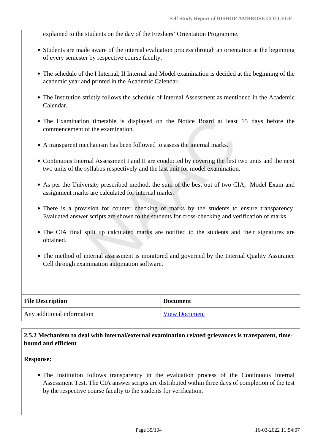explained to the students on the day of the Freshers' Orientation Programme.

- Students are made aware of the internal evaluation process through an orientation at the beginning of every semester by respective course faculty.
- The schedule of the I Internal, II Internal and Model examination is decided at the beginning of the academic year and printed in the Academic Calendar.
- The Institution strictly follows the schedule of Internal Assessment as mentioned in the Academic Calendar.
- The Examination timetable is displayed on the Notice Board at least 15 days before the commencement of the examination.
- A transparent mechanism has been followed to assess the internal marks.
- Continuous Internal Assessment I and II are conducted by covering the first two units and the next two units of the syllabus respectively and the last unit for model examination.
- As per the University prescribed method, the sum of the best out of two CIA, Model Exam and assignment marks are calculated for internal marks.
- There is a provision for counter checking of marks by the students to ensure transparency. Evaluated answer scripts are shown to the students for cross-checking and verification of marks.
- The CIA final split up calculated marks are notified to the students and their signatures are obtained.
- The method of internal assessment is monitored and governed by the Internal Quality Assurance Cell through examination automation software.

| <b>File Description</b>    | <b>Document</b>      |
|----------------------------|----------------------|
| Any additional information | <b>View Document</b> |

#### **2.5.2 Mechanism to deal with internal/external examination related grievances is transparent, timebound and efficient**

#### **Response:**

The Institution follows transparency in the evaluation process of the Continuous Internal Assessment Test. The CIA answer scripts are distributed within three days of completion of the test by the respective course faculty to the students for verification.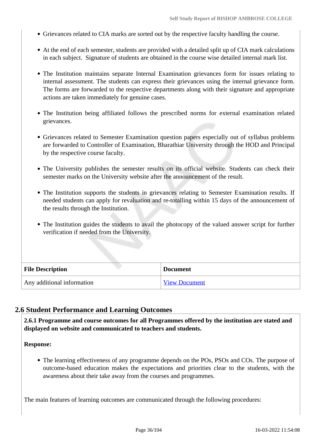- Grievances related to CIA marks are sorted out by the respective faculty handling the course.
- At the end of each semester, students are provided with a detailed split up of CIA mark calculations in each subject. Signature of students are obtained in the course wise detailed internal mark list.
- The Institution maintains separate Internal Examination grievances form for issues relating to internal assessment. The students can express their grievances using the internal grievance form. The forms are forwarded to the respective departments along with their signature and appropriate actions are taken immediately for genuine cases.
- The Institution being affiliated follows the prescribed norms for external examination related grievances.
- Grievances related to Semester Examination question papers especially out of syllabus problems are forwarded to Controller of Examination, Bharathiar University through the HOD and Principal by the respective course faculty.
- The University publishes the semester results on its official website. Students can check their semester marks on the University website after the announcement of the result.
- The Institution supports the students in grievances relating to Semester Examination results. If needed students can apply for revaluation and re-totalling within 15 days of the announcement of the results through the Institution.
- The Institution guides the students to avail the photocopy of the valued answer script for further verification if needed from the University.

| <b>File Description</b>    | <b>Document</b>      |
|----------------------------|----------------------|
| Any additional information | <b>View Document</b> |

#### **2.6 Student Performance and Learning Outcomes**

 **2.6.1 Programme and course outcomes for all Programmes offered by the institution are stated and displayed on website and communicated to teachers and students.**

**Response:** 

• The learning effectiveness of any programme depends on the POs, PSOs and COs. The purpose of outcome-based education makes the expectations and priorities clear to the students, with the awareness about their take away from the courses and programmes.

The main features of learning outcomes are communicated through the following procedures: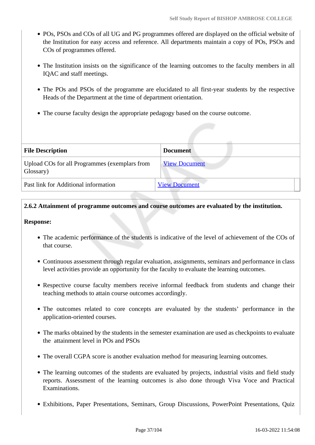- POs, PSOs and COs of all UG and PG programmes offered are displayed on the official website of the Institution for easy access and reference. All departments maintain a copy of POs, PSOs and COs of programmes offered.
- The Institution insists on the significance of the learning outcomes to the faculty members in all IQAC and staff meetings.
- The POs and PSOs of the programme are elucidated to all first-year students by the respective Heads of the Department at the time of department orientation.
- The course faculty design the appropriate pedagogy based on the course outcome.

| <b>File Description</b>                                    | <b>Document</b>      |
|------------------------------------------------------------|----------------------|
| Upload COs for all Programmes (exemplars from<br>Glossary) | <b>View Document</b> |
| Past link for Additional information                       | <b>View Document</b> |

# **2.6.2 Attainment of programme outcomes and course outcomes are evaluated by the institution.**

**Response:** 

- The academic performance of the students is indicative of the level of achievement of the COs of that course.
- Continuous assessment through regular evaluation, assignments, seminars and performance in class level activities provide an opportunity for the faculty to evaluate the learning outcomes.
- Respective course faculty members receive informal feedback from students and change their teaching methods to attain course outcomes accordingly.
- The outcomes related to core concepts are evaluated by the students' performance in the application-oriented courses.
- The marks obtained by the students in the semester examination are used as checkpoints to evaluate the attainment level in POs and PSOs
- The overall CGPA score is another evaluation method for measuring learning outcomes.
- The learning outcomes of the students are evaluated by projects, industrial visits and field study reports. Assessment of the learning outcomes is also done through Viva Voce and Practical Examinations.
- Exhibitions, Paper Presentations, Seminars, Group Discussions, PowerPoint Presentations, Quiz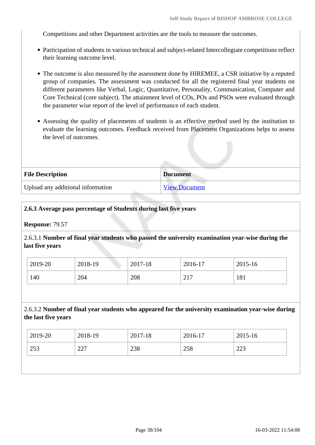Competitions and other Department activities are the tools to measure the outcomes.

- Participation of students in various technical and subject-related Intercollegiate competitions reflect their learning outcome level.
- The outcome is also measured by the assessment done by HIREMEE, a CSR initiative by a reputed group of companies. The assessment was conducted for all the registered final year students on different parameters like Verbal, Logic, Quantitative, Personality, Communication, Computer and Core Technical (core subject). The attainment level of COs, POs and PSOs were evaluated through the parameter wise report of the level of performance of each student.
- Assessing the quality of placements of students is an effective method used by the institution to evaluate the learning outcomes. Feedback received from Placement Organizations helps to assess the level of outcomes.

| <b>File Description</b>           | <b>Document</b>      |
|-----------------------------------|----------------------|
| Upload any additional information | <b>View Document</b> |

## **2.6.3 Average pass percentage of Students during last five years**

**Response:** 79.57

2.6.3.1 **Number of final year students who passed the university examination year-wise during the last five years**

| 2019-20 | 2018-19 | 2017-18 | 2016-17                                  | 2015-16 |
|---------|---------|---------|------------------------------------------|---------|
| 140     | 204     | 208     | $\mathbf{\Omega}$ 1 $\mathbf{\Pi}$<br>41 | 181     |

2.6.3.2 **Number of final year students who appeared for the university examination year-wise during the last five years**

| $\frac{1}{2019}$ -20 | 2018-19 | 2017-18 | $12016 - 17$ | 2015-16 |
|----------------------|---------|---------|--------------|---------|
| 253                  | 227     | 238     | 258          | 223     |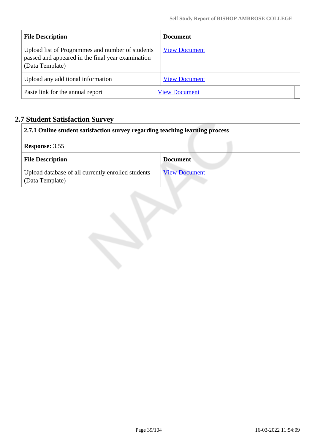| <b>File Description</b>                                                                                                  | <b>Document</b>      |
|--------------------------------------------------------------------------------------------------------------------------|----------------------|
| Upload list of Programmes and number of students<br>passed and appeared in the final year examination<br>(Data Template) | <b>View Document</b> |
| Upload any additional information                                                                                        | <b>View Document</b> |
| Paste link for the annual report                                                                                         | <b>View Document</b> |

# **2.7 Student Satisfaction Survey**

|                       | 2.7.1 Online student satisfaction survey regarding teaching learning process |                      |  |
|-----------------------|------------------------------------------------------------------------------|----------------------|--|
| <b>Response: 3.55</b> |                                                                              |                      |  |
|                       | <b>File Description</b>                                                      | <b>Document</b>      |  |
|                       | Upload database of all currently enrolled students<br>(Data Template)        | <b>View Document</b> |  |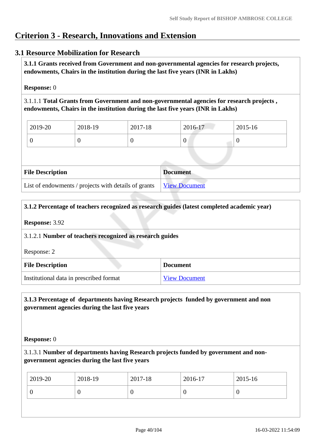# **Criterion 3 - Research, Innovations and Extension**

# **3.1 Resource Mobilization for Research**

 **3.1.1 Grants received from Government and non-governmental agencies for research projects, endowments, Chairs in the institution during the last five years (INR in Lakhs)** 

#### **Response:** 0

3.1.1.1 **Total Grants from Government and non-governmental agencies for research projects , endowments, Chairs in the institution during the last five years (INR in Lakhs)**

| 2019-20 | 2018-19 | 2017-18 | 2016-17 | $2015 - 16$ |
|---------|---------|---------|---------|-------------|
|         |         |         |         |             |

| <b>File Description</b>                                            | <b>Document</b> |
|--------------------------------------------------------------------|-----------------|
| List of endowments / projects with details of grants View Document |                 |

#### **3.1.2 Percentage of teachers recognized as research guides (latest completed academic year)**

#### **Response:** 3.92

#### 3.1.2.1 **Number of teachers recognized as research guides**

Response: 2

| <b>File Description</b>                 | <b>Document</b>      |
|-----------------------------------------|----------------------|
| Institutional data in prescribed format | <b>View Document</b> |

## **3.1.3 Percentage of departments having Research projects funded by government and non government agencies during the last five years**

#### **Response:** 0

3.1.3.1 **Number of departments having Research projects funded by government and nongovernment agencies during the last five years**

| 2019-20 | 2018-19 | 2017-18 | 2016-17 | 2015-16 |
|---------|---------|---------|---------|---------|
|         | ν       |         |         | U       |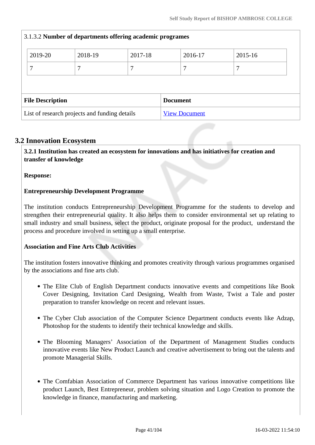| 3.1.3.2 Number of departments offering academic programes |         |         |         |                      |         |             |  |
|-----------------------------------------------------------|---------|---------|---------|----------------------|---------|-------------|--|
|                                                           | 2019-20 | 2018-19 | 2017-18 |                      | 2016-17 | $2015 - 16$ |  |
|                                                           | 7       |         | ┑       |                      |         | 7           |  |
|                                                           |         |         |         |                      |         |             |  |
| <b>File Description</b>                                   |         |         |         | <b>Document</b>      |         |             |  |
| List of research projects and funding details             |         |         |         | <b>View Document</b> |         |             |  |

# **3.2 Innovation Ecosystem**

 **3.2.1 Institution has created an ecosystem for innovations and has initiatives for creation and transfer of knowledge**

**Response:** 

# **Entrepreneurship Development Programme**

The institution conducts Entrepreneurship Development Programme for the students to develop and strengthen their entrepreneurial quality. It also helps them to consider environmental set up relating to small industry and small business, select the product, originate proposal for the product, understand the process and procedure involved in setting up a small enterprise.

# **Association and Fine Arts Club Activities**

The institution fosters innovative thinking and promotes creativity through various programmes organised by the associations and fine arts club.

- The Elite Club of English Department conducts innovative events and competitions like Book Cover Designing, Invitation Card Designing, Wealth from Waste, Twist a Tale and poster preparation to transfer knowledge on recent and relevant issues.
- The Cyber Club association of the Computer Science Department conducts events like Adzap, Photoshop for the students to identify their technical knowledge and skills.
- The Blooming Managers' Association of the Department of Management Studies conducts innovative events like New Product Launch and creative advertisement to bring out the talents and promote Managerial Skills.
- The Comfabian Association of Commerce Department has various innovative competitions like product Launch, Best Entrepreneur, problem solving situation and Logo Creation to promote the knowledge in finance, manufacturing and marketing.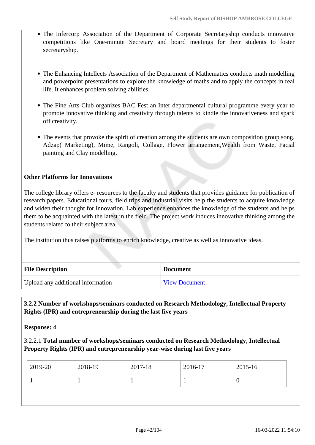- The Infercorp Association of the Department of Corporate Secretaryship conducts innovative competitions like One-minute Secretary and board meetings for their students to foster secretaryship.
- The Enhancing Intellects Association of the Department of Mathematics conducts math modelling and powerpoint presentations to explore the knowledge of maths and to apply the concepts in real life. It enhances problem solving abilities.
- The Fine Arts Club organizes BAC Fest an Inter departmental cultural programme every year to promote innovative thinking and creativity through talents to kindle the innovativeness and spark off creativity.
- The events that provoke the spirit of creation among the students are own composition group song, Adzap( Marketing), Mime, Rangoli, Collage, Flower arrangement,Wealth from Waste, Facial painting and Clay modelling.

# **Other Platforms for Innovations**

The college library offers e- resources to the faculty and students that provides guidance for publication of research papers. Educational tours, field trips and industrial visits help the students to acquire knowledge and widen their thought for innovation. Lab experience enhances the knowledge of the students and helps them to be acquainted with the latest in the field. The project work induces innovative thinking among the students related to their subject area.

The institution thus raises platforms to enrich knowledge, creative as well as innovative ideas.

| <b>File Description</b>           | <b>Document</b>      |
|-----------------------------------|----------------------|
| Upload any additional information | <b>View Document</b> |

# **3.2.2 Number of workshops/seminars conducted on Research Methodology, Intellectual Property Rights (IPR) and entrepreneurship during the last five years**

**Response:** 4

3.2.2.1 **Total number of workshops/seminars conducted on Research Methodology, Intellectual Property Rights (IPR) and entrepreneurship year-wise during last five years** 

| 2018-19 |  |
|---------|--|
|         |  |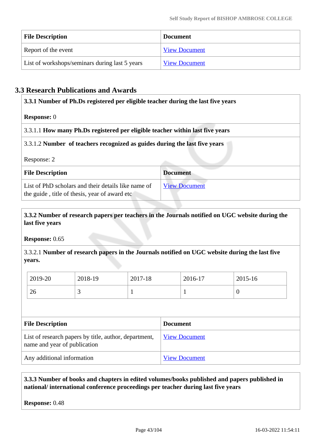| <b>File Description</b>                        | <b>Document</b>      |
|------------------------------------------------|----------------------|
| Report of the event                            | <b>View Document</b> |
| List of workshops/seminars during last 5 years | <b>View Document</b> |

# **3.3 Research Publications and Awards**

| 3.3.1 Number of Ph.Ds registered per eligible teacher during the last five years                     |                      |  |  |  |
|------------------------------------------------------------------------------------------------------|----------------------|--|--|--|
| <b>Response:</b> 0                                                                                   |                      |  |  |  |
| 3.3.1.1 How many Ph.Ds registered per eligible teacher within last five years                        |                      |  |  |  |
| 3.3.1.2 Number of teachers recognized as guides during the last five years                           |                      |  |  |  |
| Response: 2                                                                                          |                      |  |  |  |
| <b>File Description</b>                                                                              | <b>Document</b>      |  |  |  |
| List of PhD scholars and their details like name of<br>the guide, title of thesis, year of award etc | <b>View Document</b> |  |  |  |

# **3.3.2 Number of research papers per teachers in the Journals notified on UGC website during the last five years**

**Response:** 0.65

3.3.2.1 **Number of research papers in the Journals notified on UGC website during the last five years.**

| 2019-20 | 2018-19 | 2017-18 | 2016-17 | 2015-16 |
|---------|---------|---------|---------|---------|
| 26      | ັ       |         |         | ╰       |

| <b>File Description</b>                                                               | <b>Document</b>      |
|---------------------------------------------------------------------------------------|----------------------|
| List of research papers by title, author, department,<br>name and year of publication | <b>View Document</b> |
| Any additional information                                                            | <b>View Document</b> |

## **3.3.3 Number of books and chapters in edited volumes/books published and papers published in national/ international conference proceedings per teacher during last five years**

**Response:** 0.48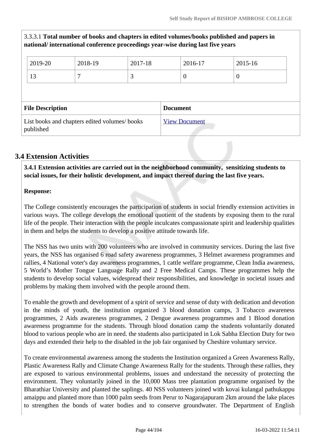# 3.3.3.1 **Total number of books and chapters in edited volumes/books published and papers in national/ international conference proceedings year-wise during last five years**

|                                            | 2019-20                                                    | 2018-19 | 2017-18              | 2016-17 | 2015-16  |  |
|--------------------------------------------|------------------------------------------------------------|---------|----------------------|---------|----------|--|
|                                            | 13                                                         |         | 3                    | 0       | $\theta$ |  |
|                                            |                                                            |         |                      |         |          |  |
| <b>File Description</b><br><b>Document</b> |                                                            |         |                      |         |          |  |
|                                            | List books and chapters edited volumes/ books<br>published |         | <b>View Document</b> |         |          |  |

# **3.4 Extension Activities**

 **3.4.1 Extension activities are carried out in the neighborhood community, sensitizing students to social issues, for their holistic development, and impact thereof during the last five years.**

## **Response:**

The College consistently encourages the participation of students in social friendly extension activities in various ways. The college develops the emotional quotient of the students by exposing them to the rural life of the people. Their interaction with the people inculcates compassionate spirit and leadership qualities in them and helps the students to develop a positive attitude towards life.

The NSS has two units with 200 volunteers who are involved in community services. During the last five years, the NSS has organised 6 road safety awareness programmes, 3 Helmet awareness programmes and rallies, 4 National voter's day awareness programmes, 1 cattle welfare programme, Clean India awareness, 5 World's Mother Tongue Language Rally and 2 Free Medical Camps. These programmes help the students to develop social values, widespread their responsibilities, and knowledge in societal issues and problems by making them involved with the people around them.

To enable the growth and development of a spirit of service and sense of duty with dedication and devotion in the minds of youth, the institution organized 3 blood donation camps, 3 Tobacco awareness programmes, 2 Aids awareness programmes, 2 Dengue awareness programmes and 1 Blood donation awareness programme for the students. Through blood donation camp the students voluntarily donated blood to various people who are in need. the students also participated in Lok Sabha Election Duty for two days and extended their help to the disabled in the job fair organised by Cheshire voluntary service.

To create environmental awareness among the students the Institution organized a Green Awareness Rally, Plastic Awareness Rally and Climate Change Awareness Rally for the students. Through these rallies, they are exposed to various environmental problems, issues and understand the necessity of protecting the environment. They voluntarily joined in the 10,000 Mass tree plantation programme organised by the Bharathiar University and planted the saplings. 40 NSS volunteers joined with kovai kulangal pathukappu amaippu and planted more than 1000 palm seeds from Perur to Nagarajapuram 2km around the lake places to strengthen the bonds of water bodies and to conserve groundwater. The Department of English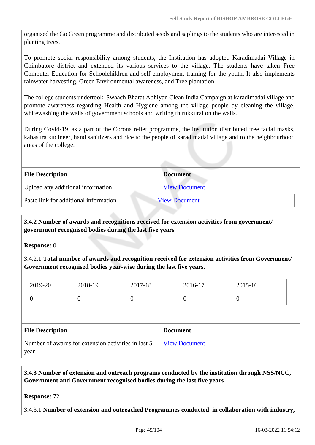organised the Go Green programme and distributed seeds and saplings to the students who are interested in planting trees.

To promote social responsibility among students, the Institution has adopted Karadimadai Village in Coimbatore district and extended its various services to the village. The students have taken Free Computer Education for Schoolchildren and self-employment training for the youth. It also implements rainwater harvesting, Green Environmental awareness, and Tree plantation.

The college students undertook Swaach Bharat Abhiyan Clean India Campaign at karadimadai village and promote awareness regarding Health and Hygiene among the village people by cleaning the village, whitewashing the walls of government schools and writing thirukkural on the walls.

During Covid-19, as a part of the Corona relief programme, the institution distributed free facial masks, kabasura kudineer, hand sanitizers and rice to the people of karadimadai village and to the neighbourhood areas of the college.

| <b>File Description</b>               | <b>Document</b>      |
|---------------------------------------|----------------------|
| Upload any additional information     | <b>View Document</b> |
| Paste link for additional information | <b>View Document</b> |
|                                       |                      |

## **3.4.2 Number of awards and recognitions received for extension activities from government/ government recognised bodies during the last five years**

**Response:** 0

3.4.2.1 **Total number of awards and recognition received for extension activities from Government/ Government recognised bodies year-wise during the last five years.**

| 2019-20 | 2018-19 | 2017-18 | 2016-17 | 2015-16 |
|---------|---------|---------|---------|---------|
|         | ◡       | ິ       |         | 0       |

| <b>File Description</b>                                     | <b>Document</b> |
|-------------------------------------------------------------|-----------------|
| Number of awards for extension activities in last 5<br>year | View Document   |

 **3.4.3 Number of extension and outreach programs conducted by the institution through NSS/NCC, Government and Government recognised bodies during the last five years**

**Response:** 72

3.4.3.1 **Number of extension and outreached Programmes conducted in collaboration with industry,**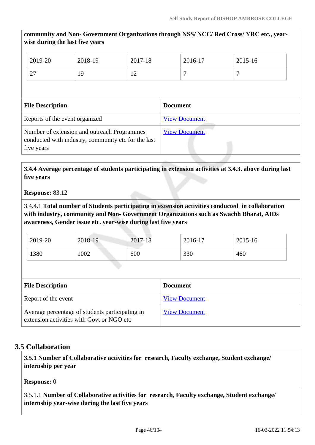**community and Non- Government Organizations through NSS/ NCC/ Red Cross/ YRC etc., yearwise during the last five years**

| 2019-20            | 2018-19 | 2017-18                          | 2016-17 | 2015-16 |
|--------------------|---------|----------------------------------|---------|---------|
| $\sim$<br>$\sim$ 1 | 19      | 1 <sub>0</sub><br>$\overline{1}$ |         | -       |

| <b>File Description</b>                                                                                          | <b>Document</b>      |  |  |  |  |
|------------------------------------------------------------------------------------------------------------------|----------------------|--|--|--|--|
| Reports of the event organized                                                                                   | <b>View Document</b> |  |  |  |  |
| Number of extension and outreach Programmes<br>conducted with industry, community etc for the last<br>five years | <b>View Document</b> |  |  |  |  |

 **3.4.4 Average percentage of students participating in extension activities at 3.4.3. above during last five years**

#### **Response:** 83.12

3.4.4.1 **Total number of Students participating in extension activities conducted in collaboration with industry, community and Non- Government Organizations such as Swachh Bharat, AIDs awareness, Gender issue etc. year-wise during last five years**

| 2019-20 | 2018-19 | 2017-18 | $2016-17$ | 2015-16 |
|---------|---------|---------|-----------|---------|
| 1380    | 002     | 600     | 330       | 460     |

| <b>File Description</b>                                                                      | <b>Document</b>      |
|----------------------------------------------------------------------------------------------|----------------------|
| Report of the event                                                                          | <b>View Document</b> |
| Average percentage of students participating in<br>extension activities with Govt or NGO etc | <b>View Document</b> |

#### **3.5 Collaboration**

 **3.5.1 Number of Collaborative activities for research, Faculty exchange, Student exchange/ internship per year**

#### **Response:** 0

3.5.1.1 **Number of Collaborative activities for research, Faculty exchange, Student exchange/ internship year-wise during the last five years**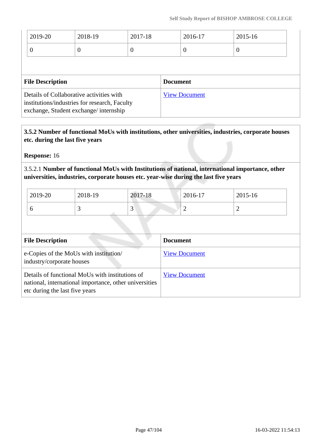| 2019-20                                                                                                                            | 2018-19  | 2017-18         |  | 2016-17  | 2015-16  |
|------------------------------------------------------------------------------------------------------------------------------------|----------|-----------------|--|----------|----------|
| $\theta$                                                                                                                           | $\theta$ | $\theta$        |  | $\theta$ | $\theta$ |
|                                                                                                                                    |          |                 |  |          |          |
| <b>File Description</b>                                                                                                            |          | <b>Document</b> |  |          |          |
| Details of Collaborative activities with<br>institutions/industries for research, Faculty<br>exchange, Student exchange/internship |          |                 |  |          |          |

 **3.5.2 Number of functional MoUs with institutions, other universities, industries, corporate houses etc. during the last five years** 

**Response:** 16

3.5.2.1 **Number of functional MoUs with Institutions of national, international importance, other universities, industries, corporate houses etc. year-wise during the last five years**

| 2019-20 | 2018-19 | 2017-18     | 2016-17 | 2015-16 |
|---------|---------|-------------|---------|---------|
|         | ້       | $\sim$<br>້ | ∽       |         |

| <b>File Description</b>                                                                                                                     | <b>Document</b>      |
|---------------------------------------------------------------------------------------------------------------------------------------------|----------------------|
| e-Copies of the MoUs with institution/<br>industry/corporate houses                                                                         | <b>View Document</b> |
| Details of functional MoUs with institutions of<br>national, international importance, other universities<br>etc during the last five years | <b>View Document</b> |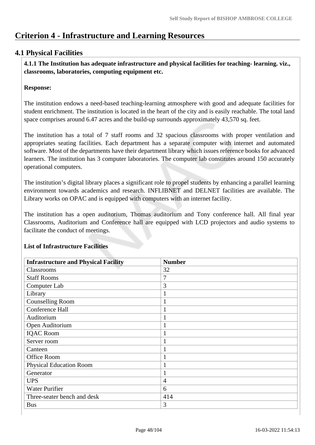# **Criterion 4 - Infrastructure and Learning Resources**

# **4.1 Physical Facilities**

 **4.1.1 The Institution has adequate infrastructure and physical facilities for teaching- learning. viz., classrooms, laboratories, computing equipment etc.** 

#### **Response:**

The institution endows a need-based teaching-learning atmosphere with good and adequate facilities for student enrichment. The institution is located in the heart of the city and is easily reachable. The total land space comprises around 6.47 acres and the build-up surrounds approximately 43,570 sq. feet.

The institution has a total of 7 staff rooms and 32 spacious classrooms with proper ventilation and appropriates seating facilities. Each department has a separate computer with internet and automated software. Most of the departments have their department library which issues reference books for advanced learners. The institution has 3 computer laboratories. The computer lab constitutes around 150 accurately operational computers.

The institution's digital library places a significant role to propel students by enhancing a parallel learning environment towards academics and research. INFLIBNET and DELNET facilities are available. The Library works on OPAC and is equipped with computers with an internet facility.

The institution has a open auditorium, Thomas auditorium and Tony conference hall. All final year Classrooms, Auditorium and Conference hall are equipped with LCD projectors and audio systems to facilitate the conduct of meetings.

| <b>Infrastructure and Physical Facility</b> | <b>Number</b>  |
|---------------------------------------------|----------------|
| Classrooms                                  | 32             |
| <b>Staff Rooms</b>                          | 7              |
| Computer Lab                                | 3              |
| Library                                     | $\mathbf{1}$   |
| <b>Counselling Room</b>                     | $\mathbf{1}$   |
| Conference Hall                             | $\mathbf{1}$   |
| Auditorium                                  | $\mathbf{1}$   |
| Open Auditorium                             | $\mathbf{1}$   |
| <b>IQAC Room</b>                            | 1              |
| Server room                                 | $\mathbf{1}$   |
| Canteen                                     | $\mathbf{1}$   |
| Office Room                                 | $\mathbf{1}$   |
| <b>Physical Education Room</b>              | $\mathbf{1}$   |
| Generator                                   | $\mathbf{1}$   |
| <b>UPS</b>                                  | $\overline{4}$ |
| <b>Water Purifier</b>                       | 6              |
| Three-seater bench and desk                 | 414            |
| <b>Bus</b>                                  | 3              |

# **List of Infrastructure Facilities**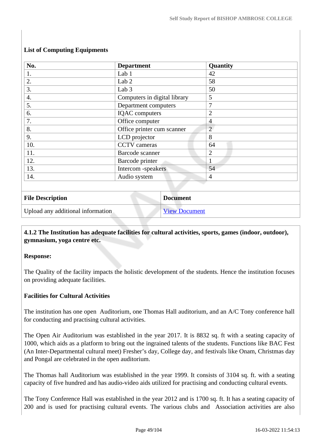| No.                     | <b>Department</b>            | Quantity       |
|-------------------------|------------------------------|----------------|
| 1.                      | Lab 1                        | 42             |
| 2.                      | Lab <sub>2</sub>             | 58             |
| 3.                      | Lab <sub>3</sub>             | 50             |
| $\overline{4}$ .        | Computers in digital library | 5              |
| 5.                      | Department computers         | 7              |
| 6.                      | <b>IQAC</b> computers        | $\overline{2}$ |
| 7.                      | Office computer              | $\overline{4}$ |
| 8.                      | Office printer cum scanner   | $\overline{2}$ |
| 9.                      | LCD projector                | 8              |
| 10.                     | <b>CCTV</b> cameras          | 64             |
| 11.                     | Barcode scanner              | $\overline{2}$ |
| 12.                     | Barcode printer              | $\mathbf{1}$   |
| 13.                     | Intercom -speakers           | 54             |
| 14.                     | Audio system                 | $\overline{4}$ |
|                         |                              |                |
| <b>File Description</b> | <b>Document</b>              |                |

# **List of Computing Equipments**

| <b>File Description</b>           | <b>Document</b>      |
|-----------------------------------|----------------------|
| Upload any additional information | <b>View Document</b> |

# **4.1.2 The Institution has adequate facilities for cultural activities, sports, games (indoor, outdoor), gymnasium, yoga centre etc.**

#### **Response:**

The Quality of the facility impacts the holistic development of the students. Hence the institution focuses on providing adequate facilities.

# **Facilities for Cultural Activities**

The institution has one open Auditorium, one Thomas Hall auditorium, and an A/C Tony conference hall for conducting and practising cultural activities.

The Open Air Auditorium was established in the year 2017. It is 8832 sq. ft with a seating capacity of 1000, which aids as a platform to bring out the ingrained talents of the students. Functions like BAC Fest (An Inter-Departmental cultural meet) Fresher's day, College day, and festivals like Onam, Christmas day and Pongal are celebrated in the open auditorium.

The Thomas hall Auditorium was established in the year 1999. It consists of 3104 sq. ft. with a seating capacity of five hundred and has audio-video aids utilized for practising and conducting cultural events.

The Tony Conference Hall was established in the year 2012 and is 1700 sq. ft. It has a seating capacity of 200 and is used for practising cultural events. The various clubs and Association activities are also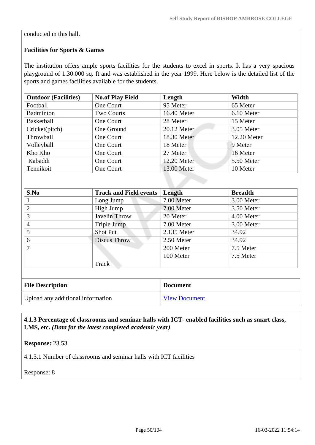conducted in this hall.

# **Facilities for Sports & Games**

The institution offers ample sports facilities for the students to excel in sports. It has a very spacious playground of 1.30.000 sq. ft and was established in the year 1999. Here below is the detailed list of the sports and games facilities available for the students.

| <b>Outdoor (Facilities)</b> | <b>No.of Play Field</b> | Length      | Width       |
|-----------------------------|-------------------------|-------------|-------------|
| Football                    | One Court               | 95 Meter    | 65 Meter    |
| Badminton                   | <b>Two Courts</b>       | 16.40 Meter | 6.10 Meter  |
| <b>Basketball</b>           | One Court               | 28 Meter    | 15 Meter    |
| Cricket(pitch)              | One Ground              | 20.12 Meter | 3.05 Meter  |
| Throwball                   | One Court               | 18.30 Meter | 12.20 Meter |
| Volleyball                  | One Court               | 18 Meter    | 9 Meter     |
| Kho Kho                     | One Court               | 27 Meter    | 16 Meter    |
| Kabaddi                     | One Court               | 12.20 Meter | 5.50 Meter  |
| Tennikoit                   | One Court               | 13.00 Meter | 10 Meter    |

| S.No                                                                                                | <b>Track and Field events</b> | Length      | <b>Breadth</b> |
|-----------------------------------------------------------------------------------------------------|-------------------------------|-------------|----------------|
| $\mathbf{I}$                                                                                        | Long Jump                     | 7.00 Meter  | 3.00 Meter     |
| 2                                                                                                   | High Jump                     | 7.00 Meter  | 3.50 Meter     |
| 3                                                                                                   | Javelin Throw                 | 20 Meter    | 4.00 Meter     |
| 4                                                                                                   | Triple Jump                   | 7.00 Meter  | 3.00 Meter     |
| 5                                                                                                   | Shot Put                      | 2.135 Meter | 34.92          |
| 6                                                                                                   | <b>Discus Throw</b>           | 2.50 Meter  | 34.92          |
| 7                                                                                                   |                               | 200 Meter   | 7.5 Meter      |
|                                                                                                     | Track                         | 100 Meter   | 7.5 Meter      |
|                                                                                                     |                               |             |                |
| $E^{\text{H}}$ . $E^{\text{H}}$ , $E^{\text{H}}$ , $E^{\text{H}}$ , $E^{\text{H}}$ , $E^{\text{H}}$ |                               |             |                |

| <b>File Description</b>           | <b>Document</b>      |
|-----------------------------------|----------------------|
| Upload any additional information | <b>View Document</b> |

 **4.1.3 Percentage of classrooms and seminar halls with ICT- enabled facilities such as smart class, LMS, etc.** *(Data for the latest completed academic year)*

**Response:** 23.53

4.1.3.1 Number of classrooms and seminar halls with ICT facilities

Response: 8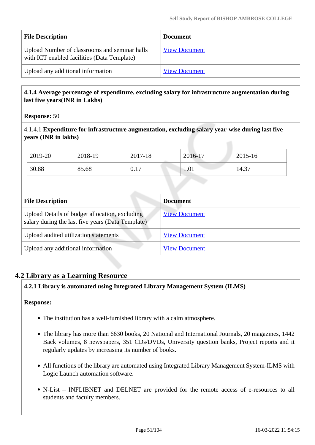| <b>File Description</b>                                                                      | <b>Document</b>      |
|----------------------------------------------------------------------------------------------|----------------------|
| Upload Number of classrooms and seminar halls<br>with ICT enabled facilities (Data Template) | <b>View Document</b> |
| Upload any additional information                                                            | <b>View Document</b> |

## **4.1.4 Average percentage of expenditure, excluding salary for infrastructure augmentation during last five years(INR in Lakhs)**

#### **Response:** 50

4.1.4.1 **Expenditure for infrastructure augmentation, excluding salary year-wise during last five years (INR in lakhs)**

| 2019-20 | 2018-19 | 2017-18 | 2016-17 | 2015-16 |
|---------|---------|---------|---------|---------|
| 30.88   | 85.68   | 0.17    | 1.01    | 14.37   |

| <b>File Description</b>                                                                             | <b>Document</b>      |
|-----------------------------------------------------------------------------------------------------|----------------------|
| Upload Details of budget allocation, excluding<br>salary during the last five years (Data Template) | <b>View Document</b> |
| Upload audited utilization statements                                                               | <b>View Document</b> |
| Upload any additional information                                                                   | <b>View Document</b> |

# **4.2 Library as a Learning Resource**

#### **4.2.1 Library is automated using Integrated Library Management System (ILMS)**

#### **Response:**

- The institution has a well-furnished library with a calm atmosphere.
- The library has more than 6630 books, 20 National and International Journals, 20 magazines, 1442 Back volumes, 8 newspapers, 351 CDs/DVDs, University question banks, Project reports and it regularly updates by increasing its number of books.
- All functions of the library are automated using Integrated Library Management System-ILMS with Logic Launch automation software.
- N-List INFLIBNET and DELNET are provided for the remote access of e-resources to all students and faculty members.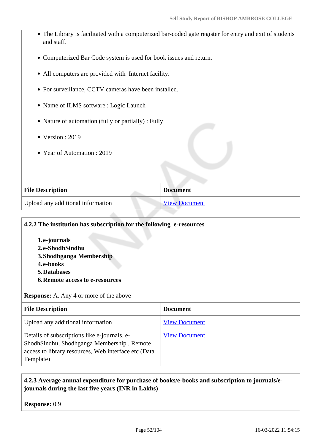- The Library is facilitated with a computerized bar-coded gate register for entry and exit of students and staff.
- Computerized Bar Code system is used for book issues and return.
- All computers are provided with Internet facility.
- For surveillance, CCTV cameras have been installed.
- Name of ILMS software : Logic Launch
- Nature of automation (fully or partially) : Fully
- $\bullet$  Version : 2019
- Year of Automation : 2019

| <b>File Description</b>           | <b>Document</b> |
|-----------------------------------|-----------------|
| Upload any additional information | View Document   |

#### **4.2.2 The institution has subscription for the following e-resources**

**1.e-journals 2.e-ShodhSindhu 3.Shodhganga Membership 4.e-books 5.Databases 6.Remote access to e-resources**

**Response:** A. Any 4 or more of the above

| <b>File Description</b>                                                                                                                                         | <b>Document</b>      |
|-----------------------------------------------------------------------------------------------------------------------------------------------------------------|----------------------|
| Upload any additional information                                                                                                                               | <b>View Document</b> |
| Details of subscriptions like e-journals, e-<br>ShodhSindhu, Shodhganga Membership, Remote<br>access to library resources, Web interface etc (Data<br>Template) | <b>View Document</b> |

## **4.2.3 Average annual expenditure for purchase of books/e-books and subscription to journals/ejournals during the last five years (INR in Lakhs)**

**Response:** 0.9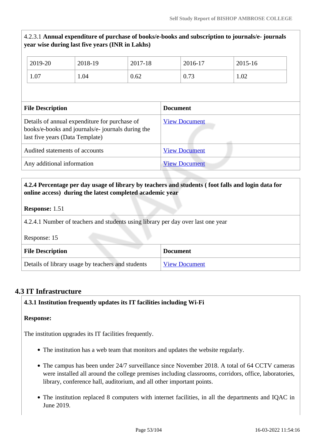# 4.2.3.1 **Annual expenditure of purchase of books/e-books and subscription to journals/e- journals year wise during last five years (INR in Lakhs)**

| 2019-20                                                                                                                               | 2018-19 | 2017-18              | 2016-17         | 2015-16 |
|---------------------------------------------------------------------------------------------------------------------------------------|---------|----------------------|-----------------|---------|
| 1.07                                                                                                                                  | 1.04    | 0.62                 | 0.73            | 1.02    |
|                                                                                                                                       |         |                      |                 |         |
| <b>File Description</b>                                                                                                               |         |                      | <b>Document</b> |         |
| Details of annual expenditure for purchase of<br>books/e-books and journals/e- journals during the<br>last five years (Data Template) |         | <b>View Document</b> |                 |         |
| Audited statements of accounts                                                                                                        |         | <b>View Document</b> |                 |         |
| Any additional information                                                                                                            |         | <b>View Document</b> |                 |         |

# **4.2.4 Percentage per day usage of library by teachers and students ( foot falls and login data for online access) during the latest completed academic year**

#### **Response:** 1.51

4.2.4.1 Number of teachers and students using library per day over last one year

Response: 15

| <b>File Description</b>                           | <b>Document</b>      |
|---------------------------------------------------|----------------------|
| Details of library usage by teachers and students | <b>View Document</b> |

#### **4.3 IT Infrastructure**

#### **4.3.1 Institution frequently updates its IT facilities including Wi-Fi**

#### **Response:**

The institution upgrades its IT facilities frequently.

- The institution has a web team that monitors and updates the website regularly.
- The campus has been under 24/7 surveillance since November 2018. A total of 64 CCTV cameras were installed all around the college premises including classrooms, corridors, office, laboratories, library, conference hall, auditorium, and all other important points.
- The institution replaced 8 computers with internet facilities, in all the departments and IQAC in June 2019.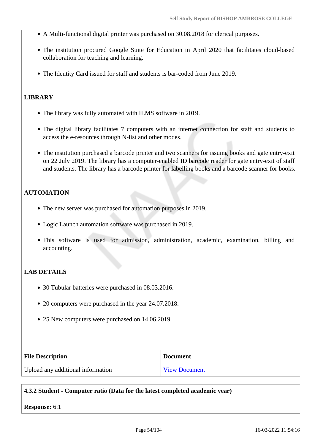- A Multi-functional digital printer was purchased on 30.08.2018 for clerical purposes.
- The institution procured Google Suite for Education in April 2020 that facilitates cloud-based collaboration for teaching and learning.
- The Identity Card issued for staff and students is bar-coded from June 2019.

## **LIBRARY**

- The library was fully automated with ILMS software in 2019.
- The digital library facilitates 7 computers with an internet connection for staff and students to access the e-resources through N-list and other modes.
- The institution purchased a barcode printer and two scanners for issuing books and gate entry-exit on 22 July 2019. The library has a computer-enabled ID barcode reader for gate entry-exit of staff and students. The library has a barcode printer for labelling books and a barcode scanner for books.

# **AUTOMATION**

- The new server was purchased for automation purposes in 2019.
- Logic Launch automation software was purchased in 2019.
- This software is used for admission, administration, academic, examination, billing and accounting.

# **LAB DETAILS**

- 30 Tubular batteries were purchased in 08.03.2016.
- 20 computers were purchased in the year 24.07.2018.
- 25 New computers were purchased on 14.06.2019.

| <b>File Description</b>           | <b>Document</b>      |
|-----------------------------------|----------------------|
| Upload any additional information | <b>View Document</b> |

## **4.3.2 Student - Computer ratio (Data for the latest completed academic year)**

#### **Response:** 6:1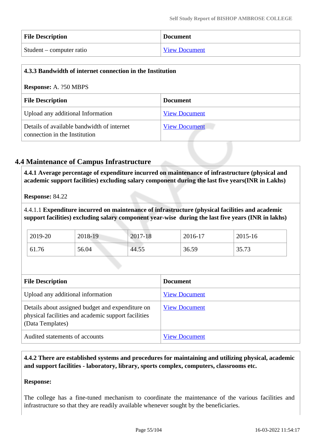| <b>File Description</b>  | <b>Document</b>      |
|--------------------------|----------------------|
| Student – computer ratio | <b>View Document</b> |

| 4.3.3 Bandwidth of internet connection in the Institution                   |                      |  |
|-----------------------------------------------------------------------------|----------------------|--|
| <b>Response: A. ?50 MBPS</b>                                                |                      |  |
| <b>File Description</b><br><b>Document</b>                                  |                      |  |
| Upload any additional Information                                           | <b>View Document</b> |  |
| Details of available bandwidth of internet<br>connection in the Institution | <b>View Document</b> |  |

# **4.4 Maintenance of Campus Infrastructure**

 **4.4.1 Average percentage of expenditure incurred on maintenance of infrastructure (physical and academic support facilities) excluding salary component during the last five years(INR in Lakhs)**

**Response:** 84.22

4.4.1.1 **Expenditure incurred on maintenance of infrastructure (physical facilities and academic support facilities) excluding salary component year-wise during the last five years (INR in lakhs)**

| 2019-20 | 2018-19 | 2017-18 | 2016-17 | 2015-16 |
|---------|---------|---------|---------|---------|
| 61.76   | 56.04   | 44.55   | 36.59   | 35.73   |

| <b>File Description</b>                                                                                                     | <b>Document</b>      |  |
|-----------------------------------------------------------------------------------------------------------------------------|----------------------|--|
| Upload any additional information                                                                                           | <b>View Document</b> |  |
| Details about assigned budget and expenditure on<br>physical facilities and academic support facilities<br>(Data Templates) | <b>View Document</b> |  |
| Audited statements of accounts                                                                                              | <b>View Document</b> |  |

 **4.4.2 There are established systems and procedures for maintaining and utilizing physical, academic and support facilities - laboratory, library, sports complex, computers, classrooms etc.**

#### **Response:**

The college has a fine-tuned mechanism to coordinate the maintenance of the various facilities and infrastructure so that they are readily available whenever sought by the beneficiaries.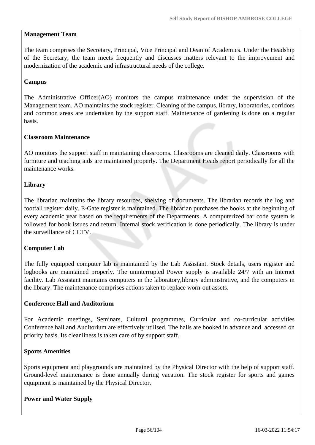#### **Management Team**

The team comprises the Secretary, Principal, Vice Principal and Dean of Academics. Under the Headship of the Secretary, the team meets frequently and discusses matters relevant to the improvement and modernization of the academic and infrastructural needs of the college.

#### **Campus**

The Administrative Officer(AO) monitors the campus maintenance under the supervision of the Management team. AO maintains the stock register. Cleaning of the campus, library, laboratories, corridors and common areas are undertaken by the support staff. Maintenance of gardening is done on a regular basis.

#### **Classroom Maintenance**

AO monitors the support staff in maintaining classrooms. Classrooms are cleaned daily. Classrooms with furniture and teaching aids are maintained properly. The Department Heads report periodically for all the maintenance works.

#### **Library**

The librarian maintains the library resources, shelving of documents. The librarian records the log and footfall register daily. E-Gate register is maintained. The librarian purchases the books at the beginning of every academic year based on the requirements of the Departments. A computerized bar code system is followed for book issues and return. Internal stock verification is done periodically. The library is under the surveillance of CCTV.

#### **Computer Lab**

The fully equipped computer lab is maintained by the Lab Assistant. Stock details, users register and logbooks are maintained properly. The uninterrupted Power supply is available 24/7 with an Internet facility. Lab Assistant maintains computers in the laboratory,library administrative, and the computers in the library. The maintenance comprises actions taken to replace worn-out assets.

#### **Conference Hall and Auditorium**

For Academic meetings, Seminars, Cultural programmes, Curricular and co-curricular activities Conference hall and Auditorium are effectively utilised. The halls are booked in advance and accessed on priority basis. Its cleanliness is taken care of by support staff.

#### **Sports Amenities**

Sports equipment and playgrounds are maintained by the Physical Director with the help of support staff. Ground-level maintenance is done annually during vacation. The stock register for sports and games equipment is maintained by the Physical Director.

#### **Power and Water Supply**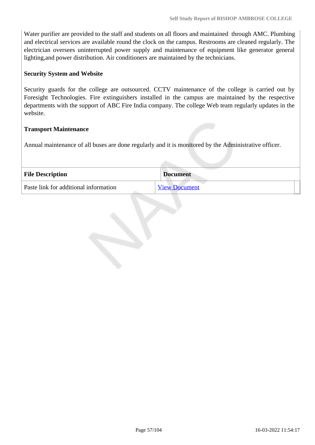Water purifier are provided to the staff and students on all floors and maintained through AMC. Plumbing and electrical services are available round the clock on the campus. Restrooms are cleaned regularly. The electrician oversees uninterrupted power supply and maintenance of equipment like generator general lighting,and power distribution. Air conditioners are maintained by the technicians.

#### **Security System and Website**

Security guards for the college are outsourced. CCTV maintenance of the college is carried out by Foresight Technologies. Fire extinguishers installed in the campus are maintained by the respective departments with the support of ABC Fire India company. The college Web team regularly updates in the website.

#### **Transport Maintenance**

Annual maintenance of all buses are done regularly and it is monitored by the Administrative officer.

| <b>File Description</b>               | <b>Document</b> |
|---------------------------------------|-----------------|
| Paste link for additional information | View Document   |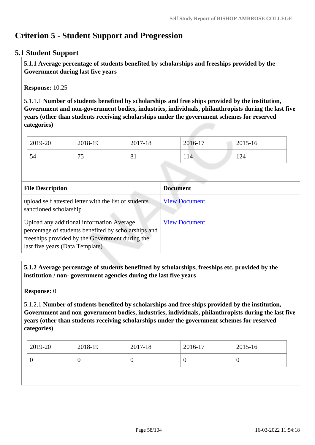# **Criterion 5 - Student Support and Progression**

# **5.1 Student Support**

 **5.1.1 Average percentage of students benefited by scholarships and freeships provided by the Government during last five years** 

**Response:** 10.25

5.1.1.1 **Number of students benefited by scholarships and free ships provided by the institution, Government and non-government bodies, industries, individuals, philanthropists during the last five years (other than students receiving scholarships under the government schemes for reserved categories)** 

| 2019-20 | 2018-19   | 2017-18               | 2016-17 | 2015-16 |
|---------|-----------|-----------------------|---------|---------|
| 54      | 75<br>ر ، | $\mathbf{O}$ .<br>0 T | 114     | 124     |

| <b>File Description</b>                                                                                                                                                                 | <b>Document</b>      |
|-----------------------------------------------------------------------------------------------------------------------------------------------------------------------------------------|----------------------|
| upload self attested letter with the list of students<br>sanctioned scholarship                                                                                                         | <b>View Document</b> |
| Upload any additional information Average<br>percentage of students benefited by scholarships and<br>freeships provided by the Government during the<br>last five years (Data Template) | <b>View Document</b> |

 **5.1.2 Average percentage of students benefitted by scholarships, freeships etc. provided by the institution / non- government agencies during the last five years**

**Response:** 0

5.1.2.1 **Number of students benefited by scholarships and free ships provided by the institution, Government and non-government bodies, industries, individuals, philanthropists during the last five years (other than students receiving scholarships under the government schemes for reserved categories)** 

| $\frac{1}{2019}$ -20 | 2018-19 | 2017-18 | 2016-17 | $2015 - 16$ |
|----------------------|---------|---------|---------|-------------|
| ν                    |         | U       |         | ν           |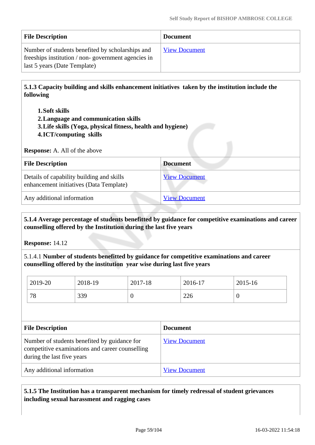| <b>File Description</b>                                                                                                                | <b>Document</b>      |
|----------------------------------------------------------------------------------------------------------------------------------------|----------------------|
| Number of students benefited by scholarships and<br>freeships institution / non-government agencies in<br>last 5 years (Date Template) | <b>View Document</b> |

 **5.1.3 Capacity building and skills enhancement initiatives taken by the institution include the following**

- **1.Soft skills**
- **2.Language and communication skills**
- **3.Life skills (Yoga, physical fitness, health and hygiene)**
- **4.ICT/computing skills**

**Response:** A. All of the above

| <b>File Description</b>                                                              | <b>Document</b>      |
|--------------------------------------------------------------------------------------|----------------------|
| Details of capability building and skills<br>enhancement initiatives (Data Template) | <b>View Document</b> |
| Any additional information                                                           | <b>View Document</b> |

 **5.1.4 Average percentage of students benefitted by guidance for competitive examinations and career counselling offered by the Institution during the last five years**

**Response:** 14.12

5.1.4.1 **Number of students benefitted by guidance for competitive examinations and career counselling offered by the institution year wise during last five years**

| 2019-20 | 2018-19 | 2017-18 | 2016-17 | 2015-16 |
|---------|---------|---------|---------|---------|
| 78      | 339     | ິ       | 226     | ν       |

| <b>File Description</b>                                                                                                       | <b>Document</b>      |
|-------------------------------------------------------------------------------------------------------------------------------|----------------------|
| Number of students benefited by guidance for<br>competitive examinations and career counselling<br>during the last five years | <b>View Document</b> |
| Any additional information                                                                                                    | <b>View Document</b> |

## **5.1.5 The Institution has a transparent mechanism for timely redressal of student grievances including sexual harassment and ragging cases**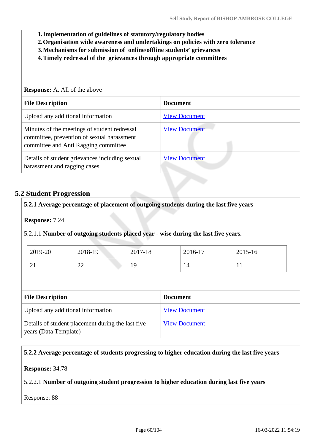**1.Implementation of guidelines of statutory/regulatory bodies**

- **2.Organisation wide awareness and undertakings on policies with zero tolerance**
- **3.Mechanisms for submission of online/offline students' grievances**
- **4.Timely redressal of the grievances through appropriate committees**

| <b>Response:</b> A. All of the above                                                                                               |                      |  |  |  |
|------------------------------------------------------------------------------------------------------------------------------------|----------------------|--|--|--|
| <b>File Description</b>                                                                                                            | <b>Document</b>      |  |  |  |
| Upload any additional information                                                                                                  | <b>View Document</b> |  |  |  |
| Minutes of the meetings of student redressal<br>committee, prevention of sexual harassment<br>committee and Anti Ragging committee | <b>View Document</b> |  |  |  |
| Details of student grievances including sexual<br>harassment and ragging cases                                                     | <b>View Document</b> |  |  |  |

#### **5.2 Student Progression**

|                                   | 5.2.1 Average percentage of placement of outgoing students during the last five years |                      |  |                      |         |
|-----------------------------------|---------------------------------------------------------------------------------------|----------------------|--|----------------------|---------|
| <b>Response: 7.24</b>             |                                                                                       |                      |  |                      |         |
|                                   | 5.2.1.1 Number of outgoing students placed year - wise during the last five years.    |                      |  |                      |         |
| 2019-20                           | 2018-19                                                                               | 2017-18              |  | 2016-17              | 2015-16 |
| 21                                | 22                                                                                    | 19                   |  | 14                   | 11      |
|                                   |                                                                                       |                      |  |                      |         |
| <b>File Description</b>           |                                                                                       | <b>Document</b>      |  |                      |         |
| Upload any additional information |                                                                                       | <b>View Document</b> |  |                      |         |
| years (Data Template)             | Details of student placement during the last five                                     |                      |  | <b>View Document</b> |         |

#### **5.2.2 Average percentage of students progressing to higher education during the last five years**

**Response:** 34.78

#### 5.2.2.1 **Number of outgoing student progression to higher education during last five years**

Response: 88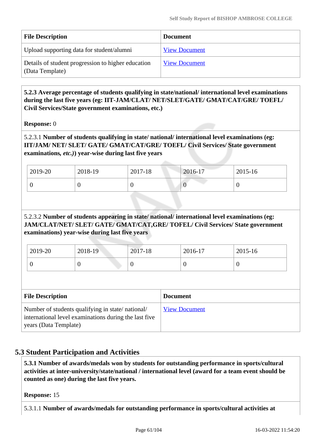| <b>File Description</b>                                               | <b>Document</b>      |
|-----------------------------------------------------------------------|----------------------|
| Upload supporting data for student/alumni                             | <b>View Document</b> |
| Details of student progression to higher education<br>(Data Template) | <b>View Document</b> |

# **5.2.3 Average percentage of students qualifying in state/national/ international level examinations during the last five years (eg: IIT-JAM/CLAT/ NET/SLET/GATE/ GMAT/CAT/GRE/ TOEFL/ Civil Services/State government examinations, etc.)**

**Response:** 0

5.2.3.1 **Number of students qualifying in state/ national/ international level examinations (eg: IIT/JAM/ NET/ SLET/ GATE/ GMAT/CAT/GRE/ TOEFL/ Civil Services/ State government examinations***, etc.)***) year-wise during last five years**

| 2019-20 | 2018-19 | 2017-18 | 2016-17 | 2015-16 |
|---------|---------|---------|---------|---------|
|         | ν       | v       |         |         |

# 5.2.3.2 **Number of students appearing in state/ national/ international level examinations (eg: JAM/CLAT/NET/ SLET/ GATE/ GMAT/CAT,GRE/ TOFEL/ Civil Services/ State government examinations) year-wise during last five years**

| Number of students qualifying in state/national/ |          | <b>View Document</b> |                 |          |  |
|--------------------------------------------------|----------|----------------------|-----------------|----------|--|
| <b>File Description</b>                          |          |                      | <b>Document</b> |          |  |
|                                                  |          |                      |                 |          |  |
| $\theta$                                         | $\bf{0}$ | $\Omega$             | O               | $\theta$ |  |
| 2019-20                                          | 2018-19  | 2017-18              | 2016-17         | 2015-16  |  |

# **5.3 Student Participation and Activities**

international level examinations during the last five

 **5.3.1 Number of awards/medals won by students for outstanding performance in sports/cultural activities at inter-university/state/national / international level (award for a team event should be counted as one) during the last five years.**

**Response:** 15

years (Data Template)

5.3.1.1 **Number of awards/medals for outstanding performance in sports/cultural activities at**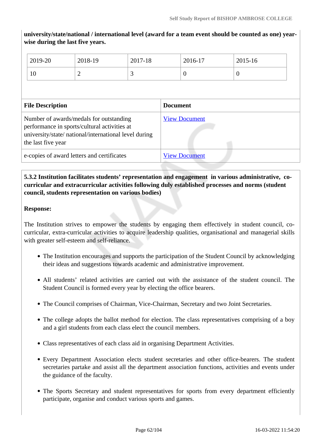**university/state/national / international level (award for a team event should be counted as one) yearwise during the last five years.**

| 2019-20 | 2018-19 | 2017-18 | 2016-17 | 2015-16 |
|---------|---------|---------|---------|---------|
| 10      | ∼       | ັ       |         | v       |

| <b>File Description</b>                                                                                                                                                | <b>Document</b>      |  |
|------------------------------------------------------------------------------------------------------------------------------------------------------------------------|----------------------|--|
| Number of awards/medals for outstanding<br>performance in sports/cultural activities at<br>university/state/ national/international level during<br>the last five year | <b>View Document</b> |  |
| e-copies of award letters and certificates                                                                                                                             | <b>View Document</b> |  |

# **5.3.2 Institution facilitates students' representation and engagement in various administrative, cocurricular and extracurricular activities following duly established processes and norms (student council, students representation on various bodies)**

#### **Response:**

The Institution strives to empower the students by engaging them effectively in student council, cocurricular, extra-curricular activities to acquire leadership qualities, organisational and managerial skills with greater self-esteem and self-reliance.

- The Institution encourages and supports the participation of the Student Council by acknowledging their ideas and suggestions towards academic and administrative improvement.
- All students' related activities are carried out with the assistance of the student council. The Student Council is formed every year by electing the office bearers.
- The Council comprises of Chairman, Vice-Chairman, Secretary and two Joint Secretaries.
- The college adopts the ballot method for election. The class representatives comprising of a boy and a girl students from each class elect the council members.
- Class representatives of each class aid in organising Department Activities.
- Every Department Association elects student secretaries and other office-bearers. The student secretaries partake and assist all the department association functions, activities and events under the guidance of the faculty.
- The Sports Secretary and student representatives for sports from every department efficiently participate, organise and conduct various sports and games.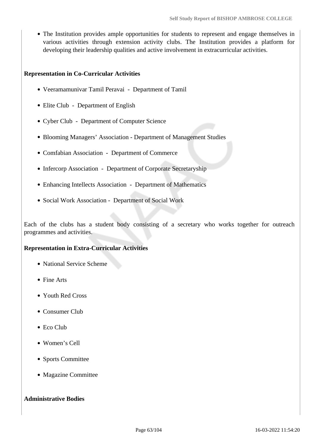The Institution provides ample opportunities for students to represent and engage themselves in various activities through extension activity clubs. The Institution provides a platform for developing their leadership qualities and active involvement in extracurricular activities.

#### **Representation in Co-Curricular Activities**

- Veeramamunivar Tamil Peravai Department of Tamil
- Elite Club Department of English
- Cyber Club Department of Computer Science
- Blooming Managers' Association Department of Management Studies
- Comfabian Association Department of Commerce
- Infercorp Association Department of Corporate Secretaryship
- Enhancing Intellects Association Department of Mathematics
- Social Work Association Department of Social Work

Each of the clubs has a student body consisting of a secretary who works together for outreach programmes and activities.

#### **Representation in Extra-Curricular Activities**

- National Service Scheme
- Fine Arts
- Youth Red Cross
- Consumer Club
- Eco Club
- Women's Cell
- Sports Committee
- Magazine Committee

#### **Administrative Bodies**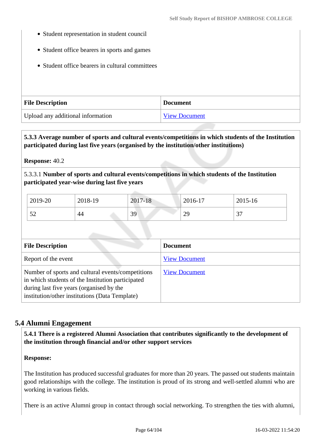- Student representation in student council
- Student office bearers in sports and games
- Student office bearers in cultural committees

| <b>File Description</b>           | <b>Document</b>      |
|-----------------------------------|----------------------|
| Upload any additional information | <b>View Document</b> |

 **5.3.3 Average number of sports and cultural events/competitions in which students of the Institution participated during last five years (organised by the institution/other institutions)**

**Response:** 40.2

5.3.3.1 **Number of sports and cultural events/competitions in which students of the Institution participated year-wise during last five years**

| 2019-20           | 2018-19 | 2017-<br>7-18 | 2016-17  | 2015-16     |
|-------------------|---------|---------------|----------|-------------|
| $\epsilon$<br>ے ب | 44      | 39            | റ<br>ر ب | $\sim$<br>ັ |

| <b>File Description</b>                                                                                                                                                                              | <b>Document</b>      |
|------------------------------------------------------------------------------------------------------------------------------------------------------------------------------------------------------|----------------------|
| Report of the event                                                                                                                                                                                  | <b>View Document</b> |
| Number of sports and cultural events/competitions<br>in which students of the Institution participated<br>during last five years (organised by the<br>institution/other institutions (Data Template) | <b>View Document</b> |

# **5.4 Alumni Engagement**

 **5.4.1 There is a registered Alumni Association that contributes significantly to the development of the institution through financial and/or other support services**

#### **Response:**

The Institution has produced successful graduates for more than 20 years. The passed out students maintain good relationships with the college. The institution is proud of its strong and well-settled alumni who are working in various fields.

There is an active Alumni group in contact through social networking. To strengthen the ties with alumni,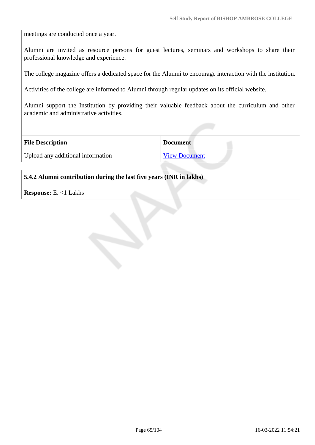meetings are conducted once a year.

Alumni are invited as resource persons for guest lectures, seminars and workshops to share their professional knowledge and experience.

The college magazine offers a dedicated space for the Alumni to encourage interaction with the institution.

Activities of the college are informed to Alumni through regular updates on its official website.

Alumni support the Institution by providing their valuable feedback about the curriculum and other academic and administrative activities.

| <b>File Description</b>           | <b>Document</b>      |  |
|-----------------------------------|----------------------|--|
| Upload any additional information | <b>View Document</b> |  |
|                                   |                      |  |

#### **5.4.2 Alumni contribution during the last five years (INR in lakhs)**

**Response:** E. <1 Lakhs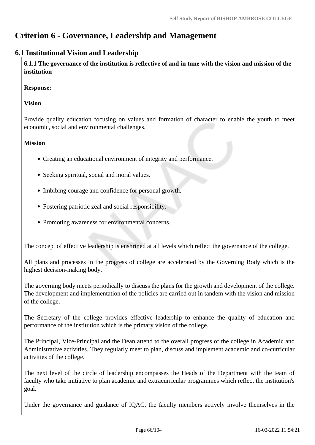# **Criterion 6 - Governance, Leadership and Management**

# **6.1 Institutional Vision and Leadership**

 **6.1.1 The governance of the institution is reflective of and in tune with the vision and mission of the institution**

#### **Response:**

#### **Vision**

Provide quality education focusing on values and formation of character to enable the youth to meet economic, social and environmental challenges.

#### **Mission**

- Creating an educational environment of integrity and performance.
- Seeking spiritual, social and moral values.
- Imbibing courage and confidence for personal growth.
- Fostering patriotic zeal and social responsibility.
- Promoting awareness for environmental concerns.

The concept of effective leadership is enshrined at all levels which reflect the governance of the college.

All plans and processes in the progress of college are accelerated by the Governing Body which is the highest decision-making body.

The governing body meets periodically to discuss the plans for the growth and development of the college. The development and implementation of the policies are carried out in tandem with the vision and mission of the college.

The Secretary of the college provides effective leadership to enhance the quality of education and performance of the institution which is the primary vision of the college.

The Principal, Vice-Principal and the Dean attend to the overall progress of the college in Academic and Administrative activities. They regularly meet to plan, discuss and implement academic and co-curricular activities of the college.

The next level of the circle of leadership encompasses the Heads of the Department with the team of faculty who take initiative to plan academic and extracurricular programmes which reflect the institution's goal.

Under the governance and guidance of IQAC, the faculty members actively involve themselves in the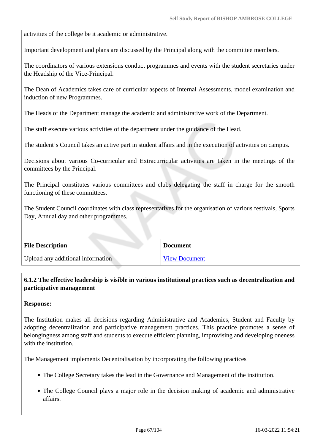activities of the college be it academic or administrative.

Important development and plans are discussed by the Principal along with the committee members.

The coordinators of various extensions conduct programmes and events with the student secretaries under the Headship of the Vice-Principal.

The Dean of Academics takes care of curricular aspects of Internal Assessments, model examination and induction of new Programmes.

The Heads of the Department manage the academic and administrative work of the Department.

The staff execute various activities of the department under the guidance of the Head.

The student's Council takes an active part in student affairs and in the execution of activities on campus.

Decisions about various Co-curricular and Extracurricular activities are taken in the meetings of the committees by the Principal.

The Principal constitutes various committees and clubs delegating the staff in charge for the smooth functioning of these committees.

The Student Council coordinates with class representatives for the organisation of various festivals, Sports Day, Annual day and other programmes.

| <b>File Description</b>           | <b>Document</b>      |
|-----------------------------------|----------------------|
| Upload any additional information | <b>View Document</b> |

# **6.1.2 The effective leadership is visible in various institutional practices such as decentralization and participative management**

#### **Response:**

The Institution makes all decisions regarding Administrative and Academics, Student and Faculty by adopting decentralization and participative management practices. This practice promotes a sense of belongingness among staff and students to execute efficient planning, improvising and developing oneness with the institution.

The Management implements Decentralisation by incorporating the following practices

- The College Secretary takes the lead in the Governance and Management of the institution.
- The College Council plays a major role in the decision making of academic and administrative affairs.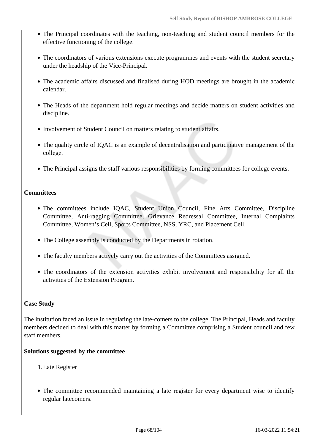- The Principal coordinates with the teaching, non-teaching and student council members for the effective functioning of the college.
- The coordinators of various extensions execute programmes and events with the student secretary under the headship of the Vice-Principal.
- The academic affairs discussed and finalised during HOD meetings are brought in the academic calendar.
- The Heads of the department hold regular meetings and decide matters on student activities and discipline.
- Involvement of Student Council on matters relating to student affairs.
- The quality circle of IQAC is an example of decentralisation and participative management of the college.
- The Principal assigns the staff various responsibilities by forming committees for college events.

## **Committees**

- The committees include IQAC, Student Union Council, Fine Arts Committee, Discipline Committee, Anti-ragging Committee, Grievance Redressal Committee, Internal Complaints Committee, Women's Cell, Sports Committee, NSS, YRC, and Placement Cell.
- The College assembly is conducted by the Departments in rotation.
- The faculty members actively carry out the activities of the Committees assigned.
- The coordinators of the extension activities exhibit involvement and responsibility for all the activities of the Extension Program.

#### **Case Study**

The institution faced an issue in regulating the late-comers to the college. The Principal, Heads and faculty members decided to deal with this matter by forming a Committee comprising a Student council and few staff members.

#### **Solutions suggested by the committee**

- 1.Late Register
- The committee recommended maintaining a late register for every department wise to identify regular latecomers.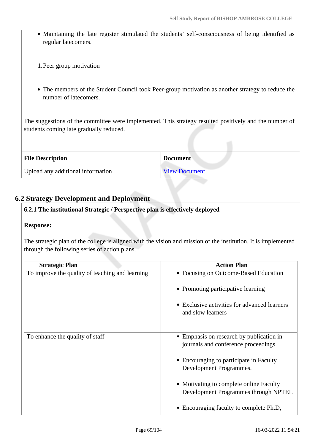- Maintaining the late register stimulated the students' self-consciousness of being identified as regular latecomers.
- 1.Peer group motivation
- The members of the Student Council took Peer-group motivation as another strategy to reduce the number of latecomers.

The suggestions of the committee were implemented. This strategy resulted positively and the number of students coming late gradually reduced.

| <b>File Description</b>           | <b>Document</b>      |
|-----------------------------------|----------------------|
| Upload any additional information | <b>View Document</b> |

# **6.2 Strategy Development and Deployment**

#### **6.2.1 The institutional Strategic / Perspective plan is effectively deployed**

#### **Response:**

The strategic plan of the college is aligned with the vision and mission of the institution. It is implemented through the following series of action plans.

| <b>Strategic Plan</b>                           | <b>Action Plan</b>                                                              |
|-------------------------------------------------|---------------------------------------------------------------------------------|
| To improve the quality of teaching and learning | • Focusing on Outcome-Based Education                                           |
|                                                 | • Promoting participative learning                                              |
|                                                 | • Exclusive activities for advanced learners<br>and slow learners               |
| To enhance the quality of staff                 | • Emphasis on research by publication in<br>journals and conference proceedings |
|                                                 | • Encouraging to participate in Faculty<br>Development Programmes.              |
|                                                 | • Motivating to complete online Faculty<br>Development Programmes through NPTEL |
|                                                 | • Encouraging faculty to complete Ph.D,                                         |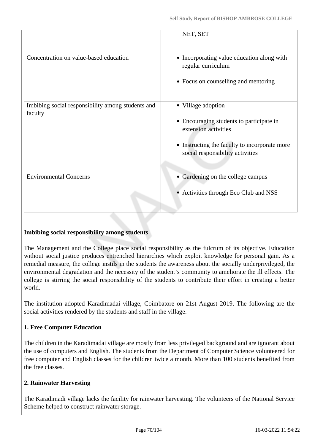|                                                              | NET, SET                                                                          |
|--------------------------------------------------------------|-----------------------------------------------------------------------------------|
| Concentration on value-based education                       | • Incorporating value education along with<br>regular curriculum                  |
|                                                              | • Focus on counselling and mentoring                                              |
| Imbibing social responsibility among students and<br>faculty | • Village adoption                                                                |
|                                                              | • Encouraging students to participate in<br>extension activities                  |
|                                                              | • Instructing the faculty to incorporate more<br>social responsibility activities |
| <b>Environmental Concerns</b>                                | Gardening on the college campus                                                   |
|                                                              | Activities through Eco Club and NSS                                               |

#### **Imbibing social responsibility among students**

The Management and the College place social responsibility as the fulcrum of its objective. Education without social justice produces entrenched hierarchies which exploit knowledge for personal gain. As a remedial measure, the college instils in the students the awareness about the socially underprivileged, the environmental degradation and the necessity of the student's community to ameliorate the ill effects. The college is stirring the social responsibility of the students to contribute their effort in creating a better world.

The institution adopted Karadimadai village, Coimbatore on 21st August 2019. The following are the social activities rendered by the students and staff in the village.

#### **1. Free Computer Education**

The children in the Karadimadai village are mostly from less privileged background and are ignorant about the use of computers and English. The students from the Department of Computer Science volunteered for free computer and English classes for the children twice a month. More than 100 students benefited from the free classes.

#### **2. Rainwater Harvesting**

The Karadimadi village lacks the facility for rainwater harvesting. The volunteers of the National Service Scheme helped to construct rainwater storage.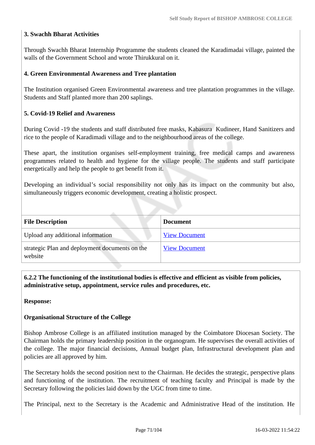# **3. Swachh Bharat Activities**

Through Swachh Bharat Internship Programme the students cleaned the Karadimadai village, painted the walls of the Government School and wrote Thirukkural on it.

#### **4. Green Environmental Awareness and Tree plantation**

The Institution organised Green Environmental awareness and tree plantation programmes in the village. Students and Staff planted more than 200 saplings.

#### **5. Covid-19 Relief and Awareness**

During Covid -19 the students and staff distributed free masks, Kabasura Kudineer, Hand Sanitizers and rice to the people of Karadimadi village and to the neighbourhood areas of the college.

These apart, the institution organises self-employment training, free medical camps and awareness programmes related to health and hygiene for the village people. The students and staff participate energetically and help the people to get benefit from it.

Developing an individual's social responsibility not only has its impact on the community but also, simultaneously triggers economic development, creating a holistic prospect.

| <b>File Description</b>                                   | <b>Document</b>      |
|-----------------------------------------------------------|----------------------|
| Upload any additional information                         | <b>View Document</b> |
| strategic Plan and deployment documents on the<br>website | <b>View Document</b> |

 **6.2.2 The functioning of the institutional bodies is effective and efficient as visible from policies, administrative setup, appointment, service rules and procedures, etc.**

#### **Response:**

#### **Organisational Structure of the College**

Bishop Ambrose College is an affiliated institution managed by the Coimbatore Diocesan Society. The Chairman holds the primary leadership position in the organogram. He supervises the overall activities of the college. The major financial decisions, Annual budget plan, Infrastructural development plan and policies are all approved by him.

The Secretary holds the second position next to the Chairman. He decides the strategic, perspective plans and functioning of the institution. The recruitment of teaching faculty and Principal is made by the Secretary following the policies laid down by the UGC from time to time.

The Principal, next to the Secretary is the Academic and Administrative Head of the institution. He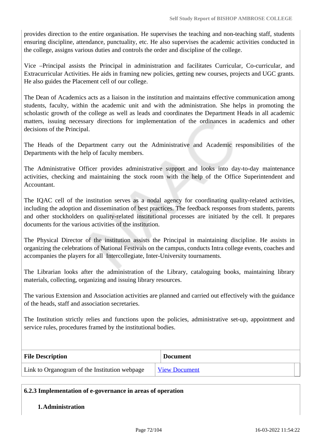provides direction to the entire organisation. He supervises the teaching and non-teaching staff, students ensuring discipline, attendance, punctuality, etc. He also supervises the academic activities conducted in the college, assigns various duties and controls the order and discipline of the college.

Vice –Principal assists the Principal in administration and facilitates Curricular, Co-curricular, and Extracurricular Activities. He aids in framing new policies, getting new courses, projects and UGC grants. He also guides the Placement cell of our college.

The Dean of Academics acts as a liaison in the institution and maintains effective communication among students, faculty, within the academic unit and with the administration. She helps in promoting the scholastic growth of the college as well as leads and coordinates the Department Heads in all academic matters, issuing necessary directions for implementation of the ordinances in academics and other decisions of the Principal.

The Heads of the Department carry out the Administrative and Academic responsibilities of the Departments with the help of faculty members.

The Administrative Officer provides administrative support and looks into day-to-day maintenance activities, checking and maintaining the stock room with the help of the Office Superintendent and Accountant.

The IQAC cell of the institution serves as a nodal agency for coordinating quality-related activities, including the adoption and dissemination of best practices. The feedback responses from students, parents and other stockholders on quality-related institutional processes are initiated by the cell. It prepares documents for the various activities of the institution.

The Physical Director of the institution assists the Principal in maintaining discipline. He assists in organizing the celebrations of National Festivals on the campus, conducts Intra college events, coaches and accompanies the players for all Intercollegiate, Inter-University tournaments.

The Librarian looks after the administration of the Library, cataloguing books, maintaining library materials, collecting, organizing and issuing library resources.

The various Extension and Association activities are planned and carried out effectively with the guidance of the heads, staff and association secretaries.

The Institution strictly relies and functions upon the policies, administrative set-up, appointment and service rules, procedures framed by the institutional bodies.

| <b>File Description</b>                       | <b>Document</b>      |
|-----------------------------------------------|----------------------|
| Link to Organogram of the Institution webpage | <b>View Document</b> |

#### **6.2.3 Implementation of e-governance in areas of operation**

#### **1.Administration**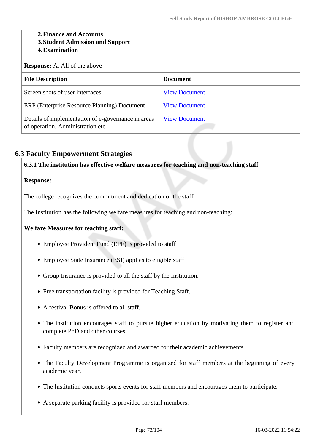# **2.Finance and Accounts 3.Student Admission and Support**

# **4.Examination**

**Response:** A. All of the above

| <b>File Description</b>                                                                | <b>Document</b>      |
|----------------------------------------------------------------------------------------|----------------------|
| Screen shots of user interfaces                                                        | <b>View Document</b> |
| ERP (Enterprise Resource Planning) Document                                            | <b>View Document</b> |
| Details of implementation of e-governance in areas<br>of operation, Administration etc | <b>View Document</b> |

# **6.3 Faculty Empowerment Strategies**

**6.3.1 The institution has effective welfare measures for teaching and non-teaching staff**

# **Response:**

The college recognizes the commitment and dedication of the staff.

The Institution has the following welfare measures for teaching and non-teaching:

# **Welfare Measures for teaching staff:**

- Employee Provident Fund (EPF) is provided to staff
- Employee State Insurance (ESI) applies to eligible staff
- Group Insurance is provided to all the staff by the Institution.
- Free transportation facility is provided for Teaching Staff.
- A festival Bonus is offered to all staff.
- The institution encourages staff to pursue higher education by motivating them to register and complete PhD and other courses.
- Faculty members are recognized and awarded for their academic achievements.
- The Faculty Development Programme is organized for staff members at the beginning of every academic year.
- The Institution conducts sports events for staff members and encourages them to participate.
- A separate parking facility is provided for staff members.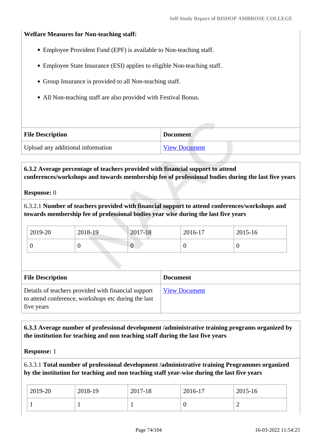### **Welfare Measures for Non-teaching staff:**

- Employee Provident Fund (EPF) is available to Non-teaching staff.
- Employee State Insurance (ESI) applies to eligible Non-teaching staff.
- Group Insurance is provided to all Non-teaching staff.
- All Non-teaching staff are also provided with Festival Bonus.

| <b>File Description</b>           | <b>Document</b>      |
|-----------------------------------|----------------------|
| Upload any additional information | <b>View Document</b> |

 **6.3.2 Average percentage of teachers provided with financial support to attend conferences/workshops and towards membership fee of professional bodies during the last five years**

#### **Response:** 0

6.3.2.1 **Number of teachers provided with financial support to attend conferences/workshops and towards membership fee of professional bodies year wise during the last five years**

| 2019-20 | 2018-19 | 2017-18 | 2016-17 | 2015-16 |
|---------|---------|---------|---------|---------|
|         |         | ν       |         |         |

| <b>File Description</b>                                                                                                  | <b>Document</b>      |
|--------------------------------------------------------------------------------------------------------------------------|----------------------|
| Details of teachers provided with financial support<br>to attend conference, workshops etc during the last<br>five years | <b>View Document</b> |

# **6.3.3 Average number of professional development /administrative training programs organized by the institution for teaching and non teaching staff during the last five years**

**Response:** 1

6.3.3.1 **Total number of professional development /administrative training Programmes organized by the institution for teaching and non teaching staff year-wise during the last five years**

| 2019-20 | 2018-19 | 2017-18 | 2016-17 | $2015 - 16$ |
|---------|---------|---------|---------|-------------|
|         |         |         |         | ∽           |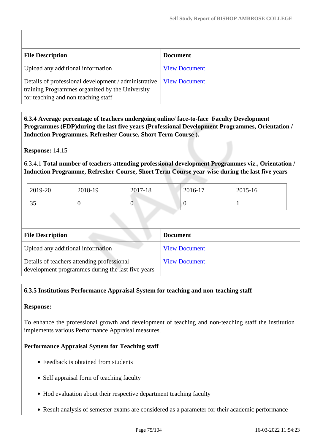| <b>File Description</b>                                                                                                                        | <b>Document</b>      |
|------------------------------------------------------------------------------------------------------------------------------------------------|----------------------|
| Upload any additional information                                                                                                              | <b>View Document</b> |
| Details of professional development / administrative<br>training Programmes organized by the University<br>for teaching and non teaching staff | <b>View Document</b> |

 **6.3.4 Average percentage of teachers undergoing online/ face-to-face Faculty Development Programmes (FDP)during the last five years (Professional Development Programmes, Orientation / Induction Programmes, Refresher Course, Short Term Course ).**

**Response:** 14.15

6.3.4.1 **Total number of teachers attending professional development Programmes viz., Orientation / Induction Programme, Refresher Course, Short Term Course year-wise during the last five years**

| 2019-20        | 2018-19 | 2017-18          | $2016 - 17$ | 2015-16 |
|----------------|---------|------------------|-------------|---------|
| $\Omega$<br>υJ |         | $\boldsymbol{0}$ | ◡           |         |

| <b>File Description</b>                                                                         | <b>Document</b>      |
|-------------------------------------------------------------------------------------------------|----------------------|
| Upload any additional information                                                               | <b>View Document</b> |
| Details of teachers attending professional<br>development programmes during the last five years | <b>View Document</b> |

# **6.3.5 Institutions Performance Appraisal System for teaching and non-teaching staff**

# **Response:**

To enhance the professional growth and development of teaching and non-teaching staff the institution implements various Performance Appraisal measures.

# **Performance Appraisal System for Teaching staff**

- Feedback is obtained from students
- Self appraisal form of teaching faculty
- Hod evaluation about their respective department teaching faculty
- Result analysis of semester exams are considered as a parameter for their academic performance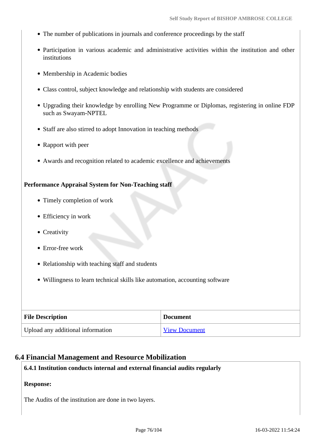- The number of publications in journals and conference proceedings by the staff
- Participation in various academic and administrative activities within the institution and other institutions
- Membership in Academic bodies
- Class control, subject knowledge and relationship with students are considered
- Upgrading their knowledge by enrolling New Programme or Diplomas, registering in online FDP such as Swayam-NPTEL
- Staff are also stirred to adopt Innovation in teaching methods
- Rapport with peer
- Awards and recognition related to academic excellence and achievements

### **Performance Appraisal System for Non-Teaching staff**

- Timely completion of work
- Efficiency in work
- Creativity
- Error-free work
- Relationship with teaching staff and students
- Willingness to learn technical skills like automation, accounting software

| <b>File Description</b>           | <b>Document</b>      |
|-----------------------------------|----------------------|
| Upload any additional information | <b>View Document</b> |

#### **6.4 Financial Management and Resource Mobilization**

# **6.4.1 Institution conducts internal and external financial audits regularly**

#### **Response:**

The Audits of the institution are done in two layers.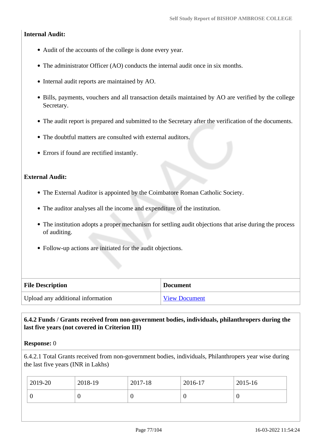# **Internal Audit:**

- Audit of the accounts of the college is done every year.
- The administrator Officer (AO) conducts the internal audit once in six months.
- Internal audit reports are maintained by AO.
- Bills, payments, vouchers and all transaction details maintained by AO are verified by the college Secretary.
- The audit report is prepared and submitted to the Secretary after the verification of the documents.
- The doubtful matters are consulted with external auditors.
- Errors if found are rectified instantly.

# **External Audit:**

- The External Auditor is appointed by the Coimbatore Roman Catholic Society.
- The auditor analyses all the income and expenditure of the institution.
- The institution adopts a proper mechanism for settling audit objections that arise during the process of auditing.
- Follow-up actions are initiated for the audit objections.

| <b>File Description</b>           | <b>Document</b>      |
|-----------------------------------|----------------------|
| Upload any additional information | <b>View Document</b> |

# **6.4.2 Funds / Grants received from non-government bodies, individuals, philanthropers during the last five years (not covered in Criterion III)**

# **Response:** 0

6.4.2.1 Total Grants received from non-government bodies, individuals, Philanthropers year wise during the last five years (INR in Lakhs)

|             | $2015 - 16$ |
|-------------|-------------|
| 0<br>ν<br>U | ν           |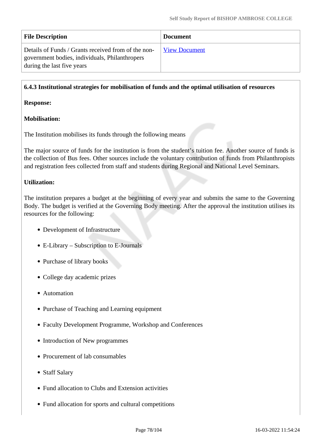| <b>File Description</b>                                                                                                             | <b>Document</b>      |
|-------------------------------------------------------------------------------------------------------------------------------------|----------------------|
| Details of Funds / Grants received from of the non-<br>government bodies, individuals, Philanthropers<br>during the last five years | <b>View Document</b> |

## **6.4.3 Institutional strategies for mobilisation of funds and the optimal utilisation of resources**

#### **Response:**

# **Mobilisation:**

The Institution mobilises its funds through the following means

The major source of funds for the institution is from the student's tuition fee. Another source of funds is the collection of Bus fees. Other sources include the voluntary contribution of funds from Philanthropists and registration fees collected from staff and students during Regional and National Level Seminars.

# **Utilization:**

The institution prepares a budget at the beginning of every year and submits the same to the Governing Body. The budget is verified at the Governing Body meeting. After the approval the institution utilises its resources for the following:

- Development of Infrastructure
- E-Library Subscription to E-Journals
- Purchase of library books
- College day academic prizes
- Automation
- Purchase of Teaching and Learning equipment
- Faculty Development Programme, Workshop and Conferences
- Introduction of New programmes
- Procurement of lab consumables
- Staff Salary
- Fund allocation to Clubs and Extension activities
- Fund allocation for sports and cultural competitions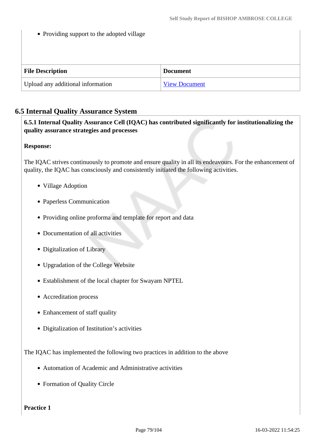• Providing support to the adopted village

| <b>File Description</b>           | <b>Document</b>      |
|-----------------------------------|----------------------|
| Upload any additional information | <b>View Document</b> |

# **6.5 Internal Quality Assurance System**

 **6.5.1 Internal Quality Assurance Cell (IQAC) has contributed significantly for institutionalizing the quality assurance strategies and processes**

# **Response:**

The IQAC strives continuously to promote and ensure quality in all its endeavours. For the enhancement of quality, the IQAC has consciously and consistently initiated the following activities.

- Village Adoption
- Paperless Communication
- Providing online proforma and template for report and data
- Documentation of all activities
- Digitalization of Library
- Upgradation of the College Website
- Establishment of the local chapter for Swayam NPTEL
- Accreditation process
- Enhancement of staff quality
- Digitalization of Institution's activities

The IQAC has implemented the following two practices in addition to the above

- Automation of Academic and Administrative activities
- Formation of Quality Circle

#### **Practice 1**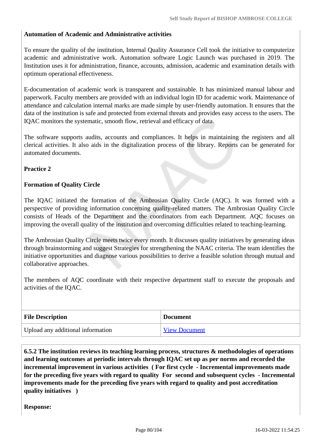# **Automation of Academic and Administrative activities**

To ensure the quality of the institution, Internal Quality Assurance Cell took the initiative to computerize academic and administrative work. Automation software Logic Launch was purchased in 2019. The Institution uses it for administration, finance, accounts, admission, academic and examination details with optimum operational effectiveness.

E-documentation of academic work is transparent and sustainable. It has minimized manual labour and paperwork. Faculty members are provided with an individual login ID for academic work. Maintenance of attendance and calculation internal marks are made simple by user-friendly automation. It ensures that the data of the institution is safe and protected from external threats and provides easy access to the users. The IQAC monitors the systematic, smooth flow, retrieval and efficacy of data.

The software supports audits, accounts and compliances. It helps in maintaining the registers and all clerical activities. It also aids in the digitalization process of the library. Reports can be generated for automated documents.

### **Practice 2**

### **Formation of Quality Circle**

The IQAC initiated the formation of the Ambrosian Quality Circle (AQC). It was formed with a perspective of providing information concerning quality-related matters. The Ambrosian Quality Circle consists of Heads of the Department and the coordinators from each Department. AQC focuses on improving the overall quality of the institution and overcoming difficulties related to teaching-learning.

The Ambrosian Quality Circle meets twice every month. It discusses quality initiatives by generating ideas through brainstorming and suggest Strategies for strengthening the NAAC criteria. The team identifies the initiative opportunities and diagnose various possibilities to derive a feasible solution through mutual and collaborative approaches.

The members of AQC coordinate with their respective department staff to execute the proposals and activities of the IQAC.

| <b>File Description</b>           | <b>Document</b>      |
|-----------------------------------|----------------------|
| Upload any additional information | <b>View Document</b> |

 **6.5.2 The institution reviews its teaching learning process, structures & methodologies of operations and learning outcomes at periodic intervals through IQAC set up as per norms and recorded the incremental improvement in various activities ( For first cycle - Incremental improvements made for the preceding five years with regard to quality For second and subsequent cycles - Incremental improvements made for the preceding five years with regard to quality and post accreditation quality initiatives )** 

**Response:**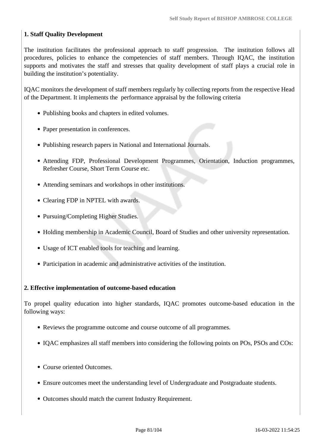# **1. Staff Quality Development**

The institution facilitates the professional approach to staff progression. The institution follows all procedures, policies to enhance the competencies of staff members. Through IQAC, the institution supports and motivates the staff and stresses that quality development of staff plays a crucial role in building the institution's potentiality.

IQAC monitors the development of staff members regularly by collecting reports from the respective Head of the Department. It implements the performance appraisal by the following criteria

- Publishing books and chapters in edited volumes.
- Paper presentation in conferences.
- Publishing research papers in National and International Journals.
- Attending FDP, Professional Development Programmes, Orientation, Induction programmes, Refresher Course, Short Term Course etc.
- Attending seminars and workshops in other institutions.
- Clearing FDP in NPTEL with awards.
- Pursuing/Completing Higher Studies.
- Holding membership in Academic Council, Board of Studies and other university representation.
- Usage of ICT enabled tools for teaching and learning.
- Participation in academic and administrative activities of the institution.

#### **2. Effective implementation of outcome-based education**

To propel quality education into higher standards, IQAC promotes outcome-based education in the following ways:

- Reviews the programme outcome and course outcome of all programmes.
- IQAC emphasizes all staff members into considering the following points on POs, PSOs and COs:
- Course oriented Outcomes.
- Ensure outcomes meet the understanding level of Undergraduate and Postgraduate students.
- Outcomes should match the current Industry Requirement.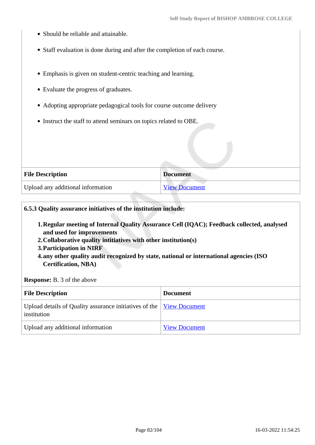- Should be reliable and attainable.
- Staff evaluation is done during and after the completion of each course.
- Emphasis is given on student-centric teaching and learning.
- Evaluate the progress of graduates.
- Adopting appropriate pedagogical tools for course outcome delivery
- Instruct the staff to attend seminars on topics related to OBE.

| <b>File Description</b>           | <b>Document</b>      |
|-----------------------------------|----------------------|
| Upload any additional information | <b>View Document</b> |

#### **6.5.3 Quality assurance initiatives of the institution include:**

- **1.Regular meeting of Internal Quality Assurance Cell (IQAC); Feedback collected, analysed and used for improvements**
- **2.Collaborative quality intitiatives with other institution(s)**
- **3.Participation in NIRF**
- **4.any other quality audit recognized by state, national or international agencies (ISO Certification, NBA)**

#### **Response:** B. 3 of the above

| <b>File Description</b>                                                                    | <b>Document</b>      |
|--------------------------------------------------------------------------------------------|----------------------|
| Upload details of Quality assurance initiatives of the <u>View Document</u><br>institution |                      |
| Upload any additional information                                                          | <b>View Document</b> |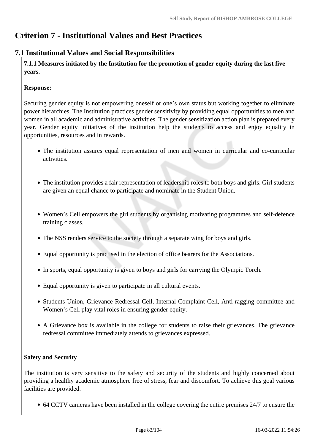# **Criterion 7 - Institutional Values and Best Practices**

# **7.1 Institutional Values and Social Responsibilities**

 **7.1.1 Measures initiated by the Institution for the promotion of gender equity during the last five years.**

# **Response:**

Securing gender equity is not empowering oneself or one's own status but working together to eliminate power hierarchies. The Institution practices gender sensitivity by providing equal opportunities to men and women in all academic and administrative activities. The gender sensitization action plan is prepared every year. Gender equity initiatives of the institution help the students to access and enjoy equality in opportunities, resources and in rewards.

- The institution assures equal representation of men and women in curricular and co-curricular activities.
- The institution provides a fair representation of leadership roles to both boys and girls. Girl students are given an equal chance to participate and nominate in the Student Union.
- Women's Cell empowers the girl students by organising motivating programmes and self-defence training classes.
- The NSS renders service to the society through a separate wing for boys and girls.
- Equal opportunity is practised in the election of office bearers for the Associations.
- In sports, equal opportunity is given to boys and girls for carrying the Olympic Torch.
- Equal opportunity is given to participate in all cultural events.
- Students Union, Grievance Redressal Cell, Internal Complaint Cell, Anti-ragging committee and Women's Cell play vital roles in ensuring gender equity.
- A Grievance box is available in the college for students to raise their grievances. The grievance redressal committee immediately attends to grievances expressed.

# **Safety and Security**

The institution is very sensitive to the safety and security of the students and highly concerned about providing a healthy academic atmosphere free of stress, fear and discomfort. To achieve this goal various facilities are provided.

64 CCTV cameras have been installed in the college covering the entire premises 24/7 to ensure the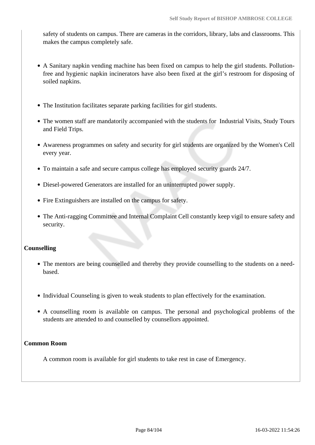safety of students on campus. There are cameras in the corridors, library, labs and classrooms. This makes the campus completely safe.

- A Sanitary napkin vending machine has been fixed on campus to help the girl students. Pollutionfree and hygienic napkin incinerators have also been fixed at the girl's restroom for disposing of soiled napkins.
- The Institution facilitates separate parking facilities for girl students.
- The women staff are mandatorily accompanied with the students for Industrial Visits, Study Tours and Field Trips.
- Awareness programmes on safety and security for girl students are organized by the Women's Cell every year.
- To maintain a safe and secure campus college has employed security guards 24/7.
- Diesel-powered Generators are installed for an uninterrupted power supply.
- Fire Extinguishers are installed on the campus for safety.
- The Anti-ragging Committee and Internal Complaint Cell constantly keep vigil to ensure safety and security.

#### **Counselling**

- The mentors are being counselled and thereby they provide counselling to the students on a needbased.
- Individual Counseling is given to weak students to plan effectively for the examination.
- A counselling room is available on campus. The personal and psychological problems of the students are attended to and counselled by counsellors appointed.

#### **Common Room**

A common room is available for girl students to take rest in case of Emergency.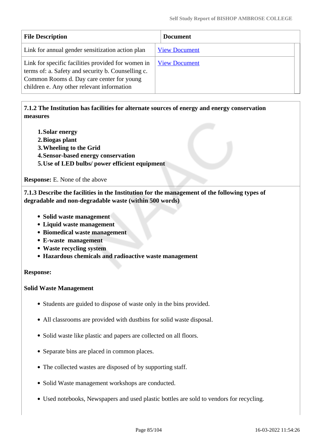| <b>File Description</b>                                                                                                                                                                             | <b>Document</b>      |
|-----------------------------------------------------------------------------------------------------------------------------------------------------------------------------------------------------|----------------------|
| Link for annual gender sensitization action plan                                                                                                                                                    | <b>View Document</b> |
| Link for specific facilities provided for women in<br>terms of: a. Safety and security b. Counselling c.<br>Common Rooms d. Day care center for young<br>children e. Any other relevant information | <b>View Document</b> |

# **7.1.2 The Institution has facilities for alternate sources of energy and energy conservation measures**

- **1.Solar energy**
- **2.Biogas plant**
- **3.Wheeling to the Grid**
- **4.Sensor-based energy conservation**
- **5.Use of LED bulbs/ power efficient equipment**

**Response:** E. None of the above

 **7.1.3 Describe the facilities in the Institution for the management of the following types of degradable and non-degradable waste (within 500 words)**

- **Solid waste management**
- **Liquid waste management**
- **Biomedical waste management**
- **E-waste management**
- **Waste recycling system**
- **Hazardous chemicals and radioactive waste management**

#### **Response:**

#### **Solid Waste Management**

- Students are guided to dispose of waste only in the bins provided.
- All classrooms are provided with dustbins for solid waste disposal.
- Solid waste like plastic and papers are collected on all floors.
- Separate bins are placed in common places.
- The collected wastes are disposed of by supporting staff.
- Solid Waste management workshops are conducted.
- Used notebooks, Newspapers and used plastic bottles are sold to vendors for recycling.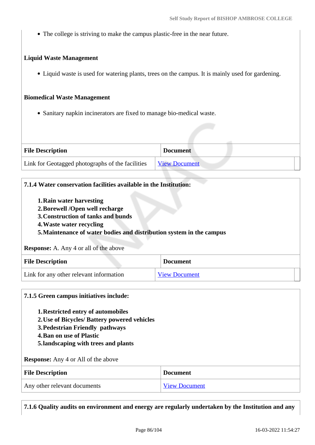The college is striving to make the campus plastic-free in the near future.

## **Liquid Waste Management**

Liquid waste is used for watering plants, trees on the campus. It is mainly used for gardening.

### **Biomedical Waste Management**

Sanitary napkin incinerators are fixed to manage bio-medical waste.

| <b>File Description</b>                          | <b>Document</b>      |
|--------------------------------------------------|----------------------|
| Link for Geotagged photographs of the facilities | <b>View Document</b> |

# **7.1.4 Water conservation facilities available in the Institution:**

- **1.Rain water harvesting**
- **2.Borewell /Open well recharge**
- **3.Construction of tanks and bunds**
- **4.Waste water recycling**

# **5.Maintenance of water bodies and distribution system in the campus**

#### **Response:** A. Any 4 or all of the above

| <b>File Description</b>                 | <b>Document</b>      |
|-----------------------------------------|----------------------|
| Link for any other relevant information | <b>View Document</b> |

#### **7.1.5 Green campus initiatives include:**

- **1.Restricted entry of automobiles**
- **2.Use of Bicycles/ Battery powered vehicles**
- **3.Pedestrian Friendly pathways**
- **4.Ban on use of Plastic**
- **5.landscaping with trees and plants**

#### **Response:** Any 4 or All of the above

| <b>File Description</b>      | <b>Document</b>      |
|------------------------------|----------------------|
| Any other relevant documents | <b>View Document</b> |

**7.1.6 Quality audits on environment and energy are regularly undertaken by the Institution and any**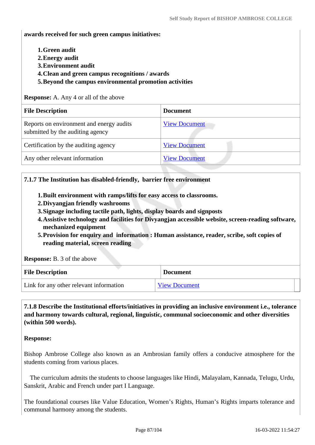**awards received for such green campus initiatives:**

- **1.Green audit**
- **2.Energy audit**
- **3.Environment audit**
- **4.Clean and green campus recognitions / awards**
- **5.Beyond the campus environmental promotion activities**

**Response:** A. Any 4 or all of the above

| <b>File Description</b>                                                      | <b>Document</b>      |
|------------------------------------------------------------------------------|----------------------|
| Reports on environment and energy audits<br>submitted by the auditing agency | <b>View Document</b> |
| Certification by the auditing agency                                         | <b>View Document</b> |
| Any other relevant information                                               | <b>View Document</b> |

#### **7.1.7 The Institution has disabled-friendly, barrier free environment**

- **1.Built environment with ramps/lifts for easy access to classrooms.**
- **2.Divyangjan friendly washrooms**
- **3.Signage including tactile path, lights, display boards and signposts**
- **4.Assistive technology and facilities for Divyangjan accessible website, screen-reading software, mechanized equipment**
- **5.Provision for enquiry and information : Human assistance, reader, scribe, soft copies of reading material, screen reading**

**Response:** B. 3 of the above

| <b>File Description</b>                 | <b>Document</b>      |
|-----------------------------------------|----------------------|
| Link for any other relevant information | <b>View Document</b> |

 **7.1.8 Describe the Institutional efforts/initiatives in providing an inclusive environment i.e., tolerance and harmony towards cultural, regional, linguistic, communal socioeconomic and other diversities (within 500 words).**

#### **Response:**

Bishop Ambrose College also known as an Ambrosian family offers a conducive atmosphere for the students coming from various places.

 The curriculum admits the students to choose languages like Hindi, Malayalam, Kannada, Telugu, Urdu, Sanskrit, Arabic and French under part I Language.

The foundational courses like Value Education, Women's Rights, Human's Rights imparts tolerance and communal harmony among the students.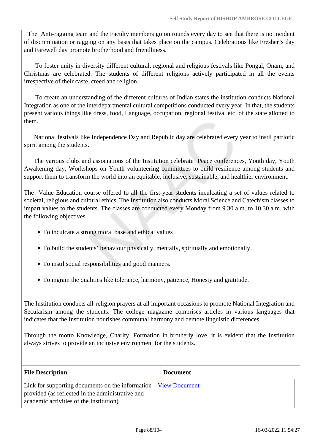The Anti-ragging team and the Faculty members go on rounds every day to see that there is no incident of discrimination or ragging on any basis that takes place on the campus. Celebrations like Fresher's day and Farewell day promote brotherhood and friendliness.

 To foster unity in diversity different cultural, regional and religious festivals like Pongal, Onam, and Christmas are celebrated. The students of different religions actively participated in all the events irrespective of their caste, creed and religion.

 To create an understanding of the different cultures of Indian states the institution conducts National Integration as one of the interdepartmental cultural competitions conducted every year. In that, the students present various things like dress, food, Language, occupation, regional festival etc. of the state allotted to them.

 National festivals like Independence Day and Republic day are celebrated every year to instil patriotic spirit among the students.

 The various clubs and associations of the Institution celebrate Peace conferences, Youth day, Youth Awakening day, Workshops on Youth volunteering committees to build resilience among students and support them to transform the world into an equitable, inclusive, sustainable, and healthier environment.

The Value Education course offered to all the first-year students inculcating a set of values related to societal, religious and cultural ethics. The Institution also conducts Moral Science and Catechism classes to impart values to the students. The classes are conducted every Monday from 9.30 a.m. to 10.30.a.m. with the following objectives.

- To inculcate a strong moral base and ethical values
- To build the students' behaviour physically, mentally, spiritually and emotionally.
- To instil social responsibilities and good manners.
- To ingrain the qualities like tolerance, harmony, patience, Honesty and gratitude.

The Institution conducts all-religion prayers at all important occasions to promote National Integration and Secularism among the students. The college magazine comprises articles in various languages that indicates that the Institution nourishes communal harmony and demote linguistic differences.

Through the motto Knowledge, Charity, Formation in brotherly love, it is evident that the Institution always strives to provide an inclusive environment for the students.

| <b>File Description</b>                                                                                                                                         | <b>Document</b> |
|-----------------------------------------------------------------------------------------------------------------------------------------------------------------|-----------------|
| Link for supporting documents on the information   View Document<br>provided (as reflected in the administrative and<br>academic activities of the Institution) |                 |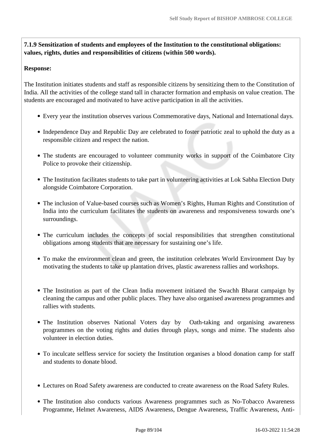**7.1.9 Sensitization of students and employees of the Institution to the constitutional obligations: values, rights, duties and responsibilities of citizens (within 500 words).**

## **Response:**

The Institution initiates students and staff as responsible citizens by sensitizing them to the Constitution of India. All the activities of the college stand tall in character formation and emphasis on value creation. The students are encouraged and motivated to have active participation in all the activities.

- Every year the institution observes various Commemorative days, National and International days.
- Independence Day and Republic Day are celebrated to foster patriotic zeal to uphold the duty as a responsible citizen and respect the nation.
- The students are encouraged to volunteer community works in support of the Coimbatore City Police to provoke their citizenship.
- The Institution facilitates students to take part in volunteering activities at Lok Sabha Election Duty alongside Coimbatore Corporation.
- The inclusion of Value-based courses such as Women's Rights, Human Rights and Constitution of India into the curriculum facilitates the students on awareness and responsiveness towards one's surroundings.
- The curriculum includes the concepts of social responsibilities that strengthen constitutional obligations among students that are necessary for sustaining one's life.
- To make the environment clean and green, the institution celebrates World Environment Day by motivating the students to take up plantation drives, plastic awareness rallies and workshops.
- The Institution as part of the Clean India movement initiated the Swachh Bharat campaign by cleaning the campus and other public places. They have also organised awareness programmes and rallies with students.
- The Institution observes National Voters day by Oath-taking and organising awareness programmes on the voting rights and duties through plays, songs and mime. The students also volunteer in election duties.
- To inculcate selfless service for society the Institution organises a blood donation camp for staff and students to donate blood.
- Lectures on Road Safety awareness are conducted to create awareness on the Road Safety Rules.
- The Institution also conducts various Awareness programmes such as No-Tobacco Awareness Programme, Helmet Awareness, AIDS Awareness, Dengue Awareness, Traffic Awareness, Anti-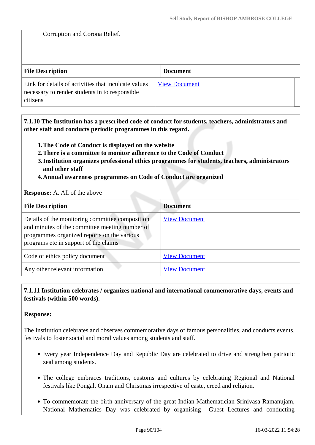Corruption and Corona Relief.

| <b>File Description</b>                                                                                            | <b>Document</b>      |
|--------------------------------------------------------------------------------------------------------------------|----------------------|
| Link for details of activities that inculcate values<br>necessary to render students in to responsible<br>citizens | <b>View Document</b> |

 **7.1.10 The Institution has a prescribed code of conduct for students, teachers, administrators and other staff and conducts periodic programmes in this regard.** 

- **1.The Code of Conduct is displayed on the website**
- **2.There is a committee to monitor adherence to the Code of Conduct**
- **3.Institution organizes professional ethics programmes for students, teachers, administrators and other staff**
- **4.Annual awareness programmes on Code of Conduct are organized**

#### **Response:** A. All of the above

| <b>File Description</b>                                                                                                                                                                   | <b>Document</b>      |
|-------------------------------------------------------------------------------------------------------------------------------------------------------------------------------------------|----------------------|
| Details of the monitoring committee composition<br>and minutes of the committee meeting number of<br>programmes organized reports on the various<br>programs etc in support of the claims | <b>View Document</b> |
| Code of ethics policy document                                                                                                                                                            | <b>View Document</b> |
| Any other relevant information                                                                                                                                                            | <b>View Document</b> |

# **7.1.11 Institution celebrates / organizes national and international commemorative days, events and festivals (within 500 words).**

#### **Response:**

The Institution celebrates and observes commemorative days of famous personalities, and conducts events, festivals to foster social and moral values among students and staff.

- Every year Independence Day and Republic Day are celebrated to drive and strengthen patriotic zeal among students.
- The college embraces traditions, customs and cultures by celebrating Regional and National festivals like Pongal, Onam and Christmas irrespective of caste, creed and religion.
- To commemorate the birth anniversary of the great Indian Mathematician Srinivasa Ramanujam, National Mathematics Day was celebrated by organising Guest Lectures and conducting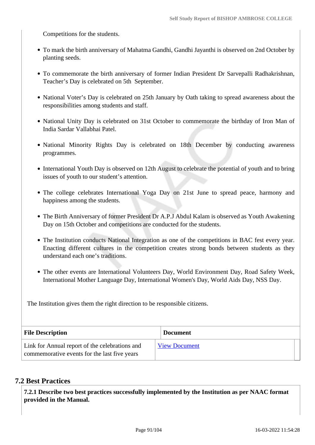Competitions for the students.

- To mark the birth anniversary of Mahatma Gandhi, Gandhi Jayanthi is observed on 2nd October by planting seeds.
- To commemorate the birth anniversary of former Indian President Dr Sarvepalli Radhakrishnan, Teacher's Day is celebrated on 5th September.
- National Voter's Day is celebrated on 25th January by Oath taking to spread awareness about the responsibilities among students and staff.
- National Unity Day is celebrated on 31st October to commemorate the birthday of Iron Man of India Sardar Vallabhai Patel.
- National Minority Rights Day is celebrated on 18th December by conducting awareness programmes.
- International Youth Day is observed on 12th August to celebrate the potential of youth and to bring issues of youth to our student's attention.
- The college celebrates International Yoga Day on 21st June to spread peace, harmony and happiness among the students.
- The Birth Anniversary of former President Dr A.P.J Abdul Kalam is observed as Youth Awakening Day on 15th October and competitions are conducted for the students.
- The Institution conducts National Integration as one of the competitions in BAC fest every year. Enacting different cultures in the competition creates strong bonds between students as they understand each one's traditions.
- The other events are International Volunteers Day, World Environment Day, Road Safety Week, International Mother Language Day, International Women's Day, World Aids Day, NSS Day.

The Institution gives them the right direction to be responsible citizens.

| <b>File Description</b>                                                                        | <b>Document</b>      |  |
|------------------------------------------------------------------------------------------------|----------------------|--|
| Link for Annual report of the celebrations and<br>commemorative events for the last five years | <b>View Document</b> |  |

# **7.2 Best Practices**

 **7.2.1 Describe two best practices successfully implemented by the Institution as per NAAC format provided in the Manual.**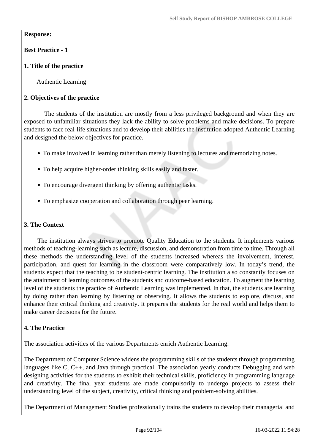# **Response:**

# **Best Practice - 1**

# **1. Title of the practice**

Authentic Learning

# **2. Objectives of the practice**

The students of the institution are mostly from a less privileged background and when they are exposed to unfamiliar situations they lack the ability to solve problems and make decisions. To prepare students to face real-life situations and to develop their abilities the institution adopted Authentic Learning and designed the below objectives for practice.

- To make involved in learning rather than merely listening to lectures and memorizing notes.
- To help acquire higher-order thinking skills easily and faster.
- To encourage divergent thinking by offering authentic tasks.
- To emphasize cooperation and collaboration through peer learning.

# **3. The Context**

The institution always strives to promote Quality Education to the students. It implements various methods of teaching-learning such as lecture, discussion, and demonstration from time to time. Through all these methods the understanding level of the students increased whereas the involvement, interest, participation, and quest for learning in the classroom were comparatively low. In today's trend, the students expect that the teaching to be student-centric learning. The institution also constantly focuses on the attainment of learning outcomes of the students and outcome-based education. To augment the learning level of the students the practice of Authentic Learning was implemented. In that, the students are learning by doing rather than learning by listening or observing. It allows the students to explore, discuss, and enhance their critical thinking and creativity. It prepares the students for the real world and helps them to make career decisions for the future.

# **4. The Practice**

The association activities of the various Departments enrich Authentic Learning.

The Department of Computer Science widens the programming skills of the students through programming languages like C, C++, and Java through practical. The association yearly conducts Debugging and web designing activities for the students to exhibit their technical skills, proficiency in programming language and creativity. The final year students are made compulsorily to undergo projects to assess their understanding level of the subject, creativity, critical thinking and problem-solving abilities.

The Department of Management Studies professionally trains the students to develop their managerial and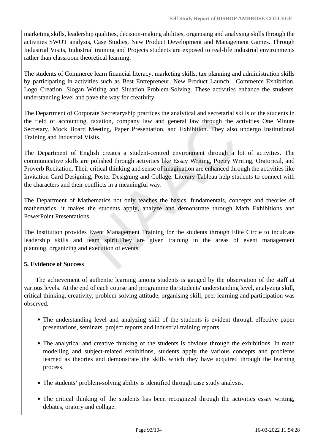marketing skills, leadership qualities, decision-making abilities, organising and analysing skills through the activities SWOT analysis, Case Studies, New Product Development and Management Games. Through Industrial Visits, Industrial training and Projects students are exposed to real-life industrial environments rather than classroom theoretical learning.

The students of Commerce learn financial literacy, marketing skills, tax planning and administration skills by participating in activities such as Best Entrepreneur, New Product Launch, Commerce Exhibition, Logo Creation, Slogan Writing and Situation Problem-Solving. These activities enhance the students' understanding level and pave the way for creativity.

The Department of Corporate Secretaryship practices the analytical and secretarial skills of the students in the field of accounting, taxation, company law and general law through the activities One Minute Secretary, Mock Board Meeting, Paper Presentation, and Exhibition. They also undergo Institutional Training and Industrial Visits.

The Department of English creates a student-centred environment through a lot of activities. The communicative skills are polished through activities like Essay Writing, Poetry Writing, Oratorical, and Proverb Recitation. Their critical thinking and sense of imagination are enhanced through the activities like Invitation Card Designing, Poster Designing and Collage. Literary Tableau help students to connect with the characters and their conflicts in a meaningful way.

The Department of Mathematics not only teaches the basics, fundamentals, concepts and theories of mathematics, it makes the students apply, analyze and demonstrate through Math Exhibitions and PowerPoint Presentations.

The Institution provides Event Management Training for the students through Elite Circle to inculcate leadership skills and team spirit.They are given training in the areas of event management planning, organizing and execution of events.

# **5. Evidence of Success**

The achievement of authentic learning among students is gauged by the observation of the staff at various levels. At the end of each course and programme the students' understanding level, analyzing skill, critical thinking, creativity, problem-solving attitude, organising skill, peer learning and participation was observed.

- The understanding level and analyzing skill of the students is evident through effective paper presentations, seminars, project reports and industrial training reports.
- The analytical and creative thinking of the students is obvious through the exhibitions. In math modelling and subject-related exhibitions, students apply the various concepts and problems learned as theories and demonstrate the skills which they have acquired through the learning process.
- The students' problem-solving ability is identified through case study analysis.
- The critical thinking of the students has been recognized through the activities essay writing, debates, oratory and collage.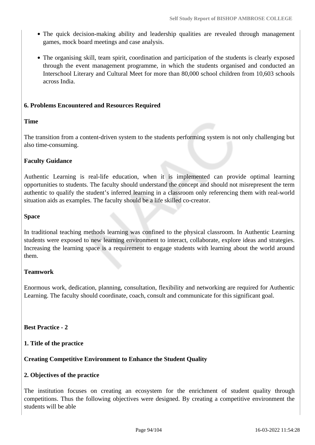- The quick decision-making ability and leadership qualities are revealed through management games, mock board meetings and case analysis.
- The organising skill, team spirit, coordination and participation of the students is clearly exposed through the event management programme, in which the students organised and conducted an Interschool Literary and Cultural Meet for more than 80,000 school children from 10,603 schools across India.

# **6. Problems Encountered and Resources Required**

# **Time**

The transition from a content-driven system to the students performing system is not only challenging but also time-consuming.

# **Faculty Guidance**

Authentic Learning is real-life education, when it is implemented can provide optimal learning opportunities to students. The faculty should understand the concept and should not misrepresent the term authentic to qualify the student's inferred learning in a classroom only referencing them with real-world situation aids as examples. The faculty should be a life skilled co-creator.

# **Space**

In traditional teaching methods learning was confined to the physical classroom. In Authentic Learning students were exposed to new learning environment to interact, collaborate, explore ideas and strategies. Increasing the learning space is a requirement to engage students with learning about the world around them.

# **Teamwork**

Enormous work, dedication, planning, consultation, flexibility and networking are required for Authentic Learning. The faculty should coordinate, coach, consult and communicate for this significant goal.

# **Best Practice - 2**

# **1. Title of the practice**

# **Creating Competitive Environment to Enhance the Student Quality**

# **2. Objectives of the practice**

The institution focuses on creating an ecosystem for the enrichment of student quality through competitions. Thus the following objectives were designed. By creating a competitive environment the students will be able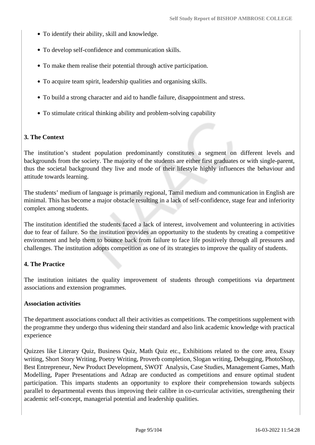- To identify their ability, skill and knowledge.
- To develop self-confidence and communication skills.
- To make them realise their potential through active participation.
- To acquire team spirit, leadership qualities and organising skills.
- To build a strong character and aid to handle failure, disappointment and stress.
- To stimulate critical thinking ability and problem-solving capability

# **3. The Context**

The institution's student population predominantly constitutes a segment on different levels and backgrounds from the society. The majority of the students are either first graduates or with single-parent, thus the societal background they live and mode of their lifestyle highly influences the behaviour and attitude towards learning.

The students' medium of language is primarily regional, Tamil medium and communication in English are minimal. This has become a major obstacle resulting in a lack of self-confidence, stage fear and inferiority complex among students.

The institution identified the students faced a lack of interest, involvement and volunteering in activities due to fear of failure. So the institution provides an opportunity to the students by creating a competitive environment and help them to bounce back from failure to face life positively through all pressures and challenges. The institution adopts competition as one of its strategies to improve the quality of students.

# **4. The Practice**

The institution initiates the quality improvement of students through competitions via department associations and extension programmes.

# **Association activities**

The department associations conduct all their activities as competitions. The competitions supplement with the programme they undergo thus widening their standard and also link academic knowledge with practical experience

Quizzes like Literary Quiz, Business Quiz, Math Quiz etc., Exhibitions related to the core area, Essay writing, Short Story Writing, Poetry Writing, Proverb completion, Slogan writing, Debugging, PhotoShop, Best Entrepreneur, New Product Development, SWOT Analysis, Case Studies, Management Games, Math Modelling, Paper Presentations and Adzap are conducted as competitions and ensure optimal student participation. This imparts students an opportunity to explore their comprehension towards subjects parallel to departmental events thus improving their calibre in co-curricular activities, strengthening their academic self-concept, managerial potential and leadership qualities.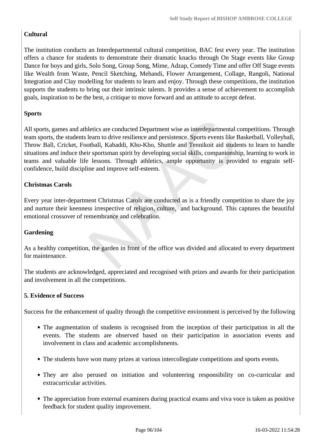# **Cultural**

The institution conducts an Interdepartmental cultural competition, BAC fest every year. The institution offers a chance for students to demonstrate their dramatic knacks through On Stage events like Group Dance for boys and girls, Solo Song, Group Song, Mime, Adzap, Comedy Time and offer Off Stage events like Wealth from Waste, Pencil Sketching, Mehandi, Flower Arrangement, Collage, Rangoli, National Integration and Clay modelling for students to learn and enjoy. Through these competitions, the institution supports the students to bring out their intrinsic talents. It provides a sense of achievement to accomplish goals, inspiration to be the best, a critique to move forward and an attitude to accept defeat.

# **Sports**

All sports, games and athletics are conducted Department wise as interdepartmental competitions. Through team sports, the students learn to drive resilience and persistence. Sports events like Basketball, Volleyball, Throw Ball, Cricket, Football, Kabaddi, Kho-Kho, Shuttle and Tennikoit aid students to learn to handle situations and induce their sportsman spirit by developing social skills, companionship, learning to work in teams and valuable life lessons. Through athletics, ample opportunity is provided to engrain selfconfidence, build discipline and improve self-esteem.

# **Christmas Carols**

Every year inter-department Christmas Carols are conducted as is a friendly competition to share the joy and nurture their keenness irrespective of religion, culture, and background. This captures the beautiful emotional crossover of remembrance and celebration.

# **Gardening**

As a healthy competition, the garden in front of the office was divided and allocated to every department for maintenance.

The students are acknowledged, appreciated and recognised with prizes and awards for their participation and involvement in all the competitions.

# **5. Evidence of Success**

Success for the enhancement of quality through the competitive environment is perceived by the following

- The augmentation of students is recognised from the inception of their participation in all the events. The students are observed based on their participation in association events and involvement in class and academic accomplishments.
- The students have won many prizes at various intercollegiate competitions and sports events.
- They are also perused on initiation and volunteering responsibility on co-curricular and extracurricular activities.
- The appreciation from external examiners during practical exams and viva voce is taken as positive feedback for student quality improvement.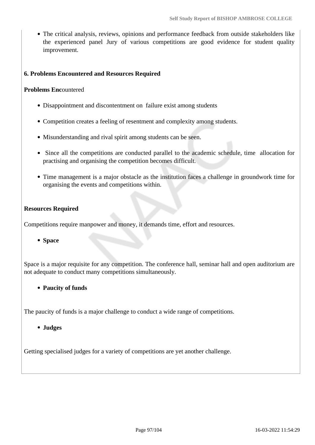The critical analysis, reviews, opinions and performance feedback from outside stakeholders like the experienced panel Jury of various competitions are good evidence for student quality improvement.

# **6. Problems Encountered and Resources Required**

## **Problems Enc**ountered

- Disappointment and discontentment on failure exist among students
- Competition creates a feeling of resentment and complexity among students.
- Misunderstanding and rival spirit among students can be seen.
- Since all the competitions are conducted parallel to the academic schedule, time allocation for practising and organising the competition becomes difficult.
- Time management is a major obstacle as the institution faces a challenge in groundwork time for organising the events and competitions within.

# **Resources Required**

Competitions require manpower and money, it demands time, effort and resources.

#### **Space**

Space is a major requisite for any competition. The conference hall, seminar hall and open auditorium are not adequate to conduct many competitions simultaneously.

**Paucity of funds**

The paucity of funds is a major challenge to conduct a wide range of competitions.

**Judges**

Getting specialised judges for a variety of competitions are yet another challenge.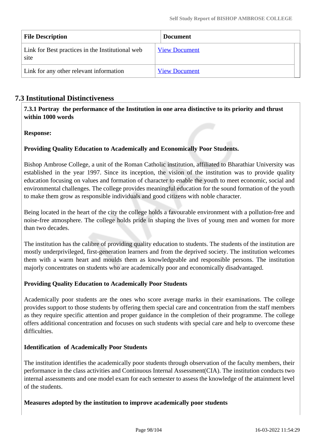| <b>File Description</b>                                  | <b>Document</b>      |
|----------------------------------------------------------|----------------------|
| Link for Best practices in the Institutional web<br>site | <b>View Document</b> |
| Link for any other relevant information                  | <b>View Document</b> |

# **7.3 Institutional Distinctiveness**

 **7.3.1 Portray the performance of the Institution in one area distinctive to its priority and thrust within 1000 words**

# **Response:**

# **Providing Quality Education to Academically and Economically Poor Students.**

Bishop Ambrose College, a unit of the Roman Catholic institution, affiliated to Bharathiar University was established in the year 1997. Since its inception, the vision of the institution was to provide quality education focusing on values and formation of character to enable the youth to meet economic, social and environmental challenges. The college provides meaningful education for the sound formation of the youth to make them grow as responsible individuals and good citizens with noble character.

Being located in the heart of the city the college holds a favourable environment with a pollution-free and noise-free atmosphere. The college holds pride in shaping the lives of young men and women for more than two decades.

The institution has the calibre of providing quality education to students. The students of the institution are mostly underprivileged, first-generation learners and from the deprived society. The institution welcomes them with a warm heart and moulds them as knowledgeable and responsible persons. The institution majorly concentrates on students who are academically poor and economically disadvantaged.

# **Providing Quality Education to Academically Poor Students**

Academically poor students are the ones who score average marks in their examinations. The college provides support to those students by offering them special care and concentration from the staff members as they require specific attention and proper guidance in the completion of their programme. The college offers additional concentration and focuses on such students with special care and help to overcome these difficulties.

# **Identification of Academically Poor Students**

The institution identifies the academically poor students through observation of the faculty members, their performance in the class activities and Continuous Internal Assessment(CIA). The institution conducts two internal assessments and one model exam for each semester to assess the knowledge of the attainment level of the students.

#### **Measures adopted by the institution to improve academically poor students**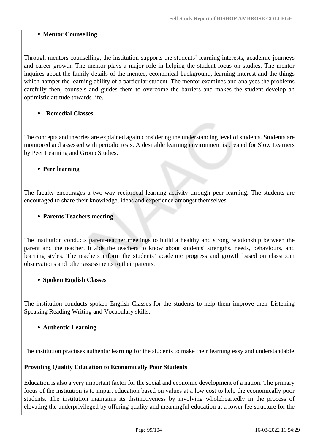# **Mentor Counselling**

Through mentors counselling, the institution supports the students' learning interests, academic journeys and career growth. The mentor plays a major role in helping the student focus on studies. The mentor inquires about the family details of the mentee, economical background, learning interest and the things which hamper the learning ability of a particular student. The mentor examines and analyses the problems carefully then, counsels and guides them to overcome the barriers and makes the student develop an optimistic attitude towards life.

# **Remedial Classes**

The concepts and theories are explained again considering the understanding level of students. Students are monitored and assessed with periodic tests. A desirable learning environment is created for Slow Learners by Peer Learning and Group Studies.

# **Peer learning**

The faculty encourages a two-way reciprocal learning activity through peer learning. The students are encouraged to share their knowledge, ideas and experience amongst themselves.

# **Parents Teachers meeting**

The institution conducts parent-teacher meetings to build a healthy and strong relationship between the parent and the teacher. It aids the teachers to know about students' strengths, needs, behaviours, and learning styles. The teachers inform the students' academic progress and growth based on classroom observations and other assessments to their parents.

# **Spoken English Classes**

The institution conducts spoken English Classes for the students to help them improve their Listening Speaking Reading Writing and Vocabulary skills.

# **Authentic Learning**

The institution practises authentic learning for the students to make their learning easy and understandable.

#### **Providing Quality Education to Economically Poor Students**

Education is also a very important factor for the social and economic development of a nation. The primary focus of the institution is to impart education based on values at a low cost to help the economically poor students. The institution maintains its distinctiveness by involving wholeheartedly in the process of elevating the underprivileged by offering quality and meaningful education at a lower fee structure for the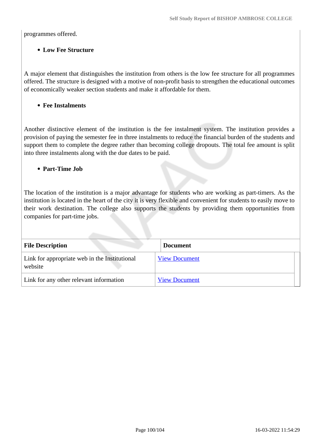programmes offered.

# **Low Fee Structure**

A major element that distinguishes the institution from others is the low fee structure for all programmes offered. The structure is designed with a motive of non-profit basis to strengthen the educational outcomes of economically weaker section students and make it affordable for them.

**Fee Instalments**

Another distinctive element of the institution is the fee instalment system. The institution provides a provision of paying the semester fee in three instalments to reduce the financial burden of the students and support them to complete the degree rather than becoming college dropouts. The total fee amount is split into three instalments along with the due dates to be paid.

## **Part-Time Job**

The location of the institution is a major advantage for students who are working as part-timers. As the institution is located in the heart of the city it is very flexible and convenient for students to easily move to their work destination. The college also supports the students by providing them opportunities from companies for part-time jobs.

| <b>File Description</b>                                  | <b>Document</b>      |
|----------------------------------------------------------|----------------------|
| Link for appropriate web in the Institutional<br>website | <b>View Document</b> |
| Link for any other relevant information                  | <b>View Document</b> |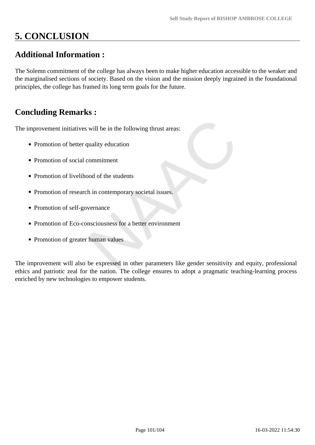# **5. CONCLUSION**

# **Additional Information :**

The Solemn commitment of the college has always been to make higher education accessible to the weaker and the marginalised sections of society. Based on the vision and the mission deeply ingrained in the foundational principles, the college has framed its long term goals for the future.

# **Concluding Remarks :**

The improvement initiatives will be in the following thrust areas:

- Promotion of better quality education
- Promotion of social commitment
- Promotion of livelihood of the students
- Promotion of research in contemporary societal issues.
- Promotion of self-governance
- Promotion of Eco-consciousness for a better environment
- Promotion of greater human values

The improvement will also be expressed in other parameters like gender sensitivity and equity, professional ethics and patriotic zeal for the nation. The college ensures to adopt a pragmatic teaching-learning process enriched by new technologies to empower students.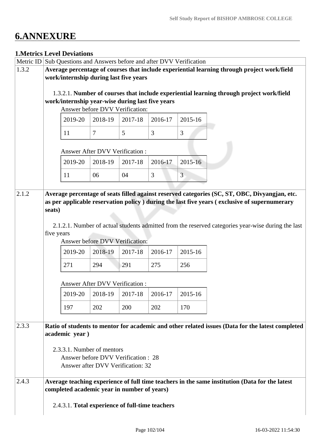# **6.ANNEXURE**

# **1.Metrics Level Deviations**

| Metric ID | Sub Questions and Answers before and after DVV Verification                                    |                |                                                  |             |         |                |                                                                                                    |  |
|-----------|------------------------------------------------------------------------------------------------|----------------|--------------------------------------------------|-------------|---------|----------------|----------------------------------------------------------------------------------------------------|--|
| 1.3.2     | Average percentage of courses that include experiential learning through project work/field    |                |                                                  |             |         |                |                                                                                                    |  |
|           | work/internship during last five years                                                         |                |                                                  |             |         |                |                                                                                                    |  |
|           |                                                                                                |                |                                                  |             |         |                |                                                                                                    |  |
|           | 1.3.2.1. Number of courses that include experiential learning through project work/field       |                |                                                  |             |         |                |                                                                                                    |  |
|           |                                                                                                |                | work/internship year-wise during last five years |             |         |                |                                                                                                    |  |
|           |                                                                                                |                | Answer before DVV Verification:                  |             |         |                |                                                                                                    |  |
|           |                                                                                                | 2019-20        | 2018-19                                          | 2017-18     | 2016-17 | 2015-16        |                                                                                                    |  |
|           |                                                                                                | 11             | $\tau$                                           | 5           | 3       | 3              |                                                                                                    |  |
|           |                                                                                                |                | <b>Answer After DVV Verification:</b>            |             |         |                |                                                                                                    |  |
|           |                                                                                                | 2019-20        | 2018-19                                          | 2017-18     | 2016-17 | 2015-16        |                                                                                                    |  |
|           |                                                                                                | 11             | 06                                               | 04          | 3       | $\overline{3}$ |                                                                                                    |  |
|           |                                                                                                |                |                                                  |             |         |                |                                                                                                    |  |
| 2.1.2     |                                                                                                |                |                                                  |             |         |                | Average percentage of seats filled against reserved categories (SC, ST, OBC, Divyangjan, etc.      |  |
|           |                                                                                                |                |                                                  |             |         |                | as per applicable reservation policy ) during the last five years (exclusive of supernumerary      |  |
|           | seats)                                                                                         |                |                                                  |             |         |                |                                                                                                    |  |
|           |                                                                                                |                |                                                  |             |         |                | 2.1.2.1. Number of actual students admitted from the reserved categories year-wise during the last |  |
|           | five years                                                                                     |                |                                                  |             |         |                |                                                                                                    |  |
|           |                                                                                                |                | Answer before DVV Verification:                  |             |         |                |                                                                                                    |  |
|           |                                                                                                |                |                                                  |             |         |                |                                                                                                    |  |
|           |                                                                                                | 2019-20        | 2018-19                                          | $2017 - 18$ | 2016-17 | 2015-16        |                                                                                                    |  |
|           |                                                                                                | 271            | 294                                              | 291         | 275     | 256            |                                                                                                    |  |
|           |                                                                                                |                | <b>Answer After DVV Verification:</b>            |             |         |                |                                                                                                    |  |
|           |                                                                                                | 2019-20        | $2018-19$   2017-18                              |             | 2016-17 | 2015-16        |                                                                                                    |  |
|           |                                                                                                | 197            | 202                                              | 200         | 202     | 170            |                                                                                                    |  |
|           |                                                                                                |                |                                                  |             |         |                |                                                                                                    |  |
| 2.3.3     |                                                                                                |                |                                                  |             |         |                | Ratio of students to mentor for academic and other related issues (Data for the latest completed   |  |
|           |                                                                                                | academic year) |                                                  |             |         |                |                                                                                                    |  |
|           |                                                                                                |                |                                                  |             |         |                |                                                                                                    |  |
|           | 2.3.3.1. Number of mentors<br>Answer before DVV Verification: 28                               |                |                                                  |             |         |                |                                                                                                    |  |
|           |                                                                                                |                | Answer after DVV Verification: 32                |             |         |                |                                                                                                    |  |
|           |                                                                                                |                |                                                  |             |         |                |                                                                                                    |  |
| 2.4.3     | Average teaching experience of full time teachers in the same institution (Data for the latest |                |                                                  |             |         |                |                                                                                                    |  |
|           | completed academic year in number of years)                                                    |                |                                                  |             |         |                |                                                                                                    |  |
|           |                                                                                                |                |                                                  |             |         |                |                                                                                                    |  |
|           | 2.4.3.1. Total experience of full-time teachers                                                |                |                                                  |             |         |                |                                                                                                    |  |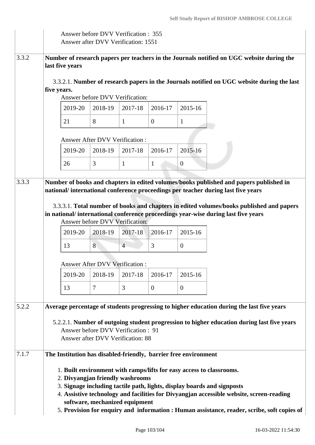|       | Answer before DVV Verification : 355<br>Answer after DVV Verification: 1551                                                                                                                                                                                                                                                                                                                                      |                                                                 |                                       |                                                                         |              |                |                                                                                                                                                                               |
|-------|------------------------------------------------------------------------------------------------------------------------------------------------------------------------------------------------------------------------------------------------------------------------------------------------------------------------------------------------------------------------------------------------------------------|-----------------------------------------------------------------|---------------------------------------|-------------------------------------------------------------------------|--------------|----------------|-------------------------------------------------------------------------------------------------------------------------------------------------------------------------------|
| 3.3.2 | Number of research papers per teachers in the Journals notified on UGC website during the<br>last five years                                                                                                                                                                                                                                                                                                     |                                                                 |                                       |                                                                         |              |                |                                                                                                                                                                               |
|       | five years.                                                                                                                                                                                                                                                                                                                                                                                                      |                                                                 |                                       | Answer before DVV Verification:                                         |              |                | 3.3.2.1. Number of research papers in the Journals notified on UGC website during the last                                                                                    |
|       |                                                                                                                                                                                                                                                                                                                                                                                                                  | 2019-20                                                         | 2018-19                               | 2017-18                                                                 | 2016-17      | 2015-16        |                                                                                                                                                                               |
|       |                                                                                                                                                                                                                                                                                                                                                                                                                  | 21                                                              | 8                                     | 1                                                                       | $\theta$     | 1              |                                                                                                                                                                               |
|       |                                                                                                                                                                                                                                                                                                                                                                                                                  |                                                                 | <b>Answer After DVV Verification:</b> |                                                                         |              |                |                                                                                                                                                                               |
|       |                                                                                                                                                                                                                                                                                                                                                                                                                  | 2019-20                                                         | 2018-19                               | 2017-18                                                                 | 2016-17      | 2015-16        |                                                                                                                                                                               |
|       |                                                                                                                                                                                                                                                                                                                                                                                                                  | 26                                                              | 3                                     | $\mathbf{1}$                                                            | $\mathbf{1}$ | $\overline{0}$ |                                                                                                                                                                               |
| 3.3.3 |                                                                                                                                                                                                                                                                                                                                                                                                                  |                                                                 |                                       |                                                                         |              |                | Number of books and chapters in edited volumes/books published and papers published in                                                                                        |
|       |                                                                                                                                                                                                                                                                                                                                                                                                                  |                                                                 |                                       |                                                                         |              |                | national/international conference proceedings per teacher during last five years                                                                                              |
|       |                                                                                                                                                                                                                                                                                                                                                                                                                  |                                                                 |                                       | Answer before DVV Verification:                                         |              |                | 3.3.3.1. Total number of books and chapters in edited volumes/books published and papers<br>in national/international conference proceedings year-wise during last five years |
|       |                                                                                                                                                                                                                                                                                                                                                                                                                  | 2019-20                                                         | 2018-19                               | 2017-18                                                                 | 2016-17      | 2015-16        |                                                                                                                                                                               |
|       |                                                                                                                                                                                                                                                                                                                                                                                                                  | 13                                                              | 8                                     | $\overline{4}$                                                          | 3            | $\mathbf{0}$   |                                                                                                                                                                               |
|       |                                                                                                                                                                                                                                                                                                                                                                                                                  |                                                                 | Answer After DVV Verification :       |                                                                         |              |                |                                                                                                                                                                               |
|       |                                                                                                                                                                                                                                                                                                                                                                                                                  | 2019-20                                                         | 2018-19                               | 2017-18                                                                 | 2016-17      | 2015-16        |                                                                                                                                                                               |
|       |                                                                                                                                                                                                                                                                                                                                                                                                                  | 13                                                              | $\tau$                                | 3                                                                       | $\mathbf{0}$ | $\overline{0}$ |                                                                                                                                                                               |
| 5.2.2 |                                                                                                                                                                                                                                                                                                                                                                                                                  |                                                                 |                                       |                                                                         |              |                | Average percentage of students progressing to higher education during the last five years                                                                                     |
|       |                                                                                                                                                                                                                                                                                                                                                                                                                  |                                                                 |                                       | Answer before DVV Verification: 91<br>Answer after DVV Verification: 88 |              |                | 5.2.2.1. Number of outgoing student progression to higher education during last five years                                                                                    |
| 7.1.7 |                                                                                                                                                                                                                                                                                                                                                                                                                  | The Institution has disabled-friendly, barrier free environment |                                       |                                                                         |              |                |                                                                                                                                                                               |
|       | 1. Built environment with ramps/lifts for easy access to classrooms.<br>2. Divyangjan friendly washrooms<br>3. Signage including tactile path, lights, display boards and signposts<br>4. Assistive technology and facilities for Divyangjan accessible website, screen-reading<br>software, mechanized equipment<br>5. Provision for enquiry and information : Human assistance, reader, scribe, soft copies of |                                                                 |                                       |                                                                         |              |                |                                                                                                                                                                               |